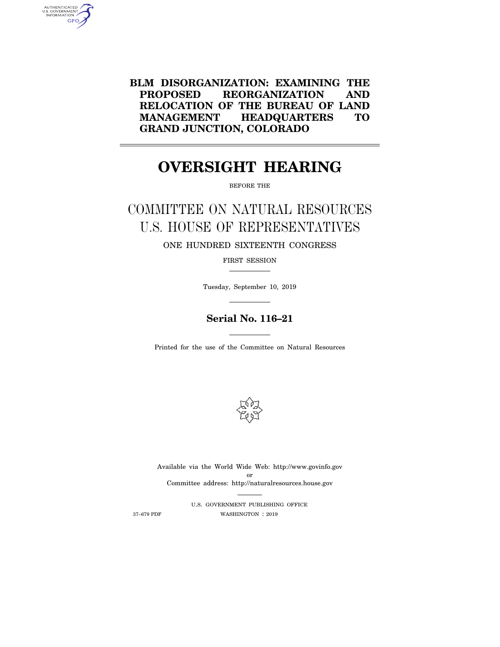**BLM DISORGANIZATION: EXAMINING THE PROPOSED REORGANIZATION AND RELOCATION OF THE BUREAU OF LAND MANAGEMENT HEADQUARTERS TO GRAND JUNCTION, COLORADO** 

# **OVERSIGHT HEARING**

 $\overline{\phantom{0}}$ 

BEFORE THE

COMMITTEE ON NATURAL RESOURCES U.S. HOUSE OF REPRESENTATIVES ONE HUNDRED SIXTEENTH CONGRESS

FIRST SESSION

Tuesday, September 10, 2019

# **Serial No. 116–21**

Printed for the use of the Committee on Natural Resources



Available via the World Wide Web: http://www.govinfo.gov or Committee address: http://naturalresources.house.gov

U.S. GOVERNMENT PUBLISHING OFFICE 37–679 PDF WASHINGTON : 2019

AUTHENTICATED<br>U.S. GOVERNMENT<br>INFORMATION **GPO**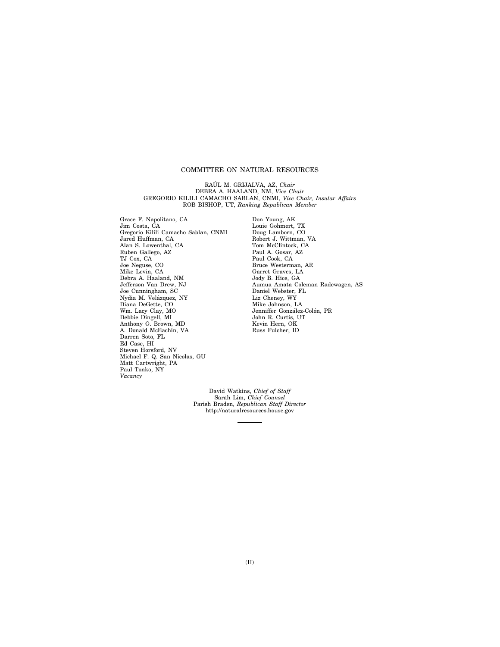# COMMITTEE ON NATURAL RESOURCES

RAÚL M. GRIJALVA, AZ, Chair DEBRA A. HAALAND, NM, *Vice Chair*  GREGORIO KILILI CAMACHO SABLAN, CNMI, *Vice Chair, Insular Affairs*  ROB BISHOP, UT, *Ranking Republican Member* 

Grace F. Napolitano, CA Jim Costa, CA Gregorio Kilili Camacho Sablan, CNMI Jared Huffman, CA Alan S. Lowenthal, CA Ruben Gallego, AZ TJ Cox, CA Joe Neguse, CO Mike Levin, CA Debra A. Haaland, NM Jefferson Van Drew, NJ Joe Cunningham, SC Nydia M. Velázquez, NY Diana DeGette, CO Wm. Lacy Clay, MO Debbie Dingell, MI Anthony G. Brown, MD A. Donald McEachin, VA Darren Soto, FL Ed Case, HI Steven Horsford, NV Michael F. Q. San Nicolas, GU Matt Cartwright, PA Paul Tonko, NY *Vacancy* 

Don Young, AK Louie Gohmert, TX Doug Lamborn, CO Robert J. Wittman, VA Tom McClintock, CA Paul A. Gosar, AZ Paul Cook, CA Bruce Westerman, AR Garret Graves, LA Jody B. Hice, GA Aumua Amata Coleman Radewagen, AS Daniel Webster, FL Liz Cheney, WY Mike Johnson, LA Jenniffer González-Colón, PR John R. Curtis, UT Kevin Hern, OK Russ Fulcher, ID

David Watkins, *Chief of Staff*  Sarah Lim, *Chief Counsel*  Parish Braden, *Republican Staff Director*  http://naturalresources.house.gov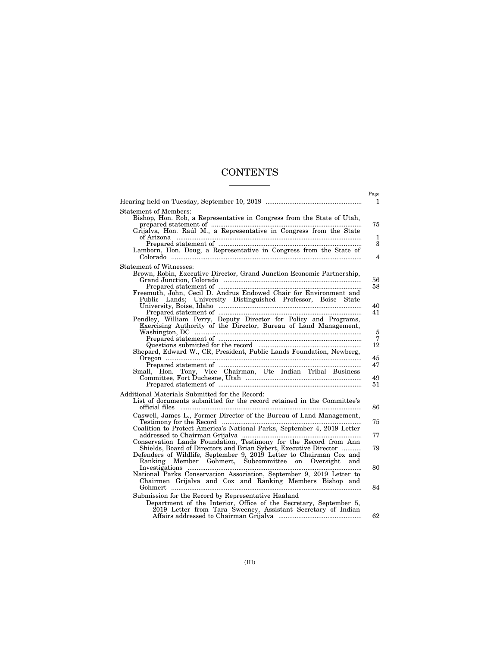# **CONTENTS**

|                                                                                                                                                                                                                                                                                                                 | Page                                      |
|-----------------------------------------------------------------------------------------------------------------------------------------------------------------------------------------------------------------------------------------------------------------------------------------------------------------|-------------------------------------------|
|                                                                                                                                                                                                                                                                                                                 | 1                                         |
| Statement of Members:<br>Bishop, Hon. Rob, a Representative in Congress from the State of Utah,<br>$\begin{minipage}{0.9\linewidth} \textbf{Prepared statement of} & \begin{minipage}{0.9\linewidth} \textbf{Iamborn, Hon. Doug, a Representative in Congress from the State of} \end{minipage} \end{minipage}$ | 75<br>$\mathbf{1}$<br>3<br>$\overline{4}$ |
| Statement of Witnesses:                                                                                                                                                                                                                                                                                         |                                           |
| Brown, Robin, Executive Director, Grand Junction Economic Partnership,<br>Freemuth, John, Cecil D. Andrus Endowed Chair for Environment and<br>Public Lands; University Distinguished Professor, Boise State                                                                                                    | 56<br>58                                  |
|                                                                                                                                                                                                                                                                                                                 | 40<br>41                                  |
| Exercising Authority of the Director, Bureau of Land Management,<br>Shepard, Edward W., CR, President, Public Lands Foundation, Newberg,                                                                                                                                                                        | $\,$ 5<br>$\overline{7}$<br>12<br>45      |
|                                                                                                                                                                                                                                                                                                                 | 47<br>49<br>51                            |
| Additional Materials Submitted for the Record:                                                                                                                                                                                                                                                                  |                                           |
| List of documents submitted for the record retained in the Committee's                                                                                                                                                                                                                                          | 86                                        |
| Caswell, James L., Former Director of the Bureau of Land Management,                                                                                                                                                                                                                                            | 75                                        |
| Coalition to Protect America's National Parks, September 4, 2019 Letter                                                                                                                                                                                                                                         | 77                                        |
| addressed to Chairman Grijalva (2003).<br>Conservation Lands Foundation, Testimony for the Record from Ann Shields, Board of Directors and Brian Sybert, Executive Director<br>Defenders of Wildlife, September 9, 2019 Letter to Chairman Cox and                                                              | 79                                        |
| Member Gohmert, Subcommittee on Oversight and<br>Ranking                                                                                                                                                                                                                                                        | 80                                        |
| National Parks Conservation Association, September 9, 2019 Letter to<br>Chairmen Grijalva and Cox and Ranking Members Bishop and                                                                                                                                                                                | 84                                        |
| Submission for the Record by Representative Haaland                                                                                                                                                                                                                                                             |                                           |
| Department of the Interior, Office of the Secretary, September 5,<br>2019 Letter from Tara Sweeney, Assistant Secretary of Indian                                                                                                                                                                               | 62                                        |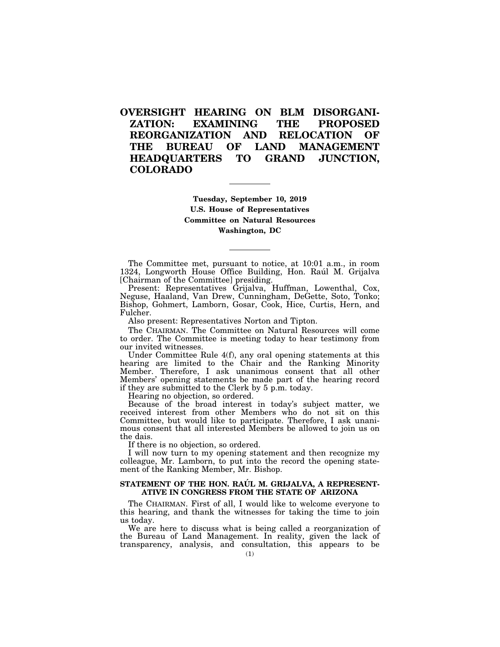# **OVERSIGHT HEARING ON BLM DISORGANI-ZATION: EXAMINING THE PROPOSED REORGANIZATION AND RELOCATION OF THE BUREAU OF LAND MANAGEMENT HEADQUARTERS TO GRAND JUNCTION, COLORADO**

**Tuesday, September 10, 2019 U.S. House of Representatives Committee on Natural Resources Washington, DC** 

The Committee met, pursuant to notice, at 10:01 a.m., in room 1324, Longworth House Office Building, Hon. Raúl M. Grijalva [Chairman of the Committee] presiding.

Present: Representatives Grijalva, Huffman, Lowenthal, Cox, Neguse, Haaland, Van Drew, Cunningham, DeGette, Soto, Tonko; Bishop, Gohmert, Lamborn, Gosar, Cook, Hice, Curtis, Hern, and Fulcher.

Also present: Representatives Norton and Tipton.

The CHAIRMAN. The Committee on Natural Resources will come to order. The Committee is meeting today to hear testimony from our invited witnesses.

Under Committee Rule 4(f), any oral opening statements at this hearing are limited to the Chair and the Ranking Minority Member. Therefore, I ask unanimous consent that all other Members' opening statements be made part of the hearing record if they are submitted to the Clerk by 5 p.m. today.

Hearing no objection, so ordered.

Because of the broad interest in today's subject matter, we received interest from other Members who do not sit on this Committee, but would like to participate. Therefore, I ask unanimous consent that all interested Members be allowed to join us on the dais.

If there is no objection, so ordered.

I will now turn to my opening statement and then recognize my colleague, Mr. Lamborn, to put into the record the opening statement of the Ranking Member, Mr. Bishop.

# STATEMENT OF THE HON. RAÚL M. GRIJALVA, A REPRESENT-**ATIVE IN CONGRESS FROM THE STATE OF ARIZONA**

The CHAIRMAN. First of all, I would like to welcome everyone to this hearing, and thank the witnesses for taking the time to join us today.

We are here to discuss what is being called a reorganization of the Bureau of Land Management. In reality, given the lack of transparency, analysis, and consultation, this appears to be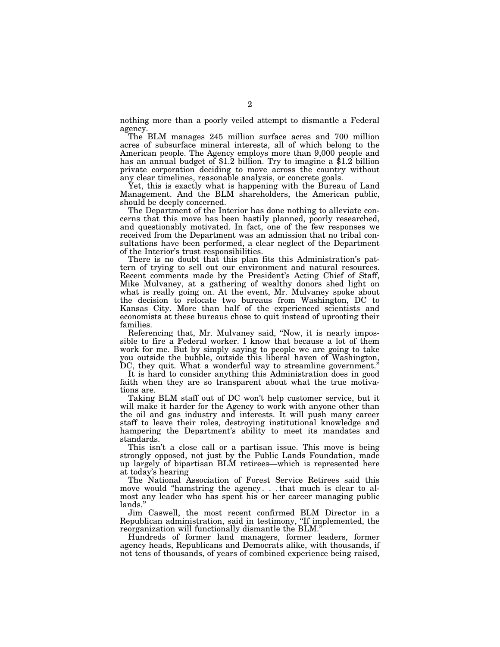nothing more than a poorly veiled attempt to dismantle a Federal agency.

The BLM manages 245 million surface acres and 700 million acres of subsurface mineral interests, all of which belong to the American people. The Agency employs more than 9,000 people and has an annual budget of \$1.2 billion. Try to imagine a \$1.2 billion private corporation deciding to move across the country without any clear timelines, reasonable analysis, or concrete goals.

Yet, this is exactly what is happening with the Bureau of Land Management. And the BLM shareholders, the American public, should be deeply concerned.

The Department of the Interior has done nothing to alleviate concerns that this move has been hastily planned, poorly researched, and questionably motivated. In fact, one of the few responses we received from the Department was an admission that no tribal consultations have been performed, a clear neglect of the Department of the Interior's trust responsibilities.

There is no doubt that this plan fits this Administration's pattern of trying to sell out our environment and natural resources. Recent comments made by the President's Acting Chief of Staff, Mike Mulvaney, at a gathering of wealthy donors shed light on what is really going on. At the event, Mr. Mulvaney spoke about the decision to relocate two bureaus from Washington, DC to Kansas City. More than half of the experienced scientists and economists at these bureaus chose to quit instead of uprooting their families.

Referencing that, Mr. Mulvaney said, ''Now, it is nearly impossible to fire a Federal worker. I know that because a lot of them work for me. But by simply saying to people we are going to take you outside the bubble, outside this liberal haven of Washington, DC, they quit. What a wonderful way to streamline government.

It is hard to consider anything this Administration does in good faith when they are so transparent about what the true motivations are.

Taking BLM staff out of DC won't help customer service, but it will make it harder for the Agency to work with anyone other than the oil and gas industry and interests. It will push many career staff to leave their roles, destroying institutional knowledge and hampering the Department's ability to meet its mandates and standards.

This isn't a close call or a partisan issue. This move is being strongly opposed, not just by the Public Lands Foundation, made up largely of bipartisan BLM retirees—which is represented here at today's hearing

The National Association of Forest Service Retirees said this move would "hamstring the agency...that much is clear to almost any leader who has spent his or her career managing public lands.''

Jim Caswell, the most recent confirmed BLM Director in a Republican administration, said in testimony, ''If implemented, the reorganization will functionally dismantle the BLM.''

Hundreds of former land managers, former leaders, former agency heads, Republicans and Democrats alike, with thousands, if not tens of thousands, of years of combined experience being raised,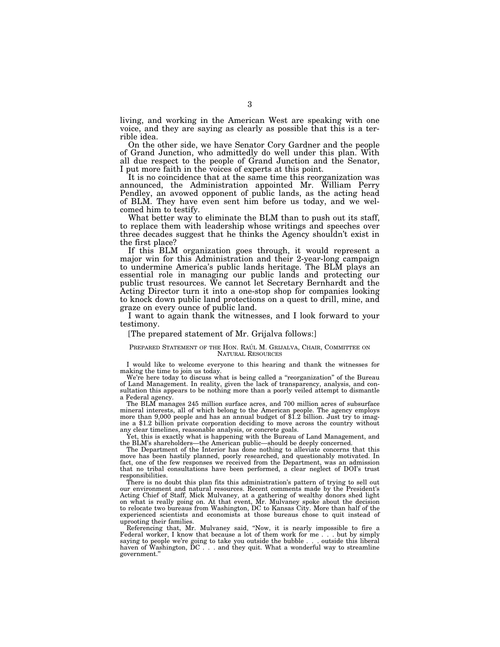living, and working in the American West are speaking with one voice, and they are saying as clearly as possible that this is a terrible idea.

On the other side, we have Senator Cory Gardner and the people of Grand Junction, who admittedly do well under this plan. With all due respect to the people of Grand Junction and the Senator, I put more faith in the voices of experts at this point.

It is no coincidence that at the same time this reorganization was announced, the Administration appointed Mr. William Perry Pendley, an avowed opponent of public lands, as the acting head of BLM. They have even sent him before us today, and we welcomed him to testify.

What better way to eliminate the BLM than to push out its staff, to replace them with leadership whose writings and speeches over three decades suggest that he thinks the Agency shouldn't exist in the first place?

If this BLM organization goes through, it would represent a major win for this Administration and their 2-year-long campaign to undermine America's public lands heritage. The BLM plays an essential role in managing our public lands and protecting our public trust resources. We cannot let Secretary Bernhardt and the Acting Director turn it into a one-stop shop for companies looking to knock down public land protections on a quest to drill, mine, and graze on every ounce of public land.

I want to again thank the witnesses, and I look forward to your testimony.

#### [The prepared statement of Mr. Grijalva follows:]

#### PREPARED STATEMENT OF THE HON. RAÚL M. GRIJALVA, CHAIR, COMMITTEE ON NATURAL RESOURCES

I would like to welcome everyone to this hearing and thank the witnesses for making the time to join us today.

We're here today to discuss what is being called a "reorganization" of the Bureau of Land Management. In reality, given the lack of transparency, analysis, and consultation this appears to be nothing more than a poorly veiled attempt to dismantle a Federal agency.

The BLM manages 245 million surface acres, and 700 million acres of subsurface mineral interests, all of which belong to the American people. The agency employs more than 9,000 people and has an annual budget of \$1.2 billion. Just try to imagine a \$1.2 billion private corporation deciding to move across the country without any clear timelines, reasonable analysis, or concrete goals.

Yet, this is exactly what is happening with the Bureau of Land Management, and the BLM's shareholders—the American public—should be deeply concerned.

The Department of the Interior has done nothing to alleviate concerns that this move has been hastily planned, poorly researched, and questionably motivated. In fact, one of the few responses we received from the Department, was an admission that no tribal consultations have been performed, a clear neglect of DOI's trust responsibilities.

There is no doubt this plan fits this administration's pattern of trying to sell out our environment and natural resources. Recent comments made by the President's Acting Chief of Staff, Mick Mulvaney, at a gathering of wealthy donors shed light on what is really going on. At that event, Mr. Mulvaney spoke about the decision to relocate two bureaus from Washington, DC to Kansas City. More than half of the experienced scientists and economists at those bureaus chose to quit instead of uprooting their families.

Referencing that, Mr. Mulvaney said, ''Now, it is nearly impossible to fire a Federal worker, I know that because a lot of them work for me... but by simply saying to people we're going to take you outside the bubble . . . outside this liberal haven of Washington, DC . . . and they quit. What a wonderful way to streamline government.''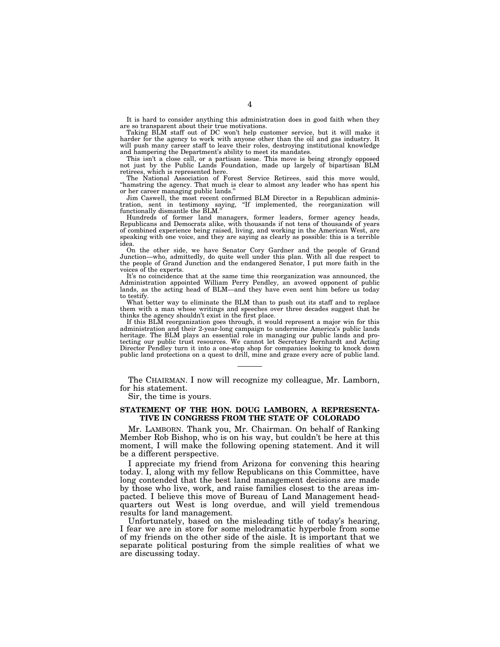It is hard to consider anything this administration does in good faith when they are so transparent about their true motivations.

Taking BLM staff out of DC won't help customer service, but it will make it harder for the agency to work with anyone other than the oil and gas industry. It will push many career staff to leave their roles, destroying institutional knowledge and hampering the Department's ability to meet its mandates.

This isn't a close call, or a partisan issue. This move is being strongly opposed not just by the Public Lands Foundation, made up largely of bipartisan BLM retirees, which is represented here.

The National Association of Forest Service Retirees, said this move would, ''hamstring the agency. That much is clear to almost any leader who has spent his or her career managing public lands.''

Jim Caswell, the most recent confirmed BLM Director in a Republican administration, sent in testimony saying, ''If implemented, the reorganization will functionally dismantle the BLM.''

Hundreds of former land managers, former leaders, former agency heads, Republicans and Democrats alike, with thousands if not tens of thousands of years of combined experience being raised, living, and working in the American West, are speaking with one voice, and they are saying as clearly as possible: this is a terrible idea.

On the other side, we have Senator Cory Gardner and the people of Grand Junction—who, admittedly, do quite well under this plan. With all due respect to the people of Grand Junction and the endangered Senator, I put more faith in the voices of the experts.

It's no coincidence that at the same time this reorganization was announced, the Administration appointed William Perry Pendley, an avowed opponent of public lands, as the acting head of BLM—and they have even sent him before us today to testify.

What better way to eliminate the BLM than to push out its staff and to replace them with a man whose writings and speeches over three decades suggest that he thinks the agency shouldn't exist in the first place.

If this BLM reorganization goes through, it would represent a major win for this administration and their 2-year-long campaign to undermine America's public lands heritage. The BLM plays an essential role in managing our public lands and protecting our public trust resources. We cannot let Secretary Bernhardt and Acting Director Pendley turn it into a one-stop shop for companies looking to knock down public land protections on a quest to drill, mine and graze every acre of public land.

The CHAIRMAN. I now will recognize my colleague, Mr. Lamborn, for his statement.

Sir, the time is yours.

# **STATEMENT OF THE HON. DOUG LAMBORN, A REPRESENTA-TIVE IN CONGRESS FROM THE STATE OF COLORADO**

Mr. LAMBORN. Thank you, Mr. Chairman. On behalf of Ranking Member Rob Bishop, who is on his way, but couldn't be here at this moment, I will make the following opening statement. And it will be a different perspective.

I appreciate my friend from Arizona for convening this hearing today. I, along with my fellow Republicans on this Committee, have long contended that the best land management decisions are made by those who live, work, and raise families closest to the areas impacted. I believe this move of Bureau of Land Management headquarters out West is long overdue, and will yield tremendous results for land management.

Unfortunately, based on the misleading title of today's hearing, I fear we are in store for some melodramatic hyperbole from some of my friends on the other side of the aisle. It is important that we separate political posturing from the simple realities of what we are discussing today.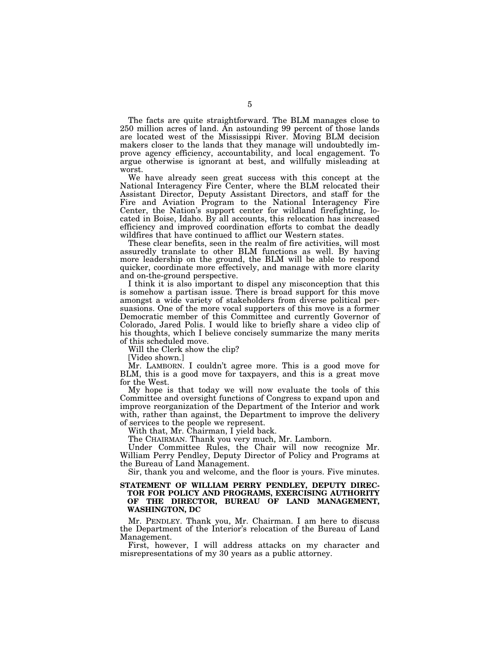The facts are quite straightforward. The BLM manages close to 250 million acres of land. An astounding 99 percent of those lands are located west of the Mississippi River. Moving BLM decision makers closer to the lands that they manage will undoubtedly improve agency efficiency, accountability, and local engagement. To argue otherwise is ignorant at best, and willfully misleading at worst.

We have already seen great success with this concept at the National Interagency Fire Center, where the BLM relocated their Assistant Director, Deputy Assistant Directors, and staff for the Fire and Aviation Program to the National Interagency Fire Center, the Nation's support center for wildland firefighting, located in Boise, Idaho. By all accounts, this relocation has increased efficiency and improved coordination efforts to combat the deadly wildfires that have continued to afflict our Western states.

These clear benefits, seen in the realm of fire activities, will most assuredly translate to other BLM functions as well. By having more leadership on the ground, the BLM will be able to respond quicker, coordinate more effectively, and manage with more clarity and on-the-ground perspective.

I think it is also important to dispel any misconception that this is somehow a partisan issue. There is broad support for this move amongst a wide variety of stakeholders from diverse political persuasions. One of the more vocal supporters of this move is a former Democratic member of this Committee and currently Governor of Colorado, Jared Polis. I would like to briefly share a video clip of his thoughts, which I believe concisely summarize the many merits of this scheduled move.

Will the Clerk show the clip?

[Video shown.]

Mr. LAMBORN. I couldn't agree more. This is a good move for BLM, this is a good move for taxpayers, and this is a great move for the West.

My hope is that today we will now evaluate the tools of this Committee and oversight functions of Congress to expand upon and improve reorganization of the Department of the Interior and work with, rather than against, the Department to improve the delivery of services to the people we represent.

With that, Mr. Chairman, I yield back.

The CHAIRMAN. Thank you very much, Mr. Lamborn.

Under Committee Rules, the Chair will now recognize Mr. William Perry Pendley, Deputy Director of Policy and Programs at the Bureau of Land Management.

Sir, thank you and welcome, and the floor is yours. Five minutes.

# **STATEMENT OF WILLIAM PERRY PENDLEY, DEPUTY DIREC-TOR FOR POLICY AND PROGRAMS, EXERCISING AUTHORITY OF THE DIRECTOR, BUREAU OF LAND MANAGEMENT, WASHINGTON, DC**

Mr. PENDLEY. Thank you, Mr. Chairman. I am here to discuss the Department of the Interior's relocation of the Bureau of Land Management.

First, however, I will address attacks on my character and misrepresentations of my 30 years as a public attorney.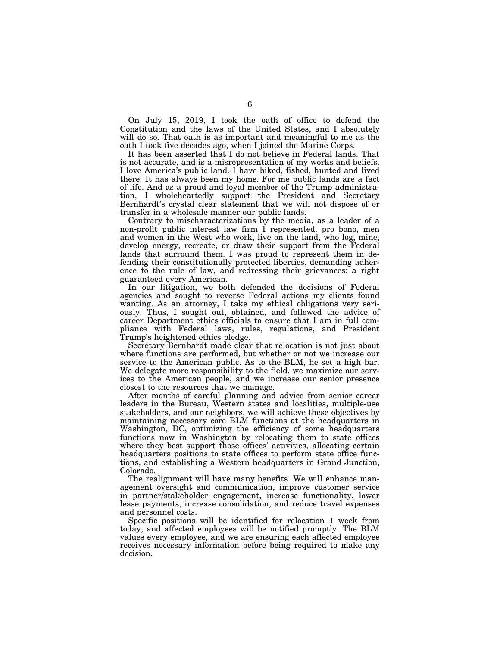On July 15, 2019, I took the oath of office to defend the Constitution and the laws of the United States, and I absolutely will do so. That oath is as important and meaningful to me as the oath I took five decades ago, when I joined the Marine Corps.

It has been asserted that I do not believe in Federal lands. That is not accurate, and is a misrepresentation of my works and beliefs. I love America's public land. I have biked, fished, hunted and lived there. It has always been my home. For me public lands are a fact of life. And as a proud and loyal member of the Trump administration, I wholeheartedly support the President and Secretary Bernhardt's crystal clear statement that we will not dispose of or transfer in a wholesale manner our public lands.

Contrary to mischaracterizations by the media, as a leader of a non-profit public interest law firm I represented, pro bono, men and women in the West who work, live on the land, who log, mine, develop energy, recreate, or draw their support from the Federal lands that surround them. I was proud to represent them in defending their constitutionally protected liberties, demanding adherence to the rule of law, and redressing their grievances: a right guaranteed every American.

In our litigation, we both defended the decisions of Federal agencies and sought to reverse Federal actions my clients found wanting. As an attorney, I take my ethical obligations very seriously. Thus, I sought out, obtained, and followed the advice of career Department ethics officials to ensure that I am in full compliance with Federal laws, rules, regulations, and President Trump's heightened ethics pledge.

Secretary Bernhardt made clear that relocation is not just about where functions are performed, but whether or not we increase our service to the American public. As to the BLM, he set a high bar. We delegate more responsibility to the field, we maximize our services to the American people, and we increase our senior presence closest to the resources that we manage.

After months of careful planning and advice from senior career leaders in the Bureau, Western states and localities, multiple-use stakeholders, and our neighbors, we will achieve these objectives by maintaining necessary core BLM functions at the headquarters in Washington, DC, optimizing the efficiency of some headquarters functions now in Washington by relocating them to state offices where they best support those offices' activities, allocating certain headquarters positions to state offices to perform state office functions, and establishing a Western headquarters in Grand Junction, Colorado.

The realignment will have many benefits. We will enhance management oversight and communication, improve customer service in partner/stakeholder engagement, increase functionality, lower lease payments, increase consolidation, and reduce travel expenses and personnel costs.

Specific positions will be identified for relocation 1 week from today, and affected employees will be notified promptly. The BLM values every employee, and we are ensuring each affected employee receives necessary information before being required to make any decision.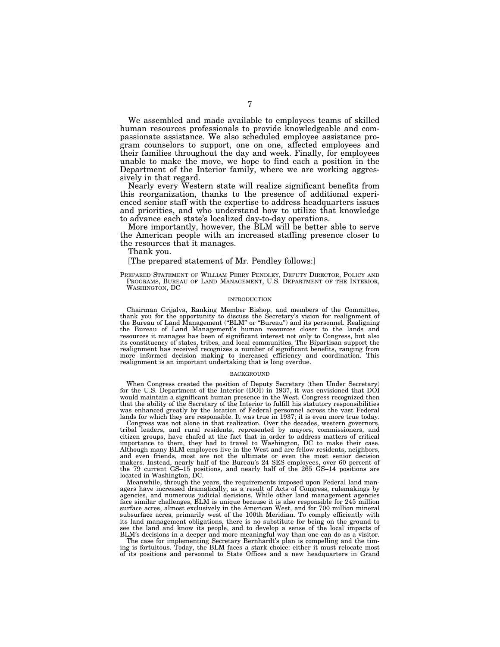We assembled and made available to employees teams of skilled human resources professionals to provide knowledgeable and compassionate assistance. We also scheduled employee assistance program counselors to support, one on one, affected employees and their families throughout the day and week. Finally, for employees unable to make the move, we hope to find each a position in the Department of the Interior family, where we are working aggressively in that regard.

Nearly every Western state will realize significant benefits from this reorganization, thanks to the presence of additional experienced senior staff with the expertise to address headquarters issues and priorities, and who understand how to utilize that knowledge to advance each state's localized day-to-day operations.

More importantly, however, the BLM will be better able to serve the American people with an increased staffing presence closer to the resources that it manages.

Thank you.

# [The prepared statement of Mr. Pendley follows:]

PREPARED STATEMENT OF WILLIAM PERRY PENDLEY, DEPUTY DIRECTOR, POLICY AND PROGRAMS, BUREAU OF LAND MANAGEMENT, U.S. DEPARTMENT OF THE INTERIOR, WASHINGTON, DC

#### INTRODUCTION

Chairman Grijalva, Ranking Member Bishop, and members of the Committee, thank you for the opportunity to discuss the Secretary's vision for realignment of the Bureau of Land Management (''BLM'' or ''Bureau'') and its personnel. Realigning the Bureau of Land Management's human resources closer to the lands and resources it manages has been of significant interest not only to Congress, but also its constituency of states, tribes, and local communities. The Bipartisan support the realignment has received recognizes a number of significant benefits, ranging from more informed decision making to increased efficiency and coordination. This realignment is an important undertaking that is long overdue.

#### **BACKGROUND**

When Congress created the position of Deputy Secretary (then Under Secretary) for the U.S. Department of the Interior (DOI) in 1937, it was envisioned that DOI would maintain a significant human presence in the West. Congress recognized then that the ability of the Secretary of the Interior to fulfill his statutory responsibilities was enhanced greatly by the location of Federal personnel across the vast Federal lands for which they are responsible. It was true in 1937; it is even more true today.

Congress was not alone in that realization. Over the decades, western governors, tribal leaders, and rural residents, represented by mayors, commissioners, and citizen groups, have chafed at the fact that in order to address matters of critical importance to them, they had to travel to Washington, DC to make their case. Although many BLM employees live in the West and are fellow residents, neighbors, and even friends, most are not the ultimate or even the most senior decision makers. Instead, nearly half of the Bureau's 24 SES employees, over 60 percent of the 79 current GS–15 positions, and nearly half of the 265 GS–14 positions are located in Washington, DC.

Meanwhile, through the years, the requirements imposed upon Federal land managers have increased dramatically, as a result of Acts of Congress, rulemakings by agencies, and numerous judicial decisions. While other land management agencies face similar challenges, BLM is unique because it is also responsible for 245 million surface acres, almost exclusively in the American West, and for 700 million mineral subsurface acres, primarily west of the 100th Meridian. To comply efficiently with its land management obligations, there is no substitute for being on the ground to see the land and know its people, and to develop a sense of the local impacts of BLM's decisions in a deeper and more meaningful way than one can do as a visitor.

The case for implementing Secretary Bernhardt's plan is compelling and the tim-ing is fortuitous. Today, the BLM faces a stark choice: either it must relocate most of its positions and personnel to State Offices and a new headquarters in Grand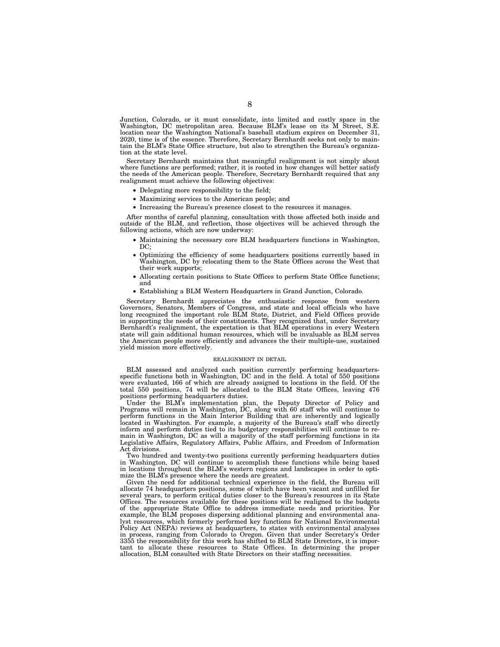Junction, Colorado, or it must consolidate, into limited and costly space in the Washington, DC metropolitan area. Because BLM's lease on its M Street, S.E. location near the Washington National's baseball stadium expires on December 31, 2020, time is of the essence. Therefore, Secretary Bernhardt seeks not only to maintain the BLM's State Office structure, but also to strengthen the Bureau's organization at the state level.

Secretary Bernhardt maintains that meaningful realignment is not simply about where functions are performed; rather, it is rooted in how changes will better satisfy the needs of the American people. Therefore, Secretary Bernhardt required that any realignment must achieve the following objectives:

- Delegating more responsibility to the field;
- Maximizing services to the American people; and
- Increasing the Bureau's presence closest to the resources it manages.

After months of careful planning, consultation with those affected both inside and outside of the BLM, and reflection, those objectives will be achieved through the following actions, which are now underway:

- Maintaining the necessary core BLM headquarters functions in Washington, DC:
- Optimizing the efficiency of some headquarters positions currently based in Washington, DC by relocating them to the State Offices across the West that their work supports;
- Allocating certain positions to State Offices to perform State Office functions; and
- Establishing a BLM Western Headquarters in Grand Junction, Colorado.

Secretary Bernhardt appreciates the enthusiastic response from western Governors, Senators, Members of Congress, and state and local officials who have long recognized the important role BLM State, District, and Field Offices provide in supporting the needs of their constituents. They recognized that, under Secretary Bernhardt's realignment, the expectation is that BLM operations in every Western state will gain additional human resources, which will be invaluable as BLM serves the American people more efficiently and advances the their multiple-use, sustained yield mission more effectively.

#### REALIGNMENT IN DETAIL

BLM assessed and analyzed each position currently performing headquartersspecific functions both in Washington, DC and in the field. A total of 550 positions were evaluated, 166 of which are already assigned to locations in the field. Of the total 550 positions, 74 will be allocated to the BLM State Offices, leaving 476 positions performing headquarters duties.

Under the BLM's implementation plan, the Deputy Director of Policy and Programs will remain in Washington, DC, along with 60 staff who will continue to perform functions in the Main Interior Building that are inherently and logically located in Washington. For example, a majority of the Bureau's staff who directly inform and perform duties tied to its budgetary responsibilities will continue to remain in Washington, DC as will a majority of the staff performing functions in its Legislative Affairs, Regulatory Affairs, Public Affairs, and Freedom of Information Act divisions.

Two hundred and twenty-two positions currently performing headquarters duties in Washington, DC will continue to accomplish these functions while being based in locations throughout the BLM's western regions and landscapes in order to optimize the BLM's presence where the needs are greatest.

Given the need for additional technical experience in the field, the Bureau will allocate 74 headquarters positions, some of which have been vacant and unfilled for several years, to perform critical duties closer to the Bureau's resources in its State Offices. The resources available for these positions will be realigned to the budgets of the appropriate State Office to address immediate needs and priorities. For example, the BLM proposes dispersing additional planning and environmental analyst resources, which formerly performed key functions for National Environmental Policy Act (NEPA) reviews at headquarters, to states with environmental analyses in process, ranging from Colorado to Oregon. Given that under Secretary's Order 3355 the responsibility for this work has shifted to BLM State Directors, it is important to allocate these resources to State Offices. In determining the proper allocation, BLM consulted with State Directors on their staffing necessities.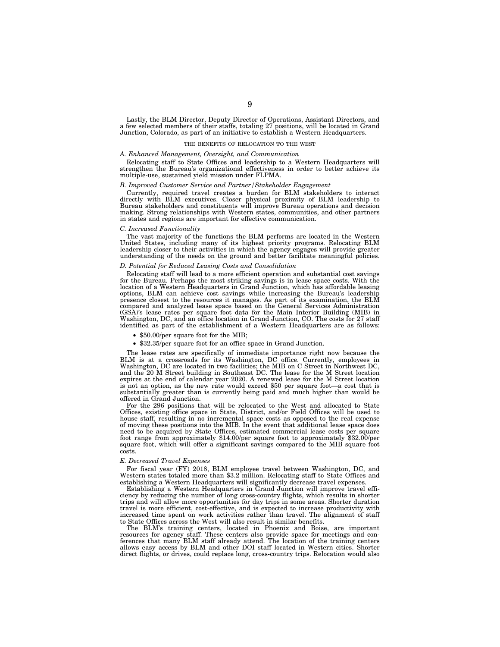Lastly, the BLM Director, Deputy Director of Operations, Assistant Directors, and a few selected members of their staffs, totaling 27 positions, will be located in Grand Junction, Colorado, as part of an initiative to establish a Western Headquarters.

#### THE BENEFITS OF RELOCATION TO THE WEST

#### *A. Enhanced Management, Oversight, and Communication*

Relocating staff to State Offices and leadership to a Western Headquarters will strengthen the Bureau's organizational effectiveness in order to better achieve its multiple-use, sustained yield mission under FLPMA.

### *B. Improved Customer Service and Partner/Stakeholder Engagement*

Currently, required travel creates a burden for BLM stakeholders to interact directly with BLM executives. Closer physical proximity of BLM leadership to Bureau stakeholders and constituents will improve Bureau operations and decision making. Strong relationships with Western states, communities, and other partners in states and regions are important for effective communication.

#### *C. Increased Functionality*

The vast majority of the functions the BLM performs are located in the Western United States, including many of its highest priority programs. Relocating BLM leadership closer to their activities in which the agency engages will provide greater understanding of the needs on the ground and better facilitate meaningful policies.

# *D. Potential for Reduced Leasing Costs and Consolidation*

Relocating staff will lead to a more efficient operation and substantial cost savings for the Bureau. Perhaps the most striking savings is in lease space costs. With the location of a Western Headquarters in Grand Junction, which has affordable leasing options, BLM can achieve cost savings while increasing the Bureau's leadership presence closest to the resources it manages. As part of its examination, the BLM compared and analyzed lease space based on the General Services Administration (GSA)'s lease rates per square foot data for the Main Interior Building (MIB) in Washington, DC, and an office location in Grand Junction, CO. The costs for 27 staff identified as part of the establishment of a Western Headquarters are as follows:

- \$50.00/per square foot for the MIB;
- \$32.35/per square foot for an office space in Grand Junction.

The lease rates are specifically of immediate importance right now because the BLM is at a crossroads for its Washington, DC office. Currently, employees in Washington, DC are located in two facilities; the MIB on C Street in Northwest DC, and the 20 M Street building in Southeast DC. The lease for the M Street location expires at the end of calendar year 2020. A renewed lease for the M Street location is not an option, as the new rate would exceed \$50 per square foot—a cost that is substantially greater than is currently being paid and much higher than would be offered in Grand Junction.

For the 296 positions that will be relocated to the West and allocated to State Offices, existing office space in State, District, and/or Field Offices will be used to house staff, resulting in no incremental space costs as opposed to the real expense of moving these positions into the MIB. In the event that additional lease space does need to be acquired by State Offices, estimated commercial lease costs per square foot range from approximately \$14.00/per square foot to approximately \$32.00/per square foot, which will offer a significant savings compared to the MIB square foot costs.

#### *E. Decreased Travel Expenses*

For fiscal year (FY) 2018, BLM employee travel between Washington, DC, and Western states totaled more than \$3.2 million. Relocating staff to State Offices and establishing a Western Headquarters will significantly decrease travel expenses.

Establishing a Western Headquarters in Grand Junction will improve travel efficiency by reducing the number of long cross-country flights, which results in shorter trips and will allow more opportunities for day trips in some areas. Shorter duration travel is more efficient, cost-effective, and is expected to increase productivity with increased time spent on work activities rather than travel. The alignment of staff to State Offices across the West will also result in similar benefits.

The BLM's training centers, located in Phoenix and Boise, are important resources for agency staff. These centers also provide space for meetings and conferences that many BLM staff already attend. The location of the training centers allows easy access by BLM and other DOI staff located in Western cities. Shorter direct flights, or drives, could replace long, cross-country trips. Relocation would also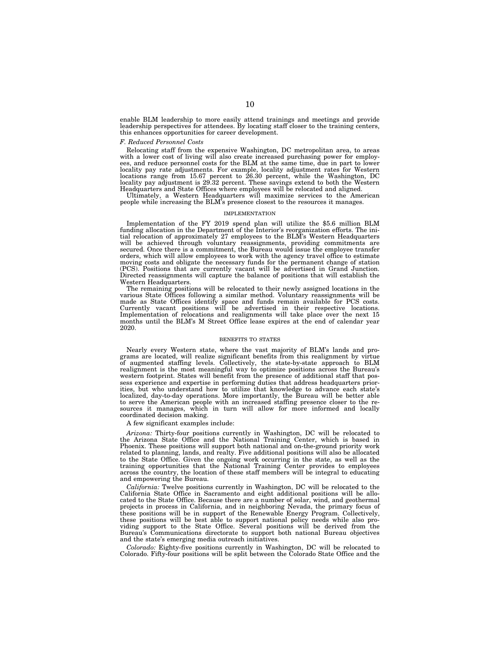enable BLM leadership to more easily attend trainings and meetings and provide leadership perspectives for attendees. By locating staff closer to the training centers, this enhances opportunities for career development.

#### *F. Reduced Personnel Costs*

Relocating staff from the expensive Washington, DC metropolitan area, to areas with a lower cost of living will also create increased purchasing power for employees, and reduce personnel costs for the BLM at the same time, due in part to lower locality pay rate adjustments. For example, locality adjustment rates for Western locations range from 15.67 percent to 26.30 percent, while the Washington, DC locality pay adjustment is 29.32 percent. These savings extend to both the Western Headquarters and State Offices where employees will be relocated and aligned.

Ultimately, a Western Headquarters will maximize services to the American people while increasing the BLM's presence closest to the resources it manages.

#### IMPLEMENTATION

Implementation of the FY 2019 spend plan will utilize the \$5.6 million BLM funding allocation in the Department of the Interior's reorganization efforts. The initial relocation of approximately 27 employees to the BLM's Western Headquarters will be achieved through voluntary reassignments, providing commitments are secured. Once there is a commitment, the Bureau would issue the employee transfer orders, which will allow employees to work with the agency travel office to estimate moving costs and obligate the necessary funds for the permanent change of station (PCS). Positions that are currently vacant will be advertised in Grand Junction. Directed reassignments will capture the balance of positions that will establish the Western Headquarters.

The remaining positions will be relocated to their newly assigned locations in the various State Offices following a similar method. Voluntary reassignments will be made as State Offices identify space and funds remain available for PCS costs. Currently vacant positions will be advertised in their respective locations. Implementation of relocations and realignments will take place over the next 15 months until the BLM's M Street Office lease expires at the end of calendar year 2020.

#### BENEFITS TO STATES

Nearly every Western state, where the vast majority of BLM's lands and programs are located, will realize significant benefits from this realignment by virtue of augmented staffing levels. Collectively, the state-by-state approach to BLM realignment is the most meaningful way to optimize positions across the Bureau's western footprint. States will benefit from the presence of additional staff that possess experience and expertise in performing duties that address headquarters priorities, but who understand how to utilize that knowledge to advance each state's localized, day-to-day operations. More importantly, the Bureau will be better able to serve the American people with an increased staffing presence closer to the resources it manages, which in turn will allow for more informed and locally coordinated decision making.

#### A few significant examples include:

*Arizona:* Thirty-four positions currently in Washington, DC will be relocated to the Arizona State Office and the National Training Center, which is based in Phoenix. These positions will support both national and on-the-ground priority work related to planning, lands, and realty. Five additional positions will also be allocated to the State Office. Given the ongoing work occurring in the state, as well as the training opportunities that the National Training Center provides to employees across the country, the location of these staff members will be integral to educating and empowering the Bureau.

*California:* Twelve positions currently in Washington, DC will be relocated to the California State Office in Sacramento and eight additional positions will be allocated to the State Office. Because there are a number of solar, wind, and geothermal projects in process in California, and in neighboring Nevada, the primary focus of these positions will be in support of the Renewable Energy Program. Collectively, these positions will be best able to support national policy needs while also providing support to the State Office. Several positions will be derived from the Bureau's Communications directorate to support both national Bureau objectives and the state's emerging media outreach initiatives.

*Colorado:* Eighty-five positions currently in Washington, DC will be relocated to Colorado. Fifty-four positions will be split between the Colorado State Office and the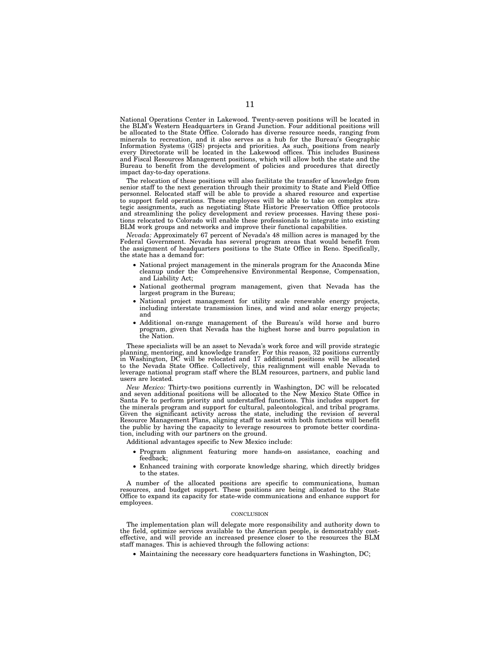National Operations Center in Lakewood. Twenty-seven positions will be located in the BLM's Western Headquarters in Grand Junction. Four additional positions will be allocated to the State Office. Colorado has diverse resource needs, ranging from minerals to recreation, and it also serves as a hub for the Bureau's Geographic Information Systems (GIS) projects and priorities. As such, positions from nearly every Directorate will be located in the Lakewood offices. This includes Business and Fiscal Resources Management positions, which will allow both the state and the Bureau to benefit from the development of policies and procedures that directly impact day-to-day operations.

The relocation of these positions will also facilitate the transfer of knowledge from senior staff to the next generation through their proximity to State and Field Office personnel. Relocated staff will be able to provide a shared resource and expertise to support field operations. These employees will be able to take on complex strategic assignments, such as negotiating State Historic Preservation Office protocols and streamlining the policy development and review processes. Having these positions relocated to Colorado will enable these professionals to integrate into existing BLM work groups and networks and improve their functional capabilities.

*Nevada:* Approximately 67 percent of Nevada's 48 million acres is managed by the Federal Government. Nevada has several program areas that would benefit from the assignment of headquarters positions to the State Office in Reno. Specifically, the state has a demand for:

- National project management in the minerals program for the Anaconda Mine cleanup under the Comprehensive Environmental Response, Compensation, and Liability Act;
- National geothermal program management, given that Nevada has the largest program in the Bureau;
- National project management for utility scale renewable energy projects, including interstate transmission lines, and wind and solar energy projects; and
- Additional on-range management of the Bureau's wild horse and burro program, given that Nevada has the highest horse and burro population in the Nation.

These specialists will be an asset to Nevada's work force and will provide strategic planning, mentoring, and knowledge transfer. For this reason, 32 positions currently in Washington, DC will be relocated and 17 additional positions will be allocated to the Nevada State Office. Collectively, this realignment will enable Nevada to leverage national program staff where the BLM resources, partners, and public land users are located.

*New Mexico:* Thirty-two positions currently in Washington, DC will be relocated and seven additional positions will be allocated to the New Mexico State Office in Santa Fe to perform priority and understaffed functions. This includes support for the minerals program and support for cultural, paleontological, and tribal programs. Given the significant activity across the state, including the revision of several Resource Management Plans, aligning staff to assist with both functions will benefit the public by having the capacity to leverage resources to promote better coordination, including with our partners on the ground.

Additional advantages specific to New Mexico include:

- Program alignment featuring more hands-on assistance, coaching and feedback;
- Enhanced training with corporate knowledge sharing, which directly bridges to the states.

A number of the allocated positions are specific to communications, human resources, and budget support. These positions are being allocated to the State Office to expand its capacity for state-wide communications and enhance support for employees.

#### CONCLUSION

The implementation plan will delegate more responsibility and authority down to the field, optimize services available to the American people, is demonstrably costeffective, and will provide an increased presence closer to the resources the BLM staff manages. This is achieved through the following actions:

• Maintaining the necessary core headquarters functions in Washington, DC;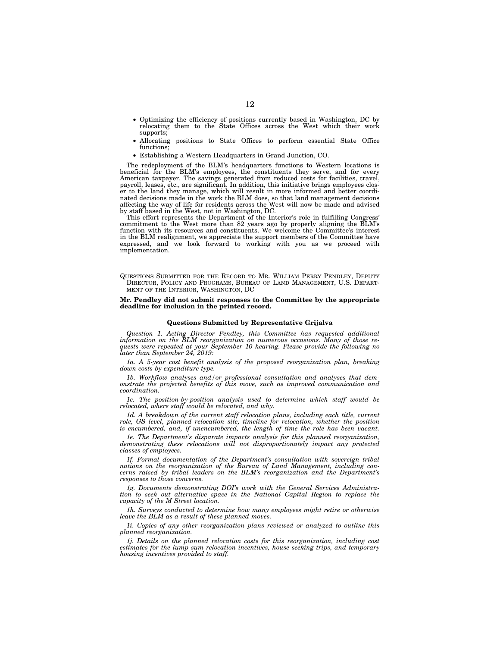- Optimizing the efficiency of positions currently based in Washington, DC by relocating them to the State Offices across the West which their work supports;
- Allocating positions to State Offices to perform essential State Office functions;
- Establishing a Western Headquarters in Grand Junction, CO.

The redeployment of the BLM's headquarters functions to Western locations is beneficial for the BLM's employees, the constituents they serve, and for every American taxpayer. The savings generated from reduced costs for facilities, travel, payroll, leases, etc., are significant. In addition, this initiative brings employees closer to the land they manage, which will result in more informed and better coordinated decisions made in the work the BLM does, so that land management decisions affecting the way of life for residents across the West will now be made and advised by staff based in the West, not in Washington, DC.

This effort represents the Department of the Interior's role in fulfilling Congress' commitment to the West more than 82 years ago by properly aligning the BLM's function with its resources and constituents. We welcome the Committee's interest in the BLM realignment, we appreciate the support members of the Committee have expressed, and we look forward to working with you as we proceed with implementation.

#### **Mr. Pendley did not submit responses to the Committee by the appropriate deadline for inclusion in the printed record.**

### **Questions Submitted by Representative Grijalva**

*Question 1. Acting Director Pendley, this Committee has requested additional information on the BLM reorganization on numerous occasions. Many of those requests were repeated at your September 10 hearing. Please provide the following no later than September 24, 2019:* 

*1a. A 5-year cost benefit analysis of the proposed reorganization plan, breaking down costs by expenditure type.* 

*1b. Workflow analyses and/or professional consultation and analyses that demonstrate the projected benefits of this move, such as improved communication and coordination.* 

*1c. The position-by-position analysis used to determine which staff would be relocated, where staff would be relocated, and why.* 

1d. A breakdown of the current staff relocation plans, including each title, current *role, GS level, planned relocation site, timeline for relocation, whether the position*  is encumbered, and, if unencumbered, the length of time the role has been vacant.

*1e. The Department's disparate impacts analysis for this planned reorganization, demonstrating these relocations will not disproportionately impact any protected classes of employees.* 

*1f. Formal documentation of the Department's consultation with sovereign tribal nations on the reorganization of the Bureau of Land Management, including concerns raised by tribal leaders on the BLM's reorganization and the Department's responses to those concerns.* 

*1g. Documents demonstrating DOI's work with the General Services Administration to seek out alternative space in the National Capital Region to replace the capacity of the M Street location.* 

*1h. Surveys conducted to determine how many employees might retire or otherwise leave the BLM as a result of these planned moves.* 

*1i. Copies of any other reorganization plans reviewed or analyzed to outline this planned reorganization.* 

*1j. Details on the planned relocation costs for this reorganization, including cost estimates for the lump sum relocation incentives, house seeking trips, and temporary housing incentives provided to staff.* 

QUESTIONS SUBMITTED FOR THE RECORD TO MR. WILLIAM PERRY PENDLEY, DEPUTY DIRECTOR, POLICY AND PROGRAMS, BUREAU OF LAND MANAGEMENT, U.S. DEPART-MENT OF THE INTERIOR, WASHINGTON, DC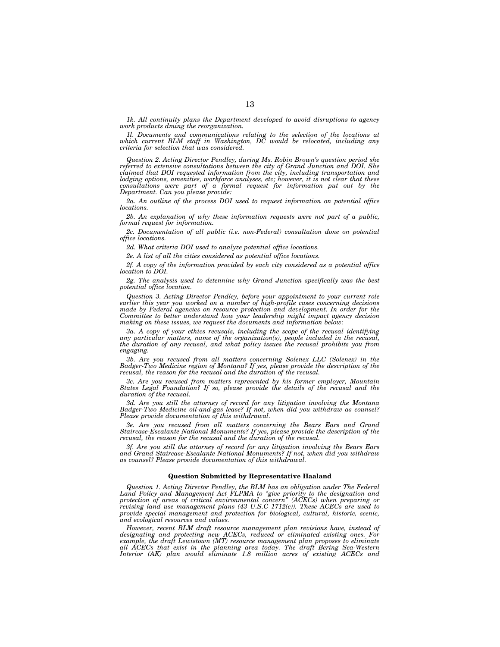*1k. All continuity plans the Department developed to avoid disruptions to agency work products dming the reorganization.* 

*1l. Documents and communications relating to the selection of the locations at which current BLM staff in Washington, DC would be relocated, including any criteria for selection that was considered.* 

*Question 2. Acting Director Pendley, during Ms. Robin Brown's question period she referred to extensive consultations between the city of Grand Junction and DOI. She claimed that DOI requested information from the city, including transportation and lodging options, amenities, workforce analyses, etc; however, it is not clear that these consultations were part of a formal request for information put out by the Department. Can you please provide:* 

*2a. An outline of the process DOI used to request information on potential office locations.* 

*2b. An explanation of why these information requests were not part of a public, formal request for information.* 

*2c. Documentation of all public (i.e. non-Federal) consultation done on potential office locations.* 

*2d. What criteria DOI used to analyze potential office locations.* 

*2e. A list of all the cities considered as potential office locations.* 

*2f. A copy of the information provided by each city considered as a potential office location to DOI.* 

*2g. The analysis used to detennine why Grand Junction specifically was the best potential office location.* 

*Question 3. Acting Director Pendley, before your appointment to your current role earlier this year you worked on a number of high-profile cases concerning decisions made by Federal agencies on resource protection and development. In order for the Committee to better understand how your leadership might impact agency decision making on these issues, we request the documents and information below:* 

*3a. A copy of your ethics recusals, including the scope of the recusal identifying any particular matters, name of the organization(s), people included in the recusal, the duration of any recusal, and what policy issues the recusal prohibits you from engaging.* 

*3b. Are you recused from all matters concerning Solenex LLC (Solenex) in the Badger-Two Medicine region of Montana? If yes, please provide the description of the recusal, the reason for the recusal and the duration of the recusal.* 

*3c. Are you recused from matters represented by his former employer, Mountain*  States Legal Foundation? If so, please provide the details of the recusal and the *duration of the recusal.* 

*3d. Are you still the attorney of record for any litigation involving the Montana Badger-Two Medicine oil-and-gas lease? If not, when did you withdraw as counsel? Please provide documentation of this withdrawal.* 

*3e. Are you recused from all matters concerning the Bears Ears and Grand Staircase-Escalante National Monuments? If yes, please provide the description of the recusal, the reason for the recusal and the duration of the recusal.* 

*3f. Are you still the attorney of record for any litigation involving the Bears Ears and Grand Staircase-Escalante National Monuments? If not, when did you withdraw as counsel? Please provide documentation of this withdrawal.* 

# **Question Submitted by Representative Haaland**

*Question 1. Acting Director Pendley, the BLM has an obligation under The Federal Land Policy and Management Act FLPMA to ''give priority to the designation and protection of areas of critical environmental concern'' (ACECs) when preparing or*  revising land use management plans (43 U.S.C 1712(c)). These ACECs are used to *provide special management and protection for biological, cultural, historic, scenic, and ecological resources and values.* 

*However, recent BLM draft resource management plan revisions have, instead of designating and protecting new ACECs, reduced or eliminated existing ones. For*  example, the draft Lewistown (MT) resource management plan proposes to eliminate *all ACECs that exist in the planning area today. The draft Bering Sea-Western Interior (AK) plan would eliminate 1.8 million acres of existing ACECs and*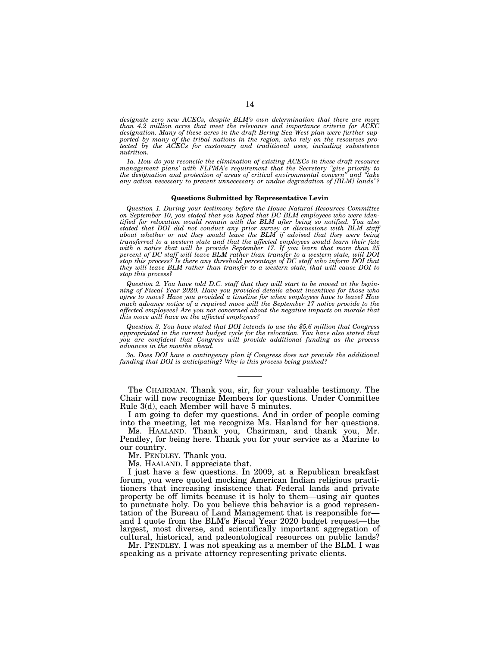designate zero new ACECs, despite BLM's own determination that there are more *than 4.2 million acres that meet the relevance and importance criteria for ACEC designation. Many of these acres in the draft Bering Sea-West plan were further supported by many of the tribal nations in the region, who rely on the resources protected by the ACECs for customary and traditional uses, including subsistence nutrition.* 

*1a. How do you reconcile the elimination of existing ACECs in these draft resource management plans' with FLPMA's requirement that the Secretary ''give priority to the designation and protection of areas of critical environmental concern'' and ''take any action necessary to prevent unnecessary or undue degradation of [BLM] lands''?* 

### **Questions Submitted by Representative Levin**

*Question 1. During your testimony before the House Natural Resources Committee on September 10, you stated that you hoped that DC BLM employees who were identified for relocation would remain with the BLM after being so notified. You also stated that DOI did not conduct any prior survey or discussions with BLM staff about whether or not they would leave the BLM if advised that they were being transferred to a western state and that the affected employees would learn their fate with a notice that will be provide September 17. If you learn that more than 25 percent of DC staff will leave BLM rather than transfer to a western state, will DOI stop this process? Is there any threshold percentage of DC staff who inform DOI that they will leave BLM rather than transfer to a western state, that will cause DOI to stop this process?* 

*Question 2. You have told D.C. staff that they will start to be moved at the beginning of Fiscal Year 2020. Have you provided details about incentives for those who agree to move? Have you provided a timeline for when employees have to leave? How much advance notice of a required move will the September 17 notice provide to the affected employees? Are you not concerned about the negative impacts on morale that this move will have on the affected employees?* 

*Question 3. You have stated that DOI intends to use the \$5.6 million that Congress appropriated in the current budget cycle for the relocation. You have also stated that you are confident that Congress will provide additional funding as the process advances in the months ahead.* 

*3a. Does DOI have a contingency plan if Congress does not provide the additional funding that DOI is anticipating? Why is this process being pushed?* 

The CHAIRMAN. Thank you, sir, for your valuable testimony. The Chair will now recognize Members for questions. Under Committee Rule 3(d), each Member will have 5 minutes.

I am going to defer my questions. And in order of people coming into the meeting, let me recognize Ms. Haaland for her questions.

Ms. HAALAND. Thank you, Chairman, and thank you, Mr. Pendley, for being here. Thank you for your service as a Marine to our country.

Mr. PENDLEY. Thank you.

Ms. HAALAND. I appreciate that.

I just have a few questions. In 2009, at a Republican breakfast forum, you were quoted mocking American Indian religious practitioners that increasing insistence that Federal lands and private property be off limits because it is holy to them—using air quotes to punctuate holy. Do you believe this behavior is a good representation of the Bureau of Land Management that is responsible for and I quote from the BLM's Fiscal Year 2020 budget request—the largest, most diverse, and scientifically important aggregation of cultural, historical, and paleontological resources on public lands?

Mr. PENDLEY. I was not speaking as a member of the BLM. I was speaking as a private attorney representing private clients.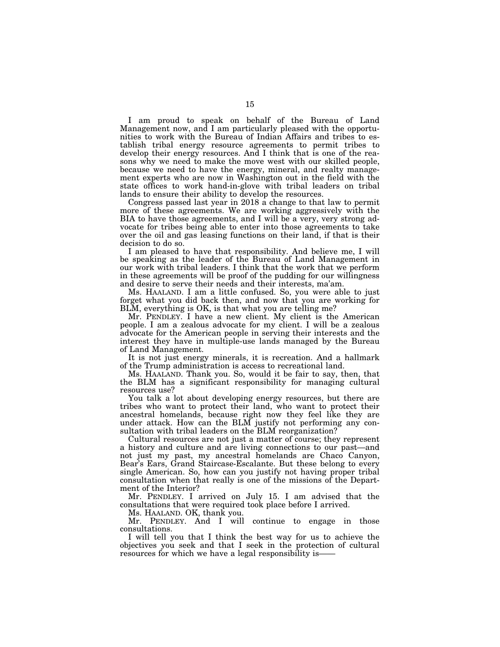I am proud to speak on behalf of the Bureau of Land Management now, and I am particularly pleased with the opportunities to work with the Bureau of Indian Affairs and tribes to establish tribal energy resource agreements to permit tribes to develop their energy resources. And I think that is one of the reasons why we need to make the move west with our skilled people, because we need to have the energy, mineral, and realty management experts who are now in Washington out in the field with the state offices to work hand-in-glove with tribal leaders on tribal lands to ensure their ability to develop the resources.

Congress passed last year in 2018 a change to that law to permit more of these agreements. We are working aggressively with the BIA to have those agreements, and I will be a very, very strong advocate for tribes being able to enter into those agreements to take over the oil and gas leasing functions on their land, if that is their decision to do so.

I am pleased to have that responsibility. And believe me, I will be speaking as the leader of the Bureau of Land Management in our work with tribal leaders. I think that the work that we perform in these agreements will be proof of the pudding for our willingness and desire to serve their needs and their interests, ma'am.

Ms. HAALAND. I am a little confused. So, you were able to just forget what you did back then, and now that you are working for BLM, everything is OK, is that what you are telling me?

Mr. PENDLEY. I have a new client. My client is the American people. I am a zealous advocate for my client. I will be a zealous advocate for the American people in serving their interests and the interest they have in multiple-use lands managed by the Bureau of Land Management.

It is not just energy minerals, it is recreation. And a hallmark of the Trump administration is access to recreational land.

Ms. HAALAND. Thank you. So, would it be fair to say, then, that the BLM has a significant responsibility for managing cultural resources use?

You talk a lot about developing energy resources, but there are tribes who want to protect their land, who want to protect their ancestral homelands, because right now they feel like they are under attack. How can the BLM justify not performing any consultation with tribal leaders on the BLM reorganization?

Cultural resources are not just a matter of course; they represent a history and culture and are living connections to our past—and not just my past, my ancestral homelands are Chaco Canyon, Bear's Ears, Grand Staircase-Escalante. But these belong to every single American. So, how can you justify not having proper tribal consultation when that really is one of the missions of the Department of the Interior?

Mr. PENDLEY. I arrived on July 15. I am advised that the consultations that were required took place before I arrived.

Ms. HAALAND. OK, thank you.

Mr. PENDLEY. And I will continue to engage in those consultations.

I will tell you that I think the best way for us to achieve the objectives you seek and that I seek in the protection of cultural resources for which we have a legal responsibility is-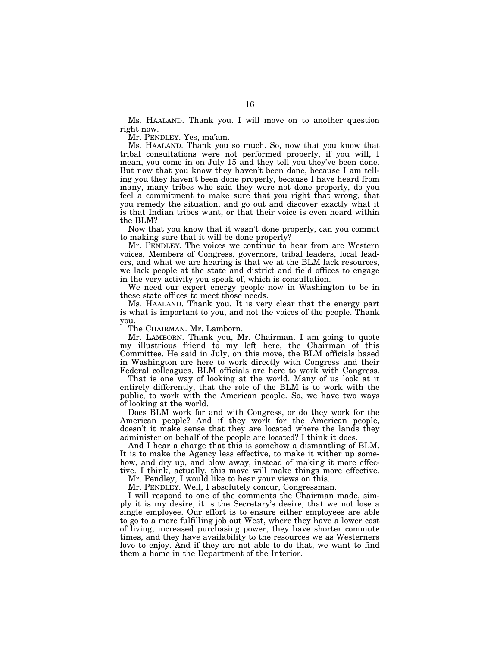Ms. HAALAND. Thank you. I will move on to another question right now.

Mr. PENDLEY. Yes, ma'am.

Ms. HAALAND. Thank you so much. So, now that you know that tribal consultations were not performed properly, if you will, I mean, you come in on July 15 and they tell you they've been done. But now that you know they haven't been done, because I am telling you they haven't been done properly, because I have heard from many, many tribes who said they were not done properly, do you feel a commitment to make sure that you right that wrong, that you remedy the situation, and go out and discover exactly what it is that Indian tribes want, or that their voice is even heard within the BLM?

Now that you know that it wasn't done properly, can you commit to making sure that it will be done properly?

Mr. PENDLEY. The voices we continue to hear from are Western voices, Members of Congress, governors, tribal leaders, local leaders, and what we are hearing is that we at the BLM lack resources, we lack people at the state and district and field offices to engage in the very activity you speak of, which is consultation.

We need our expert energy people now in Washington to be in these state offices to meet those needs.

Ms. HAALAND. Thank you. It is very clear that the energy part is what is important to you, and not the voices of the people. Thank you.

The CHAIRMAN. Mr. Lamborn.

Mr. LAMBORN. Thank you, Mr. Chairman. I am going to quote my illustrious friend to my left here, the Chairman of this Committee. He said in July, on this move, the BLM officials based in Washington are here to work directly with Congress and their Federal colleagues. BLM officials are here to work with Congress.

That is one way of looking at the world. Many of us look at it entirely differently, that the role of the BLM is to work with the public, to work with the American people. So, we have two ways of looking at the world.

Does BLM work for and with Congress, or do they work for the American people? And if they work for the American people, doesn't it make sense that they are located where the lands they administer on behalf of the people are located? I think it does.

And I hear a charge that this is somehow a dismantling of BLM. It is to make the Agency less effective, to make it wither up somehow, and dry up, and blow away, instead of making it more effective. I think, actually, this move will make things more effective.

Mr. Pendley, I would like to hear your views on this.

Mr. PENDLEY. Well, I absolutely concur, Congressman.

I will respond to one of the comments the Chairman made, simply it is my desire, it is the Secretary's desire, that we not lose a single employee. Our effort is to ensure either employees are able to go to a more fulfilling job out West, where they have a lower cost of living, increased purchasing power, they have shorter commute times, and they have availability to the resources we as Westerners love to enjoy. And if they are not able to do that, we want to find them a home in the Department of the Interior.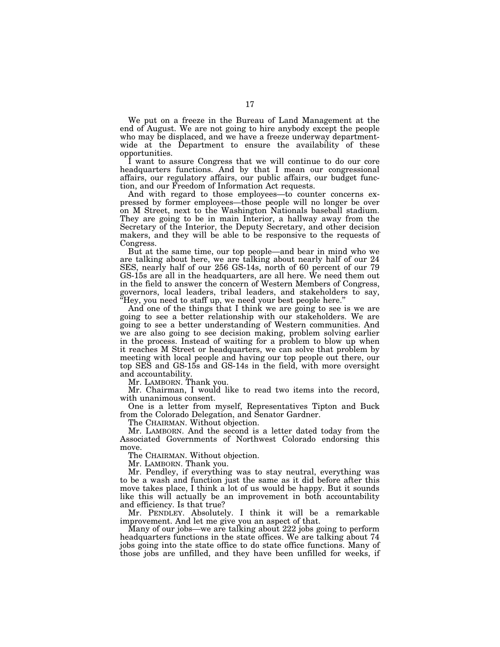We put on a freeze in the Bureau of Land Management at the end of August. We are not going to hire anybody except the people who may be displaced, and we have a freeze underway departmentwide at the Department to ensure the availability of these opportunities.

I want to assure Congress that we will continue to do our core headquarters functions. And by that I mean our congressional affairs, our regulatory affairs, our public affairs, our budget function, and our Freedom of Information Act requests.

And with regard to those employees—to counter concerns expressed by former employees—those people will no longer be over on M Street, next to the Washington Nationals baseball stadium. They are going to be in main Interior, a hallway away from the Secretary of the Interior, the Deputy Secretary, and other decision makers, and they will be able to be responsive to the requests of Congress.

But at the same time, our top people—and bear in mind who we are talking about here, we are talking about nearly half of our 24 SES, nearly half of our 256 GS-14s, north of 60 percent of our 79 GS-15s are all in the headquarters, are all here. We need them out in the field to answer the concern of Western Members of Congress, governors, local leaders, tribal leaders, and stakeholders to say, ''Hey, you need to staff up, we need your best people here.''

And one of the things that I think we are going to see is we are going to see a better relationship with our stakeholders. We are going to see a better understanding of Western communities. And we are also going to see decision making, problem solving earlier in the process. Instead of waiting for a problem to blow up when it reaches M Street or headquarters, we can solve that problem by meeting with local people and having our top people out there, our top SES and GS-15s and GS-14s in the field, with more oversight and accountability.

Mr. LAMBORN. Thank you.

Mr. Chairman, I would like to read two items into the record, with unanimous consent.

One is a letter from myself, Representatives Tipton and Buck from the Colorado Delegation, and Senator Gardner.

The CHAIRMAN. Without objection.

Mr. LAMBORN. And the second is a letter dated today from the Associated Governments of Northwest Colorado endorsing this move.

The CHAIRMAN. Without objection.

Mr. LAMBORN. Thank you.

Mr. Pendley, if everything was to stay neutral, everything was to be a wash and function just the same as it did before after this move takes place, I think a lot of us would be happy. But it sounds like this will actually be an improvement in both accountability and efficiency. Is that true?

Mr. PENDLEY. Absolutely. I think it will be a remarkable improvement. And let me give you an aspect of that.

Many of our jobs—we are talking about 222 jobs going to perform headquarters functions in the state offices. We are talking about 74 jobs going into the state office to do state office functions. Many of those jobs are unfilled, and they have been unfilled for weeks, if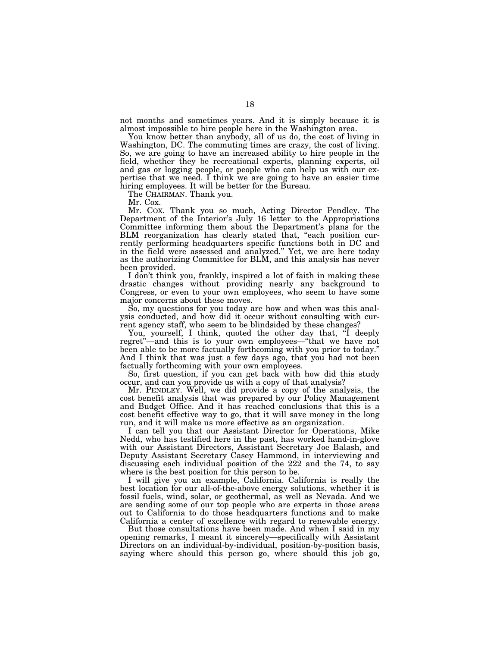not months and sometimes years. And it is simply because it is almost impossible to hire people here in the Washington area.

You know better than anybody, all of us do, the cost of living in Washington, DC. The commuting times are crazy, the cost of living. So, we are going to have an increased ability to hire people in the field, whether they be recreational experts, planning experts, oil and gas or logging people, or people who can help us with our expertise that we need. I think we are going to have an easier time hiring employees. It will be better for the Bureau.

The CHAIRMAN. Thank you.

Mr. Cox.

Mr. COX. Thank you so much, Acting Director Pendley. The Department of the Interior's July 16 letter to the Appropriations Committee informing them about the Department's plans for the BLM reorganization has clearly stated that, "each position currently performing headquarters specific functions both in DC and in the field were assessed and analyzed.'' Yet, we are here today as the authorizing Committee for BLM, and this analysis has never been provided.

I don't think you, frankly, inspired a lot of faith in making these drastic changes without providing nearly any background to Congress, or even to your own employees, who seem to have some major concerns about these moves.

So, my questions for you today are how and when was this analysis conducted, and how did it occur without consulting with current agency staff, who seem to be blindsided by these changes?

You, yourself, I think, quoted the other day that, "I deeply regret''—and this is to your own employees—''that we have not been able to be more factually forthcoming with you prior to today.'' And I think that was just a few days ago, that you had not been factually forthcoming with your own employees.

So, first question, if you can get back with how did this study occur, and can you provide us with a copy of that analysis?

Mr. PENDLEY. Well, we did provide a copy of the analysis, the cost benefit analysis that was prepared by our Policy Management and Budget Office. And it has reached conclusions that this is a cost benefit effective way to go, that it will save money in the long run, and it will make us more effective as an organization.

I can tell you that our Assistant Director for Operations, Mike Nedd, who has testified here in the past, has worked hand-in-glove with our Assistant Directors, Assistant Secretary Joe Balash, and Deputy Assistant Secretary Casey Hammond, in interviewing and discussing each individual position of the 222 and the 74, to say where is the best position for this person to be.

I will give you an example, California. California is really the best location for our all-of-the-above energy solutions, whether it is fossil fuels, wind, solar, or geothermal, as well as Nevada. And we are sending some of our top people who are experts in those areas out to California to do those headquarters functions and to make California a center of excellence with regard to renewable energy.

But those consultations have been made. And when I said in my opening remarks, I meant it sincerely—specifically with Assistant Directors on an individual-by-individual, position-by-position basis, saying where should this person go, where should this job go,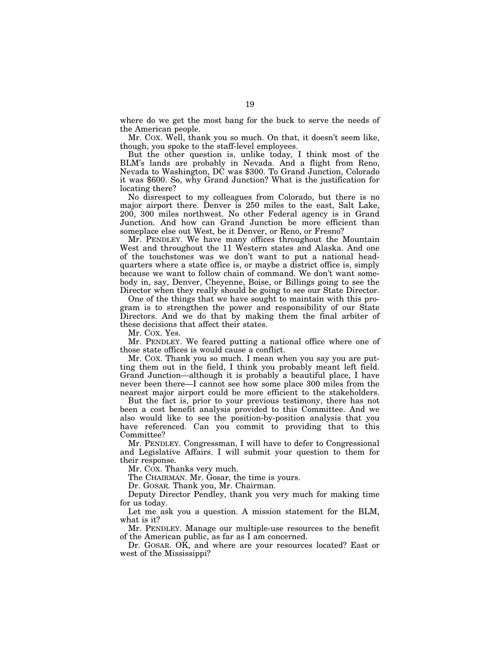where do we get the most bang for the buck to serve the needs of the American people.

Mr. COX. Well, thank you so much. On that, it doesn't seem like, though, you spoke to the staff-level employees.

But the other question is, unlike today, I think most of the BLM's lands are probably in Nevada. And a flight from Reno, Nevada to Washington, DC was \$300. To Grand Junction, Colorado it was \$600. So, why Grand Junction? What is the justification for locating there?

No disrespect to my colleagues from Colorado, but there is no major airport there. Denver is 250 miles to the east, Salt Lake, 200, 300 miles northwest. No other Federal agency is in Grand Junction. And how can Grand Junction be more efficient than someplace else out West, be it Denver, or Reno, or Fresno?

Mr. PENDLEY. We have many offices throughout the Mountain West and throughout the 11 Western states and Alaska. And one of the touchstones was we don't want to put a national headquarters where a state office is, or maybe a district office is, simply because we want to follow chain of command. We don't want somebody in, say, Denver, Cheyenne, Boise, or Billings going to see the Director when they really should be going to see our State Director.

One of the things that we have sought to maintain with this program is to strengthen the power and responsibility of our State Directors. And we do that by making them the final arbiter of these decisions that affect their states.

Mr. COX. Yes.

Mr. PENDLEY. We feared putting a national office where one of those state offices is would cause a conflict.

Mr. COX. Thank you so much. I mean when you say you are putting them out in the field, I think you probably meant left field. Grand Junction—although it is probably a beautiful place, I have never been there—I cannot see how some place 300 miles from the nearest major airport could be more efficient to the stakeholders.

But the fact is, prior to your previous testimony, there has not been a cost benefit analysis provided to this Committee. And we also would like to see the position-by-position analysis that you have referenced. Can you commit to providing that to this Committee?

Mr. PENDLEY. Congressman, I will have to defer to Congressional and Legislative Affairs. I will submit your question to them for their response.

Mr. COX. Thanks very much.

The CHAIRMAN. Mr. Gosar, the time is yours.

Dr. GOSAR. Thank you, Mr. Chairman.

Deputy Director Pendley, thank you very much for making time for us today.

Let me ask you a question. A mission statement for the BLM, what is it?

Mr. PENDLEY. Manage our multiple-use resources to the benefit of the American public, as far as I am concerned.

Dr. GOSAR. OK, and where are your resources located? East or west of the Mississippi?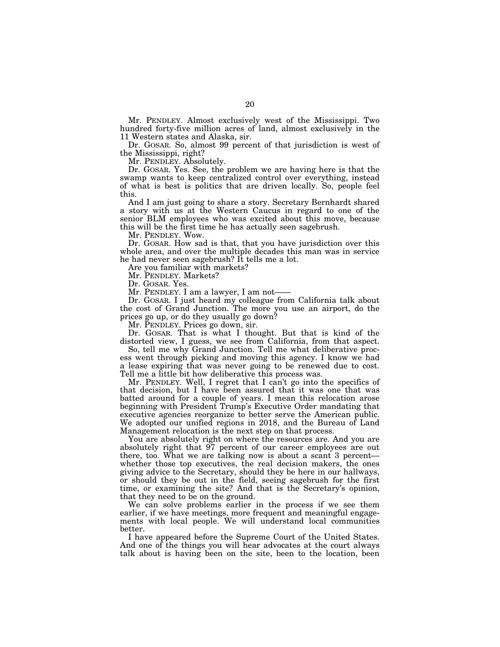Mr. PENDLEY. Almost exclusively west of the Mississippi. Two hundred forty-five million acres of land, almost exclusively in the 11 Western states and Alaska, sir.

Dr. GOSAR. So, almost 99 percent of that jurisdiction is west of the Mississippi, right?

Mr. PENDLEY. Absolutely.

Dr. GOSAR. Yes. See, the problem we are having here is that the swamp wants to keep centralized control over everything, instead of what is best is politics that are driven locally. So, people feel this.

And I am just going to share a story. Secretary Bernhardt shared a story with us at the Western Caucus in regard to one of the senior BLM employees who was excited about this move, because this will be the first time he has actually seen sagebrush.

Mr. PENDLEY. Wow.

Dr. GOSAR. How sad is that, that you have jurisdiction over this whole area, and over the multiple decades this man was in service he had never seen sagebrush? It tells me a lot.

Are you familiar with markets?

Mr. PENDLEY. Markets?

Dr. GOSAR. Yes.

Mr. PENDLEY. I am a lawyer, I am not-

Dr. GOSAR. I just heard my colleague from California talk about the cost of Grand Junction. The more you use an airport, do the prices go up, or do they usually go down?

Mr. PENDLEY. Prices go down, sir.

Dr. GOSAR. That is what I thought. But that is kind of the distorted view, I guess, we see from California, from that aspect.

So, tell me why Grand Junction. Tell me what deliberative process went through picking and moving this agency. I know we had a lease expiring that was never going to be renewed due to cost. Tell me a little bit how deliberative this process was.

Mr. PENDLEY. Well, I regret that I can't go into the specifics of that decision, but I have been assured that it was one that was batted around for a couple of years. I mean this relocation arose beginning with President Trump's Executive Order mandating that executive agencies reorganize to better serve the American public. We adopted our unified regions in 2018, and the Bureau of Land Management relocation is the next step on that process.

You are absolutely right on where the resources are. And you are absolutely right that 97 percent of our career employees are out there, too. What we are talking now is about a scant 3 percent whether those top executives, the real decision makers, the ones giving advice to the Secretary, should they be here in our hallways, or should they be out in the field, seeing sagebrush for the first time, or examining the site? And that is the Secretary's opinion, that they need to be on the ground.

We can solve problems earlier in the process if we see them earlier, if we have meetings, more frequent and meaningful engagements with local people. We will understand local communities better.

I have appeared before the Supreme Court of the United States. And one of the things you will hear advocates at the court always talk about is having been on the site, been to the location, been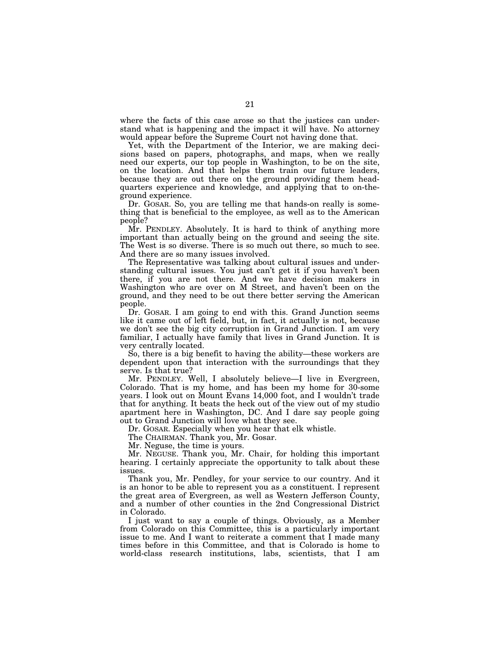where the facts of this case arose so that the justices can understand what is happening and the impact it will have. No attorney would appear before the Supreme Court not having done that.

Yet, with the Department of the Interior, we are making decisions based on papers, photographs, and maps, when we really need our experts, our top people in Washington, to be on the site, on the location. And that helps them train our future leaders, because they are out there on the ground providing them headquarters experience and knowledge, and applying that to on-theground experience.

Dr. GOSAR. So, you are telling me that hands-on really is something that is beneficial to the employee, as well as to the American people?

Mr. PENDLEY. Absolutely. It is hard to think of anything more important than actually being on the ground and seeing the site. The West is so diverse. There is so much out there, so much to see. And there are so many issues involved.

The Representative was talking about cultural issues and understanding cultural issues. You just can't get it if you haven't been there, if you are not there. And we have decision makers in Washington who are over on M Street, and haven't been on the ground, and they need to be out there better serving the American people.

Dr. GOSAR. I am going to end with this. Grand Junction seems like it came out of left field, but, in fact, it actually is not, because we don't see the big city corruption in Grand Junction. I am very familiar, I actually have family that lives in Grand Junction. It is very centrally located.

So, there is a big benefit to having the ability—these workers are dependent upon that interaction with the surroundings that they serve. Is that true?

Mr. PENDLEY. Well, I absolutely believe—I live in Evergreen, Colorado. That is my home, and has been my home for 30-some years. I look out on Mount Evans 14,000 foot, and I wouldn't trade that for anything. It beats the heck out of the view out of my studio apartment here in Washington, DC. And I dare say people going out to Grand Junction will love what they see.

Dr. GOSAR. Especially when you hear that elk whistle.

The CHAIRMAN. Thank you, Mr. Gosar.

Mr. Neguse, the time is yours.

Mr. NEGUSE. Thank you, Mr. Chair, for holding this important hearing. I certainly appreciate the opportunity to talk about these issues.

Thank you, Mr. Pendley, for your service to our country. And it is an honor to be able to represent you as a constituent. I represent the great area of Evergreen, as well as Western Jefferson County, and a number of other counties in the 2nd Congressional District in Colorado.

I just want to say a couple of things. Obviously, as a Member from Colorado on this Committee, this is a particularly important issue to me. And I want to reiterate a comment that I made many times before in this Committee, and that is Colorado is home to world-class research institutions, labs, scientists, that I am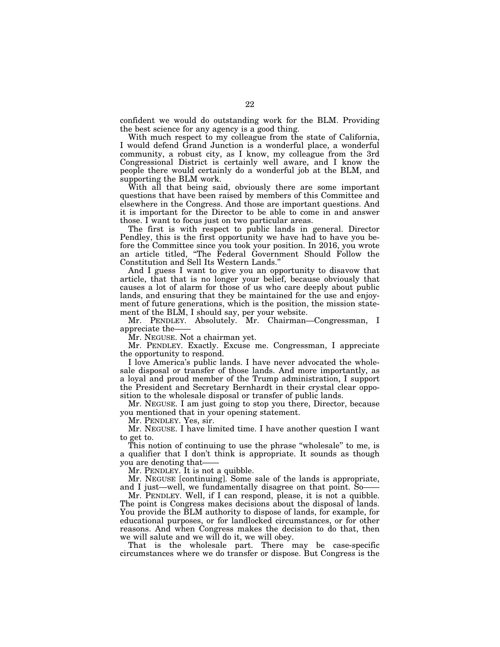confident we would do outstanding work for the BLM. Providing the best science for any agency is a good thing.

With much respect to my colleague from the state of California, I would defend Grand Junction is a wonderful place, a wonderful community, a robust city, as I know, my colleague from the 3rd Congressional District is certainly well aware, and I know the people there would certainly do a wonderful job at the BLM, and supporting the BLM work.

With all that being said, obviously there are some important questions that have been raised by members of this Committee and elsewhere in the Congress. And those are important questions. And it is important for the Director to be able to come in and answer those. I want to focus just on two particular areas.

The first is with respect to public lands in general. Director Pendley, this is the first opportunity we have had to have you before the Committee since you took your position. In 2016, you wrote an article titled, ''The Federal Government Should Follow the Constitution and Sell Its Western Lands.''

And I guess I want to give you an opportunity to disavow that article, that that is no longer your belief, because obviously that causes a lot of alarm for those of us who care deeply about public lands, and ensuring that they be maintained for the use and enjoyment of future generations, which is the position, the mission statement of the BLM, I should say, per your website.

Mr. PENDLEY. Absolutely. Mr. Chairman—Congressman, I appreciate the——

Mr. NEGUSE. Not a chairman yet.

Mr. PENDLEY. Exactly. Excuse me. Congressman, I appreciate the opportunity to respond.

I love America's public lands. I have never advocated the wholesale disposal or transfer of those lands. And more importantly, as a loyal and proud member of the Trump administration, I support the President and Secretary Bernhardt in their crystal clear opposition to the wholesale disposal or transfer of public lands.

Mr. NEGUSE. I am just going to stop you there, Director, because you mentioned that in your opening statement.

Mr. PENDLEY. Yes, sir.

Mr. NEGUSE. I have limited time. I have another question I want to get to.

This notion of continuing to use the phrase "wholesale" to me, is a qualifier that I don't think is appropriate. It sounds as though you are denoting that——

Mr. PENDLEY. It is not a quibble.

Mr. NEGUSE [continuing]. Some sale of the lands is appropriate, and I just—well, we fundamentally disagree on that point. So——

Mr. PENDLEY. Well, if I can respond, please, it is not a quibble. The point is Congress makes decisions about the disposal of lands. You provide the BLM authority to dispose of lands, for example, for educational purposes, or for landlocked circumstances, or for other reasons. And when Congress makes the decision to do that, then we will salute and we will do it, we will obey.

That is the wholesale part. There may be case-specific circumstances where we do transfer or dispose. But Congress is the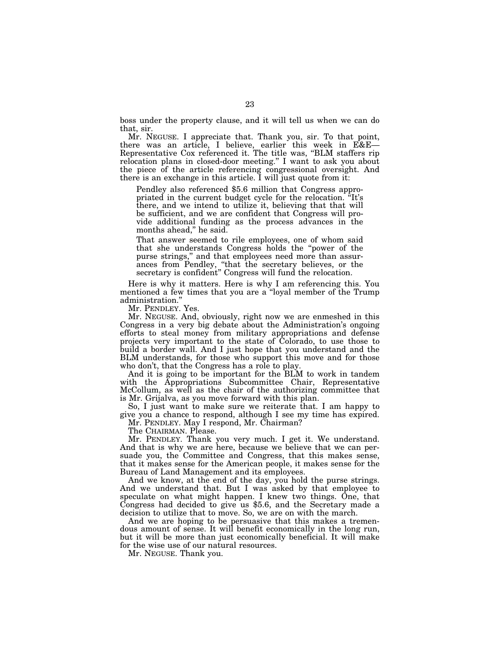boss under the property clause, and it will tell us when we can do that, sir.

Mr. NEGUSE. I appreciate that. Thank you, sir. To that point, there was an article, I believe, earlier this week in E&E— Representative Cox referenced it. The title was, ''BLM staffers rip relocation plans in closed-door meeting.'' I want to ask you about the piece of the article referencing congressional oversight. And there is an exchange in this article. I will just quote from it:

Pendley also referenced \$5.6 million that Congress appropriated in the current budget cycle for the relocation. ''It's there, and we intend to utilize it, believing that that will be sufficient, and we are confident that Congress will provide additional funding as the process advances in the months ahead,'' he said.

That answer seemed to rile employees, one of whom said that she understands Congress holds the ''power of the purse strings,'' and that employees need more than assurances from Pendley, ''that the secretary believes, or the secretary is confident'' Congress will fund the relocation.

Here is why it matters. Here is why I am referencing this. You mentioned a few times that you are a ''loyal member of the Trump administration.''

Mr. PENDLEY. Yes.

Mr. NEGUSE. And, obviously, right now we are enmeshed in this Congress in a very big debate about the Administration's ongoing efforts to steal money from military appropriations and defense projects very important to the state of Colorado, to use those to build a border wall. And I just hope that you understand and the BLM understands, for those who support this move and for those who don't, that the Congress has a role to play.

And it is going to be important for the BLM to work in tandem with the Appropriations Subcommittee Chair, Representative McCollum, as well as the chair of the authorizing committee that is Mr. Grijalva, as you move forward with this plan.

So, I just want to make sure we reiterate that. I am happy to give you a chance to respond, although I see my time has expired. Mr. PENDLEY. May I respond, Mr. Chairman?

The CHAIRMAN. Please.

Mr. PENDLEY. Thank you very much. I get it. We understand. And that is why we are here, because we believe that we can persuade you, the Committee and Congress, that this makes sense, that it makes sense for the American people, it makes sense for the Bureau of Land Management and its employees.

And we know, at the end of the day, you hold the purse strings. And we understand that. But I was asked by that employee to speculate on what might happen. I knew two things. One, that Congress had decided to give us \$5.6, and the Secretary made a decision to utilize that to move. So, we are on with the march.

And we are hoping to be persuasive that this makes a tremendous amount of sense. It will benefit economically in the long run, but it will be more than just economically beneficial. It will make for the wise use of our natural resources.

Mr. NEGUSE. Thank you.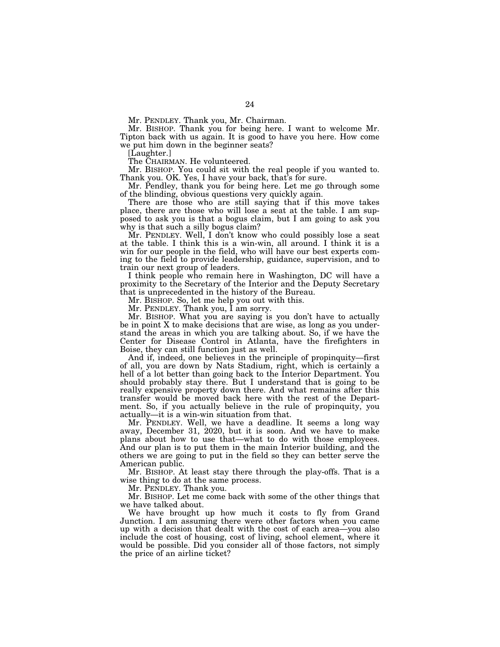Mr. PENDLEY. Thank you, Mr. Chairman.

Mr. BISHOP. Thank you for being here. I want to welcome Mr. Tipton back with us again. It is good to have you here. How come we put him down in the beginner seats?

[Laughter.]

The CHAIRMAN. He volunteered.

Mr. BISHOP. You could sit with the real people if you wanted to. Thank you. OK. Yes, I have your back, that's for sure.

Mr. Pendley, thank you for being here. Let me go through some of the blinding, obvious questions very quickly again.

There are those who are still saying that if this move takes place, there are those who will lose a seat at the table. I am supposed to ask you is that a bogus claim, but I am going to ask you why is that such a silly bogus claim?

Mr. PENDLEY. Well, I don't know who could possibly lose a seat at the table. I think this is a win-win, all around. I think it is a win for our people in the field, who will have our best experts coming to the field to provide leadership, guidance, supervision, and to train our next group of leaders.

I think people who remain here in Washington, DC will have a proximity to the Secretary of the Interior and the Deputy Secretary that is unprecedented in the history of the Bureau.

Mr. BISHOP. So, let me help you out with this.

Mr. PENDLEY. Thank you, I am sorry.

Mr. BISHOP. What you are saying is you don't have to actually be in point X to make decisions that are wise, as long as you understand the areas in which you are talking about. So, if we have the Center for Disease Control in Atlanta, have the firefighters in Boise, they can still function just as well.

And if, indeed, one believes in the principle of propinquity—first of all, you are down by Nats Stadium, right, which is certainly a hell of a lot better than going back to the Interior Department. You should probably stay there. But I understand that is going to be really expensive property down there. And what remains after this transfer would be moved back here with the rest of the Department. So, if you actually believe in the rule of propinquity, you actually—it is a win-win situation from that.

Mr. PENDLEY. Well, we have a deadline. It seems a long way away, December 31, 2020, but it is soon. And we have to make plans about how to use that—what to do with those employees. And our plan is to put them in the main Interior building, and the others we are going to put in the field so they can better serve the American public.

Mr. BISHOP. At least stay there through the play-offs. That is a wise thing to do at the same process.

Mr. PENDLEY. Thank you.

Mr. BISHOP. Let me come back with some of the other things that we have talked about.

We have brought up how much it costs to fly from Grand Junction. I am assuming there were other factors when you came up with a decision that dealt with the cost of each area—you also include the cost of housing, cost of living, school element, where it would be possible. Did you consider all of those factors, not simply the price of an airline ticket?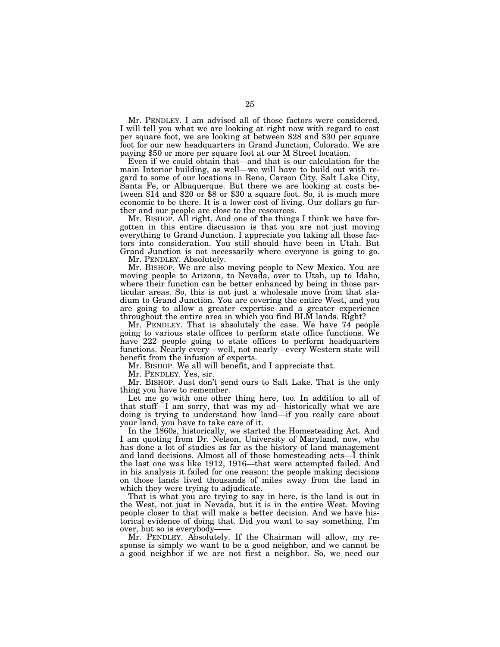Mr. PENDLEY. I am advised all of those factors were considered. I will tell you what we are looking at right now with regard to cost per square foot, we are looking at between \$28 and \$30 per square foot for our new headquarters in Grand Junction, Colorado. We are paying \$50 or more per square foot at our M Street location.

Even if we could obtain that—and that is our calculation for the main Interior building, as well—we will have to build out with regard to some of our locations in Reno, Carson City, Salt Lake City, Santa Fe, or Albuquerque. But there we are looking at costs between \$14 and \$20 or \$8 or \$30 a square foot. So, it is much more economic to be there. It is a lower cost of living. Our dollars go further and our people are close to the resources.

Mr. BISHOP. All right. And one of the things I think we have forgotten in this entire discussion is that you are not just moving everything to Grand Junction. I appreciate you taking all those factors into consideration. You still should have been in Utah. But Grand Junction is not necessarily where everyone is going to go.

Mr. PENDLEY. Absolutely.

Mr. BISHOP. We are also moving people to New Mexico. You are moving people to Arizona, to Nevada, over to Utah, up to Idaho, where their function can be better enhanced by being in those particular areas. So, this is not just a wholesale move from that stadium to Grand Junction. You are covering the entire West, and you are going to allow a greater expertise and a greater experience throughout the entire area in which you find BLM lands. Right?

Mr. PENDLEY. That is absolutely the case. We have 74 people going to various state offices to perform state office functions. We have 222 people going to state offices to perform headquarters functions. Nearly every—well, not nearly—every Western state will benefit from the infusion of experts.

Mr. BISHOP. We all will benefit, and I appreciate that.

Mr. PENDLEY. Yes, sir.

Mr. BISHOP. Just don't send ours to Salt Lake. That is the only thing you have to remember.

Let me go with one other thing here, too. In addition to all of that stuff—I am sorry, that was my ad—historically what we are doing is trying to understand how land—if you really care about your land, you have to take care of it.

In the 1860s, historically, we started the Homesteading Act. And I am quoting from Dr. Nelson, University of Maryland, now, who has done a lot of studies as far as the history of land management and land decisions. Almost all of those homesteading acts—I think the last one was like 1912, 1916—that were attempted failed. And in his analysis it failed for one reason: the people making decisions on those lands lived thousands of miles away from the land in which they were trying to adjudicate.

That is what you are trying to say in here, is the land is out in the West, not just in Nevada, but it is in the entire West. Moving people closer to that will make a better decision. And we have historical evidence of doing that. Did you want to say something, I'm over, but so is everybody-

Mr. PENDLEY. Absolutely. If the Chairman will allow, my response is simply we want to be a good neighbor, and we cannot be a good neighbor if we are not first a neighbor. So, we need our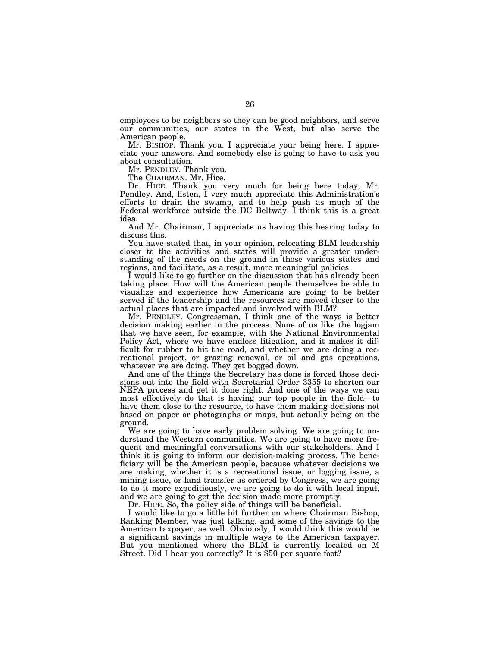employees to be neighbors so they can be good neighbors, and serve our communities, our states in the West, but also serve the American people.

Mr. BISHOP. Thank you. I appreciate your being here. I appreciate your answers. And somebody else is going to have to ask you about consultation.

Mr. PENDLEY. Thank you.

The CHAIRMAN. Mr. Hice.

Dr. HICE. Thank you very much for being here today, Mr. Pendley. And, listen, I very much appreciate this Administration's efforts to drain the swamp, and to help push as much of the Federal workforce outside the DC Beltway. I think this is a great idea.

And Mr. Chairman, I appreciate us having this hearing today to discuss this.

You have stated that, in your opinion, relocating BLM leadership closer to the activities and states will provide a greater understanding of the needs on the ground in those various states and regions, and facilitate, as a result, more meaningful policies.

I would like to go further on the discussion that has already been taking place. How will the American people themselves be able to visualize and experience how Americans are going to be better served if the leadership and the resources are moved closer to the actual places that are impacted and involved with BLM?

Mr. PENDLEY. Congressman, I think one of the ways is better decision making earlier in the process. None of us like the logjam that we have seen, for example, with the National Environmental Policy Act, where we have endless litigation, and it makes it difficult for rubber to hit the road, and whether we are doing a recreational project, or grazing renewal, or oil and gas operations, whatever we are doing. They get bogged down.

And one of the things the Secretary has done is forced those decisions out into the field with Secretarial Order 3355 to shorten our NEPA process and get it done right. And one of the ways we can most effectively do that is having our top people in the field—to have them close to the resource, to have them making decisions not based on paper or photographs or maps, but actually being on the ground.

We are going to have early problem solving. We are going to understand the Western communities. We are going to have more frequent and meaningful conversations with our stakeholders. And I think it is going to inform our decision-making process. The beneficiary will be the American people, because whatever decisions we are making, whether it is a recreational issue, or logging issue, a mining issue, or land transfer as ordered by Congress, we are going to do it more expeditiously, we are going to do it with local input, and we are going to get the decision made more promptly.

Dr. HICE. So, the policy side of things will be beneficial.

I would like to go a little bit further on where Chairman Bishop, Ranking Member, was just talking, and some of the savings to the American taxpayer, as well. Obviously, I would think this would be a significant savings in multiple ways to the American taxpayer. But you mentioned where the BLM is currently located on M Street. Did I hear you correctly? It is \$50 per square foot?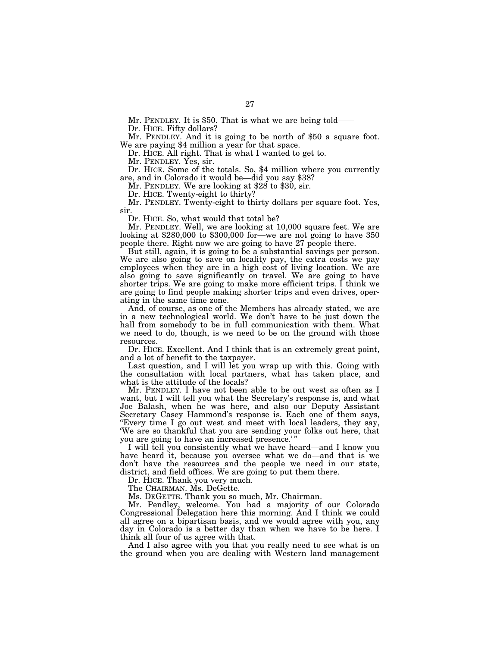Mr. PENDLEY. It is \$50. That is what we are being told-

Dr. HICE. Fifty dollars?

Mr. PENDLEY. And it is going to be north of \$50 a square foot. We are paying \$4 million a year for that space.

Dr. HICE. All right. That is what I wanted to get to.

Mr. PENDLEY. Yes, sir.

Dr. HICE. Some of the totals. So, \$4 million where you currently are, and in Colorado it would be—did you say \$38?

Mr. PENDLEY. We are looking at \$28 to \$30, sir.

Dr. HICE. Twenty-eight to thirty?

Mr. PENDLEY. Twenty-eight to thirty dollars per square foot. Yes, sir.

Dr. HICE. So, what would that total be?

Mr. PENDLEY. Well, we are looking at 10,000 square feet. We are looking at \$280,000 to \$300,000 for—we are not going to have 350 people there. Right now we are going to have 27 people there.

But still, again, it is going to be a substantial savings per person. We are also going to save on locality pay, the extra costs we pay employees when they are in a high cost of living location. We are also going to save significantly on travel. We are going to have shorter trips. We are going to make more efficient trips. I think we are going to find people making shorter trips and even drives, operating in the same time zone.

And, of course, as one of the Members has already stated, we are in a new technological world. We don't have to be just down the hall from somebody to be in full communication with them. What we need to do, though, is we need to be on the ground with those resources.

Dr. HICE. Excellent. And I think that is an extremely great point, and a lot of benefit to the taxpayer.

Last question, and I will let you wrap up with this. Going with the consultation with local partners, what has taken place, and what is the attitude of the locals?

Mr. PENDLEY. I have not been able to be out west as often as I want, but I will tell you what the Secretary's response is, and what Joe Balash, when he was here, and also our Deputy Assistant Secretary Casey Hammond's response is. Each one of them says, ''Every time I go out west and meet with local leaders, they say, 'We are so thankful that you are sending your folks out here, that you are going to have an increased presence.'"

I will tell you consistently what we have heard—and I know you have heard it, because you oversee what we do—and that is we don't have the resources and the people we need in our state, district, and field offices. We are going to put them there.

Dr. HICE. Thank you very much.

The CHAIRMAN. Ms. DeGette.

Ms. DEGETTE. Thank you so much, Mr. Chairman.

Mr. Pendley, welcome. You had a majority of our Colorado Congressional Delegation here this morning. And I think we could all agree on a bipartisan basis, and we would agree with you, any day in Colorado is a better day than when we have to be here. I think all four of us agree with that.

And I also agree with you that you really need to see what is on the ground when you are dealing with Western land management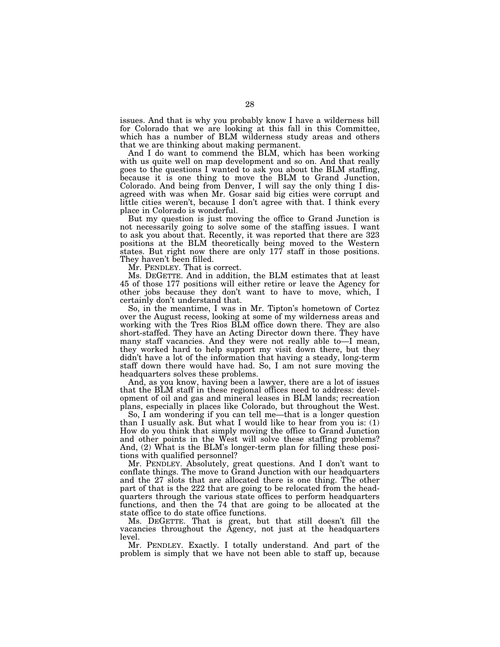issues. And that is why you probably know I have a wilderness bill for Colorado that we are looking at this fall in this Committee, which has a number of BLM wilderness study areas and others that we are thinking about making permanent.

And I do want to commend the BLM, which has been working with us quite well on map development and so on. And that really goes to the questions I wanted to ask you about the BLM staffing, because it is one thing to move the BLM to Grand Junction, Colorado. And being from Denver, I will say the only thing I disagreed with was when Mr. Gosar said big cities were corrupt and little cities weren't, because I don't agree with that. I think every place in Colorado is wonderful.

But my question is just moving the office to Grand Junction is not necessarily going to solve some of the staffing issues. I want to ask you about that. Recently, it was reported that there are 323 positions at the BLM theoretically being moved to the Western states. But right now there are only 177 staff in those positions. They haven't been filled.

Mr. PENDLEY. That is correct.

Ms. DEGETTE. And in addition, the BLM estimates that at least 45 of those 177 positions will either retire or leave the Agency for other jobs because they don't want to have to move, which, I certainly don't understand that.

So, in the meantime, I was in Mr. Tipton's hometown of Cortez over the August recess, looking at some of my wilderness areas and working with the Tres Rios BLM office down there. They are also short-staffed. They have an Acting Director down there. They have many staff vacancies. And they were not really able to—I mean, they worked hard to help support my visit down there, but they didn't have a lot of the information that having a steady, long-term staff down there would have had. So, I am not sure moving the headquarters solves these problems.

And, as you know, having been a lawyer, there are a lot of issues that the BLM staff in these regional offices need to address: development of oil and gas and mineral leases in BLM lands; recreation plans, especially in places like Colorado, but throughout the West.

So, I am wondering if you can tell me—that is a longer question than I usually ask. But what I would like to hear from you is: (1) How do you think that simply moving the office to Grand Junction and other points in the West will solve these staffing problems? And, (2) What is the BLM's longer-term plan for filling these positions with qualified personnel?

Mr. PENDLEY. Absolutely, great questions. And I don't want to conflate things. The move to Grand Junction with our headquarters and the 27 slots that are allocated there is one thing. The other part of that is the 222 that are going to be relocated from the headquarters through the various state offices to perform headquarters functions, and then the 74 that are going to be allocated at the state office to do state office functions.

Ms. DEGETTE. That is great, but that still doesn't fill the vacancies throughout the Agency, not just at the headquarters level.

Mr. PENDLEY. Exactly. I totally understand. And part of the problem is simply that we have not been able to staff up, because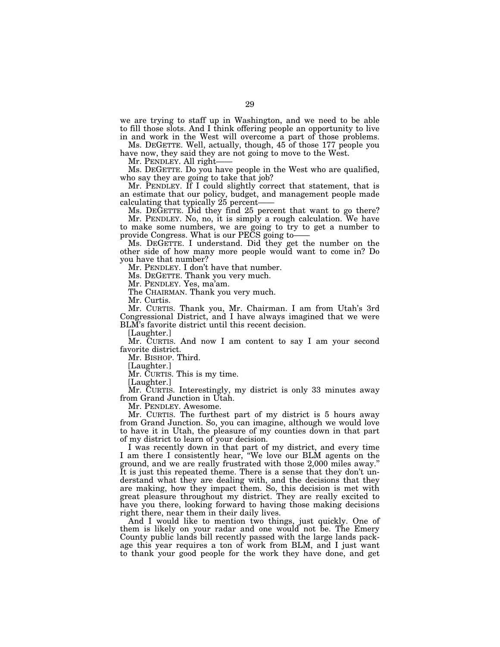we are trying to staff up in Washington, and we need to be able to fill those slots. And I think offering people an opportunity to live in and work in the West will overcome a part of those problems.

Ms. DEGETTE. Well, actually, though, 45 of those 177 people you have now, they said they are not going to move to the West.

Mr. PENDLEY. All right-

Ms. DEGETTE. Do you have people in the West who are qualified, who say they are going to take that job?

Mr. PENDLEY. If I could slightly correct that statement, that is an estimate that our policy, budget, and management people made calculating that typically 25 percent-

Ms. DEGETTE. Did they find 25 percent that want to go there? Mr. PENDLEY. No, no, it is simply a rough calculation. We have to make some numbers, we are going to try to get a number to provide Congress. What is our PECS going to——

Ms. DEGETTE. I understand. Did they get the number on the other side of how many more people would want to come in? Do you have that number?

Mr. PENDLEY. I don't have that number.

Ms. DEGETTE. Thank you very much.

Mr. PENDLEY. Yes, ma'am.

The CHAIRMAN. Thank you very much.

Mr. Curtis.

Mr. CURTIS. Thank you, Mr. Chairman. I am from Utah's 3rd Congressional District, and I have always imagined that we were BLM's favorite district until this recent decision.

[Laughter.]

Mr. CURTIS. And now I am content to say I am your second favorite district.

Mr. BISHOP. Third.

[Laughter.]

Mr. CURTIS. This is my time.

[Laughter.]

Mr. CURTIS. Interestingly, my district is only 33 minutes away from Grand Junction in Utah.

Mr. PENDLEY. Awesome.

Mr. CURTIS. The furthest part of my district is 5 hours away from Grand Junction. So, you can imagine, although we would love to have it in Utah, the pleasure of my counties down in that part of my district to learn of your decision.

I was recently down in that part of my district, and every time I am there I consistently hear, ''We love our BLM agents on the ground, and we are really frustrated with those 2,000 miles away.'' It is just this repeated theme. There is a sense that they don't understand what they are dealing with, and the decisions that they are making, how they impact them. So, this decision is met with great pleasure throughout my district. They are really excited to have you there, looking forward to having those making decisions right there, near them in their daily lives.

And I would like to mention two things, just quickly. One of them is likely on your radar and one would not be. The Emery County public lands bill recently passed with the large lands package this year requires a ton of work from BLM, and I just want to thank your good people for the work they have done, and get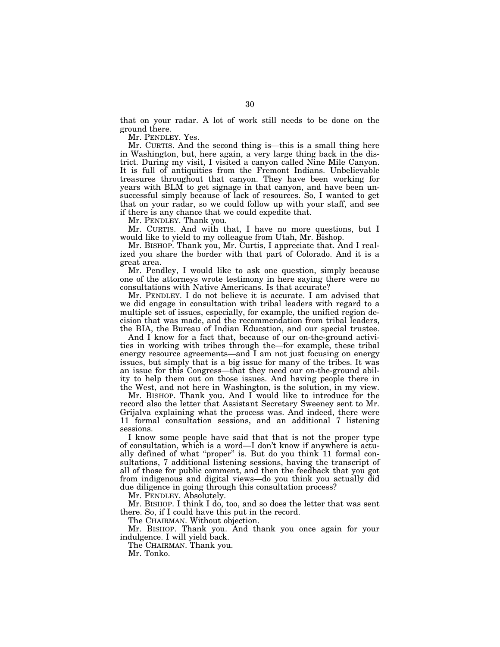that on your radar. A lot of work still needs to be done on the ground there.

Mr. PENDLEY. Yes.

Mr. CURTIS. And the second thing is—this is a small thing here in Washington, but, here again, a very large thing back in the district. During my visit, I visited a canyon called Nine Mile Canyon. It is full of antiquities from the Fremont Indians. Unbelievable treasures throughout that canyon. They have been working for years with BLM to get signage in that canyon, and have been unsuccessful simply because of lack of resources. So, I wanted to get that on your radar, so we could follow up with your staff, and see if there is any chance that we could expedite that.

Mr. PENDLEY. Thank you.

Mr. CURTIS. And with that, I have no more questions, but I would like to yield to my colleague from Utah, Mr. Bishop.

Mr. BISHOP. Thank you, Mr. Curtis, I appreciate that. And I realized you share the border with that part of Colorado. And it is a great area.

Mr. Pendley, I would like to ask one question, simply because one of the attorneys wrote testimony in here saying there were no consultations with Native Americans. Is that accurate?

Mr. PENDLEY. I do not believe it is accurate. I am advised that we did engage in consultation with tribal leaders with regard to a multiple set of issues, especially, for example, the unified region decision that was made, and the recommendation from tribal leaders, the BIA, the Bureau of Indian Education, and our special trustee.

And I know for a fact that, because of our on-the-ground activities in working with tribes through the—for example, these tribal energy resource agreements—and I am not just focusing on energy issues, but simply that is a big issue for many of the tribes. It was an issue for this Congress—that they need our on-the-ground ability to help them out on those issues. And having people there in the West, and not here in Washington, is the solution, in my view.

Mr. BISHOP. Thank you. And I would like to introduce for the record also the letter that Assistant Secretary Sweeney sent to Mr. Grijalva explaining what the process was. And indeed, there were 11 formal consultation sessions, and an additional 7 listening sessions.

I know some people have said that that is not the proper type of consultation, which is a word—I don't know if anywhere is actually defined of what ''proper'' is. But do you think 11 formal consultations, 7 additional listening sessions, having the transcript of all of those for public comment, and then the feedback that you got from indigenous and digital views—do you think you actually did due diligence in going through this consultation process?

Mr. PENDLEY. Absolutely.

Mr. BISHOP. I think I do, too, and so does the letter that was sent there. So, if I could have this put in the record.

The CHAIRMAN. Without objection.

Mr. BISHOP. Thank you. And thank you once again for your indulgence. I will yield back.

The CHAIRMAN. Thank you.

Mr. Tonko.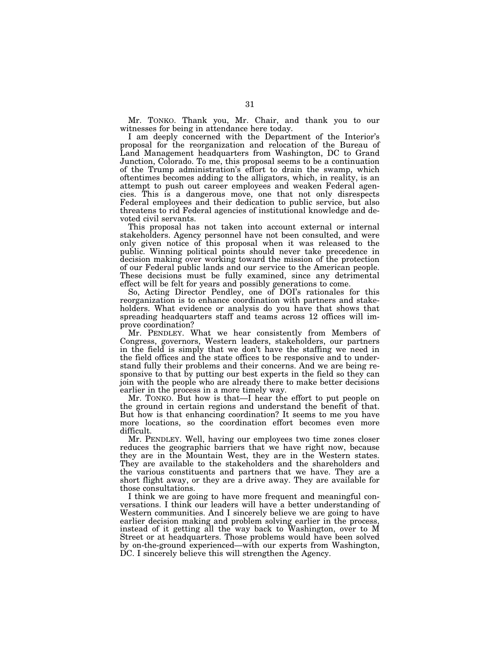Mr. TONKO. Thank you, Mr. Chair, and thank you to our witnesses for being in attendance here today.

I am deeply concerned with the Department of the Interior's proposal for the reorganization and relocation of the Bureau of Land Management headquarters from Washington, DC to Grand Junction, Colorado. To me, this proposal seems to be a continuation of the Trump administration's effort to drain the swamp, which oftentimes becomes adding to the alligators, which, in reality, is an attempt to push out career employees and weaken Federal agencies. This is a dangerous move, one that not only disrespects Federal employees and their dedication to public service, but also threatens to rid Federal agencies of institutional knowledge and devoted civil servants.

This proposal has not taken into account external or internal stakeholders. Agency personnel have not been consulted, and were only given notice of this proposal when it was released to the public. Winning political points should never take precedence in decision making over working toward the mission of the protection of our Federal public lands and our service to the American people. These decisions must be fully examined, since any detrimental effect will be felt for years and possibly generations to come.

So, Acting Director Pendley, one of DOI's rationales for this reorganization is to enhance coordination with partners and stakeholders. What evidence or analysis do you have that shows that spreading headquarters staff and teams across 12 offices will improve coordination?

Mr. PENDLEY. What we hear consistently from Members of Congress, governors, Western leaders, stakeholders, our partners in the field is simply that we don't have the staffing we need in the field offices and the state offices to be responsive and to understand fully their problems and their concerns. And we are being responsive to that by putting our best experts in the field so they can join with the people who are already there to make better decisions earlier in the process in a more timely way.

Mr. TONKO. But how is that—I hear the effort to put people on the ground in certain regions and understand the benefit of that. But how is that enhancing coordination? It seems to me you have more locations, so the coordination effort becomes even more difficult.

Mr. PENDLEY. Well, having our employees two time zones closer reduces the geographic barriers that we have right now, because they are in the Mountain West, they are in the Western states. They are available to the stakeholders and the shareholders and the various constituents and partners that we have. They are a short flight away, or they are a drive away. They are available for those consultations.

I think we are going to have more frequent and meaningful conversations. I think our leaders will have a better understanding of Western communities. And I sincerely believe we are going to have earlier decision making and problem solving earlier in the process, instead of it getting all the way back to Washington, over to M Street or at headquarters. Those problems would have been solved by on-the-ground experienced—with our experts from Washington, DC. I sincerely believe this will strengthen the Agency.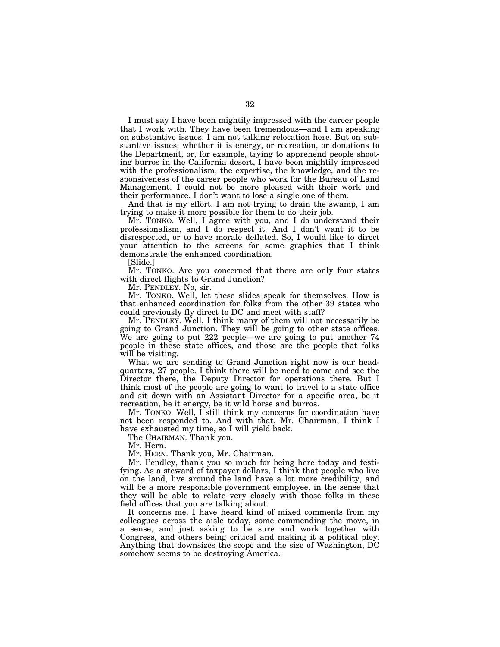I must say I have been mightily impressed with the career people that I work with. They have been tremendous—and I am speaking on substantive issues. I am not talking relocation here. But on substantive issues, whether it is energy, or recreation, or donations to the Department, or, for example, trying to apprehend people shooting burros in the California desert, I have been mightily impressed with the professionalism, the expertise, the knowledge, and the responsiveness of the career people who work for the Bureau of Land Management. I could not be more pleased with their work and their performance. I don't want to lose a single one of them.

And that is my effort. I am not trying to drain the swamp, I am trying to make it more possible for them to do their job.

Mr. TONKO. Well, I agree with you, and I do understand their professionalism, and I do respect it. And I don't want it to be disrespected, or to have morale deflated. So, I would like to direct your attention to the screens for some graphics that I think demonstrate the enhanced coordination.

[Slide.]

Mr. TONKO. Are you concerned that there are only four states with direct flights to Grand Junction?

Mr. PENDLEY. No, sir.

Mr. TONKO. Well, let these slides speak for themselves. How is that enhanced coordination for folks from the other 39 states who could previously fly direct to DC and meet with staff?

Mr. PENDLEY. Well, I think many of them will not necessarily be going to Grand Junction. They will be going to other state offices. We are going to put 222 people—we are going to put another 74 people in these state offices, and those are the people that folks will be visiting.

What we are sending to Grand Junction right now is our headquarters, 27 people. I think there will be need to come and see the Director there, the Deputy Director for operations there. But I think most of the people are going to want to travel to a state office and sit down with an Assistant Director for a specific area, be it recreation, be it energy, be it wild horse and burros.

Mr. TONKO. Well, I still think my concerns for coordination have not been responded to. And with that, Mr. Chairman, I think I have exhausted my time, so I will yield back.

The CHAIRMAN. Thank you.

Mr. Hern.

Mr. HERN. Thank you, Mr. Chairman.

Mr. Pendley, thank you so much for being here today and testifying. As a steward of taxpayer dollars, I think that people who live on the land, live around the land have a lot more credibility, and will be a more responsible government employee, in the sense that they will be able to relate very closely with those folks in these field offices that you are talking about.

It concerns me. I have heard kind of mixed comments from my colleagues across the aisle today, some commending the move, in a sense, and just asking to be sure and work together with Congress, and others being critical and making it a political ploy. Anything that downsizes the scope and the size of Washington, DC somehow seems to be destroying America.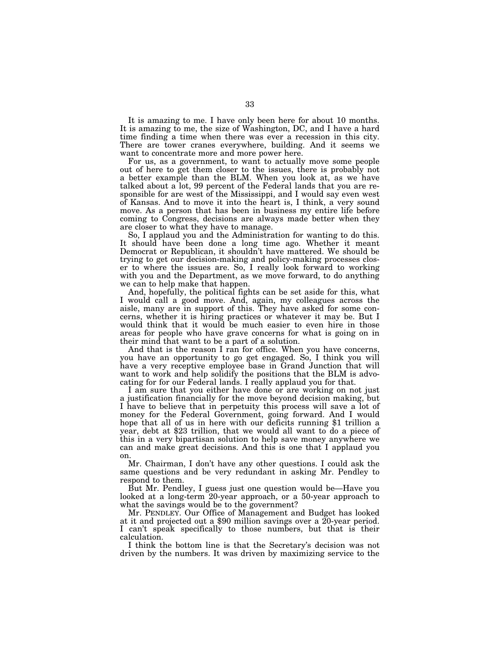It is amazing to me. I have only been here for about 10 months. It is amazing to me, the size of Washington, DC, and I have a hard time finding a time when there was ever a recession in this city. There are tower cranes everywhere, building. And it seems we want to concentrate more and more power here.

For us, as a government, to want to actually move some people out of here to get them closer to the issues, there is probably not a better example than the BLM. When you look at, as we have talked about a lot, 99 percent of the Federal lands that you are responsible for are west of the Mississippi, and I would say even west of Kansas. And to move it into the heart is, I think, a very sound move. As a person that has been in business my entire life before coming to Congress, decisions are always made better when they are closer to what they have to manage.

So, I applaud you and the Administration for wanting to do this. It should have been done a long time ago. Whether it meant Democrat or Republican, it shouldn't have mattered. We should be trying to get our decision-making and policy-making processes closer to where the issues are. So, I really look forward to working with you and the Department, as we move forward, to do anything we can to help make that happen.

And, hopefully, the political fights can be set aside for this, what I would call a good move. And, again, my colleagues across the aisle, many are in support of this. They have asked for some concerns, whether it is hiring practices or whatever it may be. But I would think that it would be much easier to even hire in those areas for people who have grave concerns for what is going on in their mind that want to be a part of a solution.

And that is the reason I ran for office. When you have concerns, you have an opportunity to go get engaged. So, I think you will have a very receptive employee base in Grand Junction that will want to work and help solidify the positions that the BLM is advocating for for our Federal lands. I really applaud you for that.

I am sure that you either have done or are working on not just a justification financially for the move beyond decision making, but I have to believe that in perpetuity this process will save a lot of money for the Federal Government, going forward. And I would hope that all of us in here with our deficits running \$1 trillion a year, debt at \$23 trillion, that we would all want to do a piece of this in a very bipartisan solution to help save money anywhere we can and make great decisions. And this is one that I applaud you on.

Mr. Chairman, I don't have any other questions. I could ask the same questions and be very redundant in asking Mr. Pendley to respond to them.

But Mr. Pendley, I guess just one question would be—Have you looked at a long-term 20-year approach, or a 50-year approach to what the savings would be to the government?<br>Mr. PENDLEY. Our Office of Management and Budget has looked

at it and projected out a \$90 million savings over a 20-year period. I can't speak specifically to those numbers, but that is their calculation.

I think the bottom line is that the Secretary's decision was not driven by the numbers. It was driven by maximizing service to the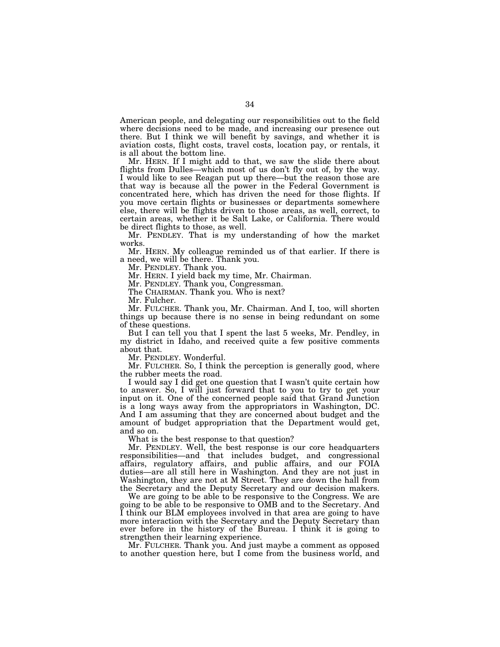American people, and delegating our responsibilities out to the field where decisions need to be made, and increasing our presence out there. But I think we will benefit by savings, and whether it is aviation costs, flight costs, travel costs, location pay, or rentals, it is all about the bottom line.

Mr. HERN. If I might add to that, we saw the slide there about flights from Dulles—which most of us don't fly out of, by the way. I would like to see Reagan put up there—but the reason those are that way is because all the power in the Federal Government is concentrated here, which has driven the need for those flights. If you move certain flights or businesses or departments somewhere else, there will be flights driven to those areas, as well, correct, to certain areas, whether it be Salt Lake, or California. There would be direct flights to those, as well.

Mr. PENDLEY. That is my understanding of how the market works.

Mr. HERN. My colleague reminded us of that earlier. If there is a need, we will be there. Thank you.

Mr. PENDLEY. Thank you.

Mr. HERN. I yield back my time, Mr. Chairman.

Mr. PENDLEY. Thank you, Congressman.

The CHAIRMAN. Thank you. Who is next?

Mr. Fulcher.

Mr. FULCHER. Thank you, Mr. Chairman. And I, too, will shorten things up because there is no sense in being redundant on some of these questions.

But I can tell you that I spent the last 5 weeks, Mr. Pendley, in my district in Idaho, and received quite a few positive comments about that.

Mr. PENDLEY. Wonderful.

Mr. FULCHER. So, I think the perception is generally good, where the rubber meets the road.

I would say I did get one question that I wasn't quite certain how to answer. So, I will just forward that to you to try to get your input on it. One of the concerned people said that Grand Junction is a long ways away from the appropriators in Washington, DC. And I am assuming that they are concerned about budget and the amount of budget appropriation that the Department would get, and so on.

What is the best response to that question?

Mr. PENDLEY. Well, the best response is our core headquarters responsibilities—and that includes budget, and congressional affairs, regulatory affairs, and public affairs, and our FOIA duties—are all still here in Washington. And they are not just in Washington, they are not at M Street. They are down the hall from the Secretary and the Deputy Secretary and our decision makers.

We are going to be able to be responsive to the Congress. We are going to be able to be responsive to OMB and to the Secretary. And I think our BLM employees involved in that area are going to have more interaction with the Secretary and the Deputy Secretary than ever before in the history of the Bureau. I think it is going to strengthen their learning experience.

Mr. FULCHER. Thank you. And just maybe a comment as opposed to another question here, but I come from the business world, and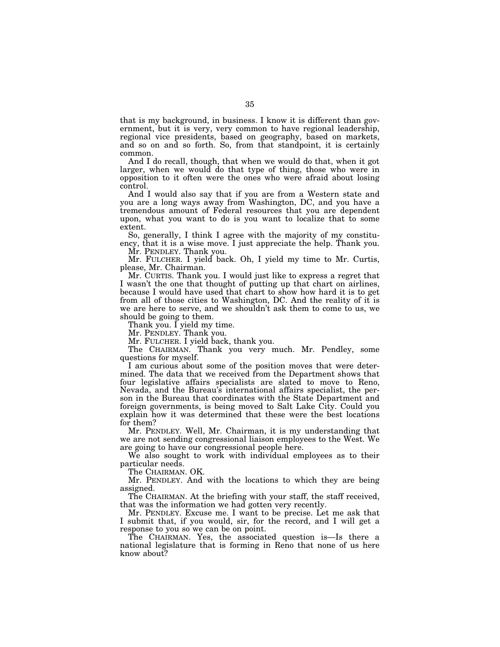that is my background, in business. I know it is different than government, but it is very, very common to have regional leadership, regional vice presidents, based on geography, based on markets, and so on and so forth. So, from that standpoint, it is certainly common.

And I do recall, though, that when we would do that, when it got larger, when we would do that type of thing, those who were in opposition to it often were the ones who were afraid about losing control.

And I would also say that if you are from a Western state and you are a long ways away from Washington, DC, and you have a tremendous amount of Federal resources that you are dependent upon, what you want to do is you want to localize that to some extent.

So, generally, I think I agree with the majority of my constituency, that it is a wise move. I just appreciate the help. Thank you.

Mr. PENDLEY. Thank you.

Mr. FULCHER. I yield back. Oh, I yield my time to Mr. Curtis, please, Mr. Chairman.

Mr. CURTIS. Thank you. I would just like to express a regret that I wasn't the one that thought of putting up that chart on airlines, because I would have used that chart to show how hard it is to get from all of those cities to Washington, DC. And the reality of it is we are here to serve, and we shouldn't ask them to come to us, we should be going to them.

Thank you. I yield my time.

Mr. PENDLEY. Thank you.

Mr. FULCHER. I yield back, thank you.

The CHAIRMAN. Thank you very much. Mr. Pendley, some questions for myself.

I am curious about some of the position moves that were determined. The data that we received from the Department shows that four legislative affairs specialists are slated to move to Reno, Nevada, and the Bureau's international affairs specialist, the person in the Bureau that coordinates with the State Department and foreign governments, is being moved to Salt Lake City. Could you explain how it was determined that these were the best locations for them?

Mr. PENDLEY. Well, Mr. Chairman, it is my understanding that we are not sending congressional liaison employees to the West. We are going to have our congressional people here.

We also sought to work with individual employees as to their particular needs.

The CHAIRMAN. OK.

Mr. PENDLEY. And with the locations to which they are being assigned.

The CHAIRMAN. At the briefing with your staff, the staff received, that was the information we had gotten very recently.

Mr. PENDLEY. Excuse me. I want to be precise. Let me ask that I submit that, if you would, sir, for the record, and I will get a response to you so we can be on point.

The CHAIRMAN. Yes, the associated question is—Is there a national legislature that is forming in Reno that none of us here know about?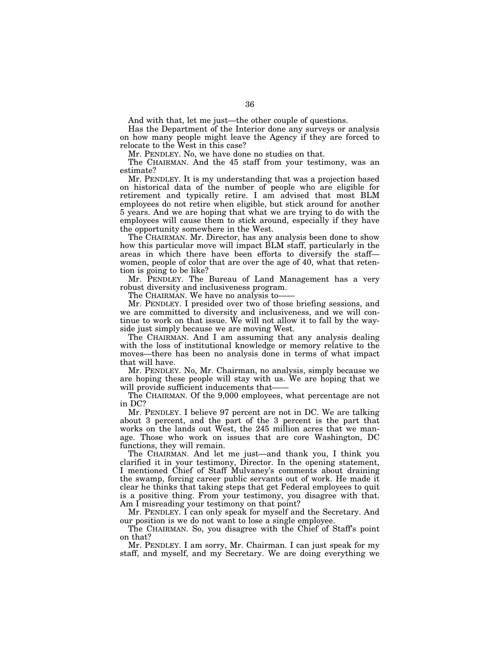And with that, let me just—the other couple of questions.

Has the Department of the Interior done any surveys or analysis on how many people might leave the Agency if they are forced to relocate to the West in this case?

Mr. PENDLEY. No, we have done no studies on that.

The CHAIRMAN. And the 45 staff from your testimony, was an estimate?

Mr. PENDLEY. It is my understanding that was a projection based on historical data of the number of people who are eligible for retirement and typically retire. I am advised that most BLM employees do not retire when eligible, but stick around for another 5 years. And we are hoping that what we are trying to do with the employees will cause them to stick around, especially if they have the opportunity somewhere in the West.

The CHAIRMAN. Mr. Director, has any analysis been done to show how this particular move will impact BLM staff, particularly in the areas in which there have been efforts to diversify the staff women, people of color that are over the age of 40, what that retention is going to be like?

Mr. PENDLEY. The Bureau of Land Management has a very robust diversity and inclusiveness program.

The CHAIRMAN. We have no analysis to-

Mr. PENDLEY. I presided over two of those briefing sessions, and we are committed to diversity and inclusiveness, and we will continue to work on that issue. We will not allow it to fall by the wayside just simply because we are moving West.

The CHAIRMAN. And I am assuming that any analysis dealing with the loss of institutional knowledge or memory relative to the moves—there has been no analysis done in terms of what impact that will have.

Mr. PENDLEY. No, Mr. Chairman, no analysis, simply because we are hoping these people will stay with us. We are hoping that we will provide sufficient inducements that-

The CHAIRMAN. Of the 9,000 employees, what percentage are not in DC?

Mr. PENDLEY. I believe 97 percent are not in DC. We are talking about 3 percent, and the part of the 3 percent is the part that works on the lands out West, the 245 million acres that we manage. Those who work on issues that are core Washington, DC functions, they will remain.

The CHAIRMAN. And let me just—and thank you, I think you clarified it in your testimony, Director. In the opening statement, I mentioned Chief of Staff Mulvaney's comments about draining the swamp, forcing career public servants out of work. He made it clear he thinks that taking steps that get Federal employees to quit is a positive thing. From your testimony, you disagree with that. Am I misreading your testimony on that point?

Mr. PENDLEY. I can only speak for myself and the Secretary. And our position is we do not want to lose a single employee.

The CHAIRMAN. So, you disagree with the Chief of Staff's point on that?

Mr. PENDLEY. I am sorry, Mr. Chairman. I can just speak for my staff, and myself, and my Secretary. We are doing everything we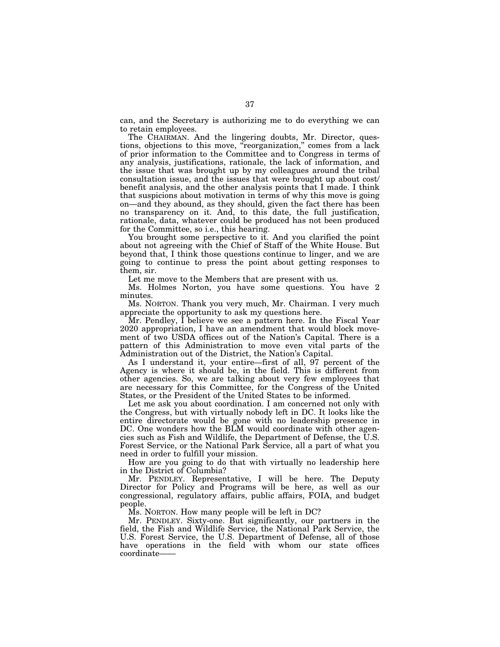can, and the Secretary is authorizing me to do everything we can to retain employees.

The CHAIRMAN. And the lingering doubts, Mr. Director, questions, objections to this move, "reorganization," comes from a lack of prior information to the Committee and to Congress in terms of any analysis, justifications, rationale, the lack of information, and the issue that was brought up by my colleagues around the tribal consultation issue, and the issues that were brought up about cost/ benefit analysis, and the other analysis points that I made. I think that suspicions about motivation in terms of why this move is going on—and they abound, as they should, given the fact there has been no transparency on it. And, to this date, the full justification, rationale, data, whatever could be produced has not been produced for the Committee, so i.e., this hearing.

You brought some perspective to it. And you clarified the point about not agreeing with the Chief of Staff of the White House. But beyond that, I think those questions continue to linger, and we are going to continue to press the point about getting responses to them, sir.

Let me move to the Members that are present with us.

Ms. Holmes Norton, you have some questions. You have 2 minutes.

Ms. NORTON. Thank you very much, Mr. Chairman. I very much appreciate the opportunity to ask my questions here.

Mr. Pendley, I believe we see a pattern here. In the Fiscal Year 2020 appropriation, I have an amendment that would block movement of two USDA offices out of the Nation's Capital. There is a pattern of this Administration to move even vital parts of the Administration out of the District, the Nation's Capital.

As I understand it, your entire—first of all, 97 percent of the Agency is where it should be, in the field. This is different from other agencies. So, we are talking about very few employees that are necessary for this Committee, for the Congress of the United States, or the President of the United States to be informed.

Let me ask you about coordination. I am concerned not only with the Congress, but with virtually nobody left in DC. It looks like the entire directorate would be gone with no leadership presence in DC. One wonders how the BLM would coordinate with other agencies such as Fish and Wildlife, the Department of Defense, the U.S. Forest Service, or the National Park Service, all a part of what you need in order to fulfill your mission.

How are you going to do that with virtually no leadership here in the District of Columbia?

Mr. PENDLEY. Representative, I will be here. The Deputy Director for Policy and Programs will be here, as well as our congressional, regulatory affairs, public affairs, FOIA, and budget people.

Ms. NORTON. How many people will be left in DC?

Mr. PENDLEY. Sixty-one. But significantly, our partners in the field, the Fish and Wildlife Service, the National Park Service, the U.S. Forest Service, the U.S. Department of Defense, all of those have operations in the field with whom our state offices coordinate-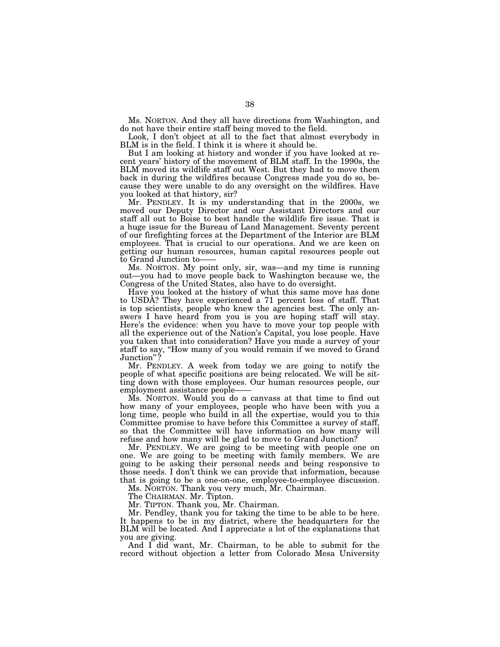Ms. NORTON. And they all have directions from Washington, and do not have their entire staff being moved to the field.

Look, I don't object at all to the fact that almost everybody in BLM is in the field. I think it is where it should be.

But I am looking at history and wonder if you have looked at recent years' history of the movement of BLM staff. In the 1990s, the BLM moved its wildlife staff out West. But they had to move them back in during the wildfires because Congress made you do so, because they were unable to do any oversight on the wildfires. Have you looked at that history, sir?

Mr. PENDLEY. It is my understanding that in the 2000s, we moved our Deputy Director and our Assistant Directors and our staff all out to Boise to best handle the wildlife fire issue. That is a huge issue for the Bureau of Land Management. Seventy percent of our firefighting forces at the Department of the Interior are BLM employees. That is crucial to our operations. And we are keen on getting our human resources, human capital resources people out to Grand Junction to-

Ms. NORTON. My point only, sir, was—and my time is running out—you had to move people back to Washington because we, the Congress of the United States, also have to do oversight.

Have you looked at the history of what this same move has done to USDA? They have experienced a 71 percent loss of staff. That is top scientists, people who knew the agencies best. The only answers I have heard from you is you are hoping staff will stay. Here's the evidence: when you have to move your top people with all the experience out of the Nation's Capital, you lose people. Have you taken that into consideration? Have you made a survey of your staff to say, "How many of you would remain if we moved to Grand<br>Junction"? Junction"

Mr. PENDLEY. A week from today we are going to notify the people of what specific positions are being relocated. We will be sitting down with those employees. Our human resources people, our employment assistance people-

Ms. NORTON. Would you do a canvass at that time to find out how many of your employees, people who have been with you a long time, people who build in all the expertise, would you to this Committee promise to have before this Committee a survey of staff, so that the Committee will have information on how many will refuse and how many will be glad to move to Grand Junction?

Mr. PENDLEY. We are going to be meeting with people one on one. We are going to be meeting with family members. We are going to be asking their personal needs and being responsive to those needs. I don't think we can provide that information, because that is going to be a one-on-one, employee-to-employee discussion.

Ms. NORTON. Thank you very much, Mr. Chairman.

The CHAIRMAN. Mr. Tipton.

Mr. TIPTON. Thank you, Mr. Chairman.

Mr. Pendley, thank you for taking the time to be able to be here. It happens to be in my district, where the headquarters for the BLM will be located. And I appreciate a lot of the explanations that you are giving.

And I did want, Mr. Chairman, to be able to submit for the record without objection a letter from Colorado Mesa University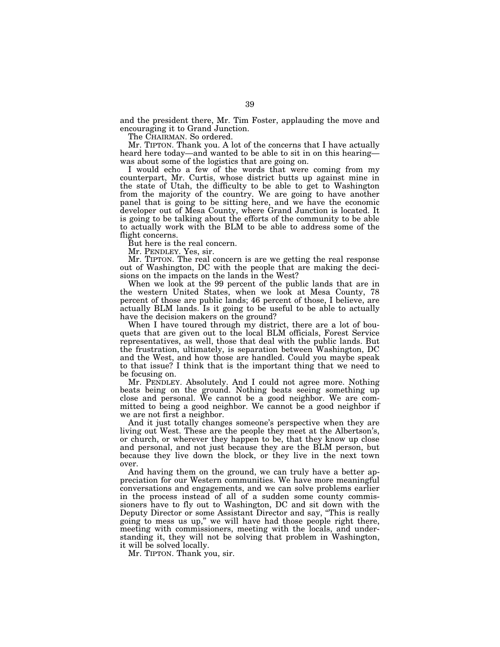and the president there, Mr. Tim Foster, applauding the move and encouraging it to Grand Junction.

The CHAIRMAN. So ordered.

Mr. TIPTON. Thank you. A lot of the concerns that I have actually heard here today—and wanted to be able to sit in on this hearing was about some of the logistics that are going on.

I would echo a few of the words that were coming from my counterpart, Mr. Curtis, whose district butts up against mine in the state of Utah, the difficulty to be able to get to Washington from the majority of the country. We are going to have another panel that is going to be sitting here, and we have the economic developer out of Mesa County, where Grand Junction is located. It is going to be talking about the efforts of the community to be able to actually work with the BLM to be able to address some of the flight concerns.

But here is the real concern.

Mr. PENDLEY. Yes, sir.

Mr. TIPTON. The real concern is are we getting the real response out of Washington, DC with the people that are making the decisions on the impacts on the lands in the West?

When we look at the 99 percent of the public lands that are in the western United States, when we look at Mesa County, 78 percent of those are public lands; 46 percent of those, I believe, are actually BLM lands. Is it going to be useful to be able to actually have the decision makers on the ground?

When I have toured through my district, there are a lot of bouquets that are given out to the local BLM officials, Forest Service representatives, as well, those that deal with the public lands. But the frustration, ultimately, is separation between Washington, DC and the West, and how those are handled. Could you maybe speak to that issue? I think that is the important thing that we need to be focusing on.

Mr. PENDLEY. Absolutely. And I could not agree more. Nothing beats being on the ground. Nothing beats seeing something up close and personal. We cannot be a good neighbor. We are committed to being a good neighbor. We cannot be a good neighbor if we are not first a neighbor.

And it just totally changes someone's perspective when they are living out West. These are the people they meet at the Albertson's, or church, or wherever they happen to be, that they know up close and personal, and not just because they are the BLM person, but because they live down the block, or they live in the next town over.

And having them on the ground, we can truly have a better appreciation for our Western communities. We have more meaningful conversations and engagements, and we can solve problems earlier in the process instead of all of a sudden some county commissioners have to fly out to Washington, DC and sit down with the Deputy Director or some Assistant Director and say, ''This is really going to mess us up,'' we will have had those people right there, meeting with commissioners, meeting with the locals, and understanding it, they will not be solving that problem in Washington, it will be solved locally.

Mr. TIPTON. Thank you, sir.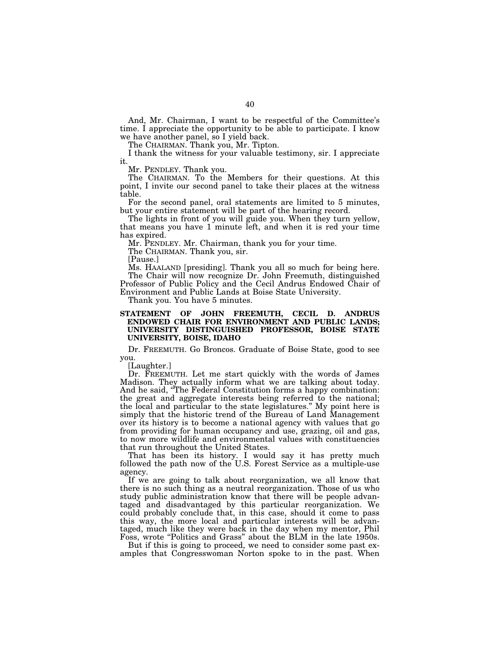And, Mr. Chairman, I want to be respectful of the Committee's time. I appreciate the opportunity to be able to participate. I know we have another panel, so I yield back.

The CHAIRMAN. Thank you, Mr. Tipton.

I thank the witness for your valuable testimony, sir. I appreciate it.

Mr. PENDLEY. Thank you.

The CHAIRMAN. To the Members for their questions. At this point, I invite our second panel to take their places at the witness table.

For the second panel, oral statements are limited to 5 minutes, but your entire statement will be part of the hearing record.

The lights in front of you will guide you. When they turn yellow, that means you have 1 minute left, and when it is red your time has expired.

Mr. PENDLEY. Mr. Chairman, thank you for your time.

The CHAIRMAN. Thank you, sir.

[Pause.]

Ms. HAALAND [presiding]. Thank you all so much for being here. The Chair will now recognize Dr. John Freemuth, distinguished Professor of Public Policy and the Cecil Andrus Endowed Chair of Environment and Public Lands at Boise State University.

Thank you. You have 5 minutes.

# **STATEMENT OF JOHN FREEMUTH, CECIL D. ANDRUS ENDOWED CHAIR FOR ENVIRONMENT AND PUBLIC LANDS; UNIVERSITY DISTINGUISHED PROFESSOR, BOISE STATE UNIVERSITY, BOISE, IDAHO**

Dr. FREEMUTH. Go Broncos. Graduate of Boise State, good to see you.

[Laughter.]

Dr. FREEMUTH. Let me start quickly with the words of James Madison. They actually inform what we are talking about today. And he said, ''The Federal Constitution forms a happy combination: the great and aggregate interests being referred to the national; the local and particular to the state legislatures.'' My point here is simply that the historic trend of the Bureau of Land Management over its history is to become a national agency with values that go from providing for human occupancy and use, grazing, oil and gas, to now more wildlife and environmental values with constituencies that run throughout the United States.

That has been its history. I would say it has pretty much followed the path now of the U.S. Forest Service as a multiple-use agency.

If we are going to talk about reorganization, we all know that there is no such thing as a neutral reorganization. Those of us who study public administration know that there will be people advantaged and disadvantaged by this particular reorganization. We could probably conclude that, in this case, should it come to pass this way, the more local and particular interests will be advantaged, much like they were back in the day when my mentor, Phil Foss, wrote "Politics and Grass" about the BLM in the late 1950s.

But if this is going to proceed, we need to consider some past examples that Congresswoman Norton spoke to in the past. When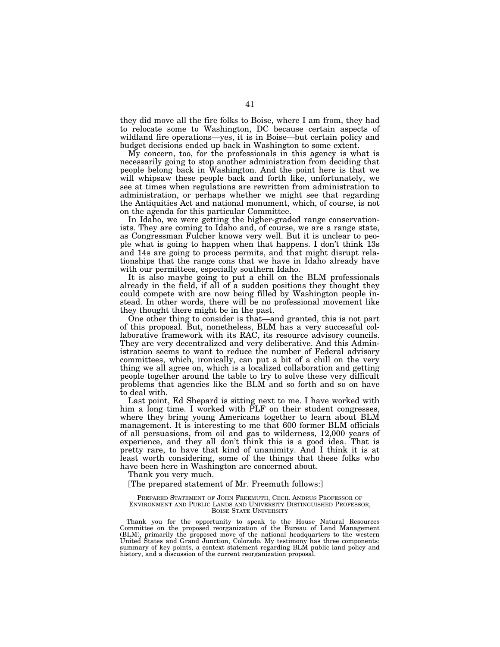they did move all the fire folks to Boise, where I am from, they had to relocate some to Washington, DC because certain aspects of wildland fire operations—yes, it is in Boise—but certain policy and budget decisions ended up back in Washington to some extent.

My concern, too, for the professionals in this agency is what is necessarily going to stop another administration from deciding that people belong back in Washington. And the point here is that we will whipsaw these people back and forth like, unfortunately, we see at times when regulations are rewritten from administration to administration, or perhaps whether we might see that regarding the Antiquities Act and national monument, which, of course, is not on the agenda for this particular Committee.

In Idaho, we were getting the higher-graded range conservationists. They are coming to Idaho and, of course, we are a range state, as Congressman Fulcher knows very well. But it is unclear to people what is going to happen when that happens. I don't think 13s and 14s are going to process permits, and that might disrupt relationships that the range cons that we have in Idaho already have with our permittees, especially southern Idaho.

It is also maybe going to put a chill on the BLM professionals already in the field, if all of a sudden positions they thought they could compete with are now being filled by Washington people instead. In other words, there will be no professional movement like they thought there might be in the past.

One other thing to consider is that—and granted, this is not part of this proposal. But, nonetheless, BLM has a very successful collaborative framework with its RAC, its resource advisory councils. They are very decentralized and very deliberative. And this Administration seems to want to reduce the number of Federal advisory committees, which, ironically, can put a bit of a chill on the very thing we all agree on, which is a localized collaboration and getting people together around the table to try to solve these very difficult problems that agencies like the BLM and so forth and so on have to deal with.

Last point, Ed Shepard is sitting next to me. I have worked with him a long time. I worked with  $\tilde{P}LF$  on their student congresses, where they bring young Americans together to learn about BLM management. It is interesting to me that 600 former BLM officials of all persuasions, from oil and gas to wilderness, 12,000 years of experience, and they all don't think this is a good idea. That is pretty rare, to have that kind of unanimity. And I think it is at least worth considering, some of the things that these folks who have been here in Washington are concerned about.

Thank you very much.

[The prepared statement of Mr. Freemuth follows:]

PREPARED STATEMENT OF JOHN FREEMUTH, CECIL ANDRUS PROFESSOR OF ENVIRONMENT AND PUBLIC LANDS AND UNIVERSITY DISTINGUISHED PROFESSOR, BOISE STATE UNIVERSITY

Thank you for the opportunity to speak to the House Natural Resources Committee on the proposed reorganization of the Bureau of Land Management (BLM), primarily the proposed move of the national headquarters to the western United States and Grand Junction, Colorado. My testimony has three components: summary of key points, a context statement regarding BLM public land policy and history, and a discussion of the current reorganization proposal.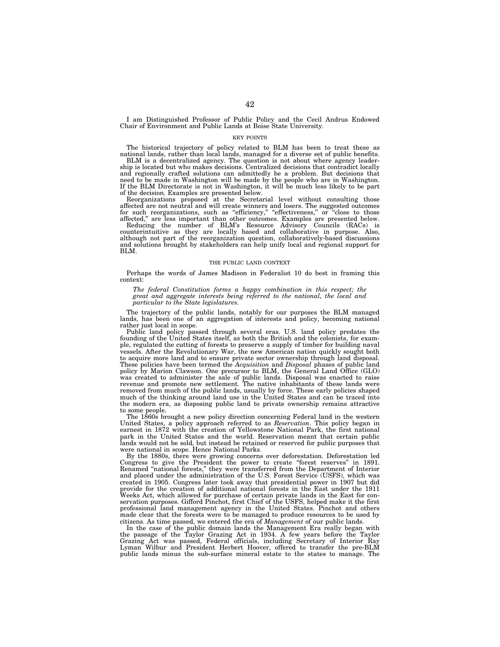I am Distinguished Professor of Public Policy and the Cecil Andrus Endowed Chair of Environment and Public Lands at Boise State University.

### KEY POINTS

The historical trajectory of policy related to BLM has been to treat these as national lands, rather than local lands, managed for a diverse set of public benefits.

BLM is a decentralized agency. The question is not about where agency leadership is located but who makes decisions. Centralized decisions that contradict locally and regionally crafted solutions can admittedly be a problem. But decisions that need to be made in Washington will be made by the people who are in Washington. If the BLM Directorate is not in Washington, it will be much less likely to be part of the decision. Examples are presented below.

Reorganizations proposed at the Secretarial level without consulting those affected are not neutral and will create winners and losers. The suggested outcomes for such reorganizations, such as "efficiency," "effectiveness," or "close to those

for such reorganizations, such as "efficiency," "effectiveness," or "close to those affected," are less important than other outcomes. Examples are presented below.<br>Reducing the number of BLM's Resource Advisory Councils ( although not part of the reorganization question, collaboratively-based discussions and solutions brought by stakeholders can help unify local and regional support for BLM.

#### THE PUBLIC LAND CONTEXT

Perhaps the words of James Madison in Federalist 10 do best in framing this context:

*The federal Constitution forms a happy combination in this respect; the great and aggregate interests being referred to the national, the local and particular to the State legislatures.* 

The trajectory of the public lands, notably for our purposes the BLM managed lands, has been one of an aggregation of interests and policy, becoming national rather just local in scope.

Public land policy passed through several eras. U.S. land policy predates the founding of the United States itself, as both the British and the colonists, for example, regulated the cutting of forests to preserve a supply of timber for building naval vessels. After the Revolutionary War, the new American nation quickly sought both to acquire more land and to ensure private sector ownership through land disposal. These policies have been termed the *Acquisition* and *Disposal* phases of public land policy by Marion Clawson. One precursor to BLM, the General Land Office (GLO) was created to administer the sale of public lands. Disposal was enacted to raise revenue and promote new settlement. The native inhabitants of these lands were removed from much of the public lands, usually by force. These early policies shaped much of the thinking around land use in the United States and can be traced into the modern era, as disposing public land to private ownership remains attractive to some people.

The 1860s brought a new policy direction concerning Federal land in the western United States, a policy approach referred to as *Reservation*. This policy began in earnest in 1872 with the creation of Yellowstone National Park, the first national park in the United States and the world. Reservation meant that certain public lands would not be sold, but instead be retained or reserved for public purposes that were national in scope. Hence National Parks.

By the 1880s, there were growing concerns over deforestation. Deforestation led Congress to give the President the power to create ''forest reserves'' in 1891. Renamed ''national forests,'' they were transferred from the Department of Interior and placed under the administration of the U.S. Forest Service (USFS), which was created in 1905. Congress later took away that presidential power in 1907 but did provide for the creation of additional national forests in the East under the 1911 Weeks Act, which allowed for purchase of certain private lands in the East for conservation purposes. Gifford Pinchot, first Chief of the USFS, helped make it the first professional land management agency in the United States. Pinchot and others made clear that the forests were to be managed to produce resources to be used by citizens. As time passed, we entered the era of *Management* of our public lands.

In the case of the public domain lands the Management Era really began with the passage of the Taylor Grazing Act in 1934. A few years before the Taylor Grazing Act was passed, Federal officials, including Secretary of Interior Ray Lyman Wilbur and President Herbert Hoover, offered to transfer the pre-BLM public lands minus the sub-surface mineral estate to the states to manage. The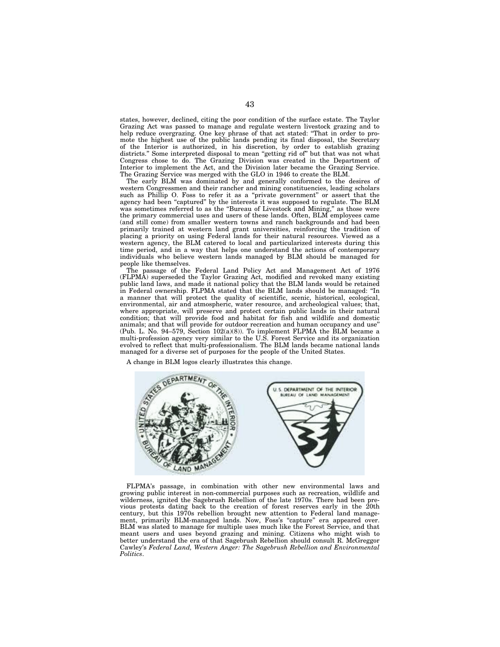states, however, declined, citing the poor condition of the surface estate. The Taylor Grazing Act was passed to manage and regulate western livestock grazing and to help reduce overgrazing. One key phrase of that act stated: ''That in order to promote the highest use of the public lands pending its final disposal, the Secretary of the Interior is authorized, in his discretion, by order to establish grazing districts.'' Some interpreted disposal to mean ''getting rid of'' but that was not what Congress chose to do. The Grazing Division was created in the Department of Interior to implement the Act, and the Division later became the Grazing Service. The Grazing Service was merged with the GLO in 1946 to create the BLM.

The early BLM was dominated by and generally conformed to the desires of western Congressmen and their rancher and mining constituencies, leading scholars such as Phillip O. Foss to refer it as a ''private government'' or assert that the agency had been "captured" by the interests it was supposed to regulate. The BLM was sometimes referred to as the "Bureau of Livestock and Mining," as those were the primary commercial uses and users of these lands. Often, BLM employees came (and still come) from smaller western towns and ranch backgrounds and had been primarily trained at western land grant universities, reinforcing the tradition of placing a priority on using Federal lands for their natural resources. Viewed as a western agency, the BLM catered to local and particularized interests during this time period, and in a way that helps one understand the actions of contemporary individuals who believe western lands managed by BLM should be managed for people like themselves.

The passage of the Federal Land Policy Act and Management Act of 1976 (FLPMA) superseded the Taylor Grazing Act, modified and revoked many existing public land laws, and made it national policy that the BLM lands would be retained in Federal ownership. FLPMA stated that the BLM lands should be managed: ''In a manner that will protect the quality of scientific, scenic, historical, ecological, environmental, air and atmospheric, water resource, and archeological values; that, where appropriate, will preserve and protect certain public lands in their natural condition; that will provide food and habitat for fish and wildlife and domestic animals; and that will provide for outdoor recreation and human occupancy and use'' (Pub. L. No. 94–579, Section  $102(a)(8)$ ). To implement FLPMA the BLM became a multi-profession agency very similar to the U.S. Forest Service and its organization evolved to reflect that multi-professionalism. The BLM lands became national lands managed for a diverse set of purposes for the people of the United States.

A change in BLM logos clearly illustrates this change.



FLPMA's passage, in combination with other new environmental laws and growing public interest in non-commercial purposes such as recreation, wildlife and wilderness, ignited the Sagebrush Rebellion of the late 1970s. There had been previous protests dating back to the creation of forest reserves early in the 20th century, but this 1970s rebellion brought new attention to Federal land management, primarily BLM-managed lands. Now, Foss's "capture" era appeared over. BLM was slated to manage for multiple uses much like the Forest Service, and that meant users and uses beyond grazing and mining. Citizens who might wish to better understand the era of that Sagebrush Rebellion should consult R. McGreggor Cawley's *Federal Land, Western Anger: The Sagebrush Rebellion and Environmental Politics*.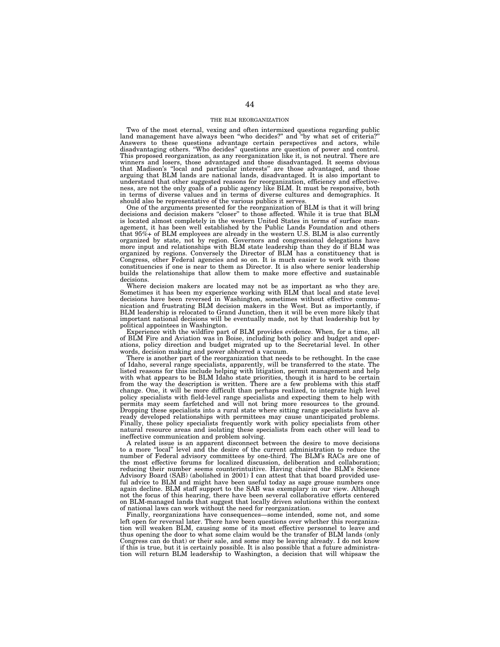# THE BLM REORGANIZATION

Two of the most eternal, vexing and often intermixed questions regarding public land management have always been ''who decides?'' and ''by what set of criteria?'' Answers to these questions advantage certain perspectives and actors, while disadvantaging others. ''Who decides'' questions are question of power and control. This proposed reorganization, as any reorganization like it, is not neutral. There are winners and losers, those advantaged and those disadvantaged. It seems obvious that Madison's ''local and particular interests'' are those advantaged, and those arguing that BLM lands are national lands, disadvantaged. It is also important to understand that other suggested reasons for reorganization, efficiency and effectiveness, are not the only goals of a public agency like BLM. It must be responsive, both in terms of diverse values and in terms of diverse cultures and demographics. It should also be representative of the various publics it serves.

One of the arguments presented for the reorganization of BLM is that it will bring decisions and decision makers ''closer'' to those affected. While it is true that BLM is located almost completely in the western United States in terms of surface management, it has been well established by the Public Lands Foundation and others that 95%+ of BLM employees are already in the western U.S. BLM is also currently organized by state, not by region. Governors and congressional delegations have more input and relationships with BLM state leadership than they do if BLM was organized by regions. Conversely the Director of BLM has a constituency that is Congress, other Federal agencies and so on. It is much easier to work with those constituencies if one is near to them as Director. It is also where senior leadership builds the relationships that allow them to make more effective and sustainable decisions.

Where decision makers are located may not be as important as who they are. Sometimes it has been my experience working with BLM that local and state level decisions have been reversed in Washington, sometimes without effective communication and frustrating BLM decision makers in the West. But as importantly, if BLM leadership is relocated to Grand Junction, then it will be even more likely that important national decisions will be eventually made, not by that leadership but by political appointees in Washington.

Experience with the wildfire part of BLM provides evidence. When, for a time, all of BLM Fire and Aviation was in Boise, including both policy and budget and operations, policy direction and budget migrated up to the Secretarial level. In other words, decision making and power abhorred a vacuum.

There is another part of the reorganization that needs to be rethought. In the case of Idaho, several range specialists, apparently, will be transferred to the state. The listed reasons for this include helping with litigation, permit management and help with what appears to be BLM Idaho state priorities, though it is hard to be certain from the way the description is written. There are a few problems with this staff change. One, it will be more difficult than perhaps realized, to integrate high level policy specialists with field-level range specialists and expecting them to help with permits may seem farfetched and will not bring more resources to the ground. Dropping these specialists into a rural state where sitting range specialists have already developed relationships with permittees may cause unanticipated problems. Finally, these policy specialists frequently work with policy specialists from other natural resource areas and isolating these specialists from each other will lead to ineffective communication and problem solving.

A related issue is an apparent disconnect between the desire to move decisions to a more ''local'' level and the desire of the current administration to reduce the number of Federal advisory committees by one-third. The BLM's RACs are one of the most effective forums for localized discussion, deliberation and collaboration; reducing their number seems counterintuitive. Having chaired the BLM's Science Advisory Board (SAB) (abolished in 2001) I can attest that that board provided useful advice to BLM and might have been useful today as sage grouse numbers once again decline. BLM staff support to the SAB was exemplary in our view. Although not the focus of this hearing, there have been several collaborative efforts centered on BLM-managed lands that suggest that locally driven solutions within the context of national laws can work without the need for reorganization.

Finally, reorganizations have consequences—some intended, some not, and some left open for reversal later. There have been questions over whether this reorganization will weaken BLM, causing some of its most effective personnel to leave and thus opening the door to what some claim would be the transfer of BLM lands (only Congress can do that) or their sale, and some may be leaving already. I do not know if this is true, but it is certainly possible. It is also possible that a future administration will return BLM leadership to Washington, a decision that will whipsaw the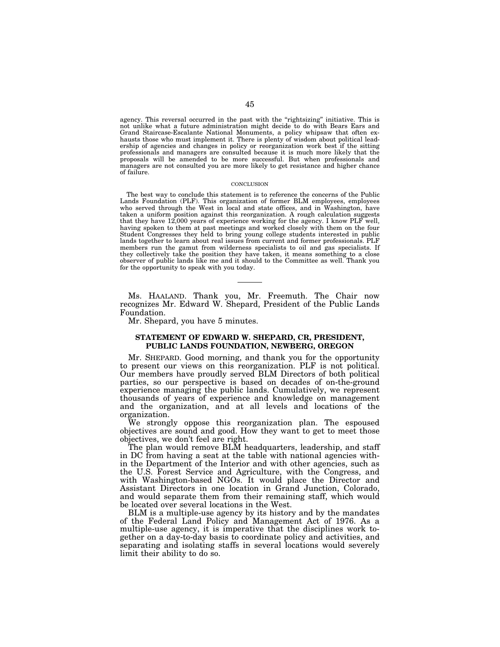agency. This reversal occurred in the past with the "rightsizing" initiative. This is not unlike what a future administration might decide to do with Bears Ears and Grand Staircase-Escalante National Monuments, a policy whipsaw that often exhausts those who must implement it. There is plenty of wisdom about political leadership of agencies and changes in policy or reorganization work best if the sitting professionals and managers are consulted because it is much more likely that the proposals will be amended to be more successful. But when professionals and managers are not consulted you are more likely to get resistance and higher chance of failure.

#### **CONCLUSION**

The best way to conclude this statement is to reference the concerns of the Public Lands Foundation (PLF). This organization of former BLM employees, employees who served through the West in local and state offices, and in Washington, have taken a uniform position against this reorganization. A rough calculation suggests that they have 12,000 years of experience working for the agency. I know PLF well, having spoken to them at past meetings and worked closely with them on the four Student Congresses they held to bring young college students interested in public lands together to learn about real issues from current and former professionals. PLF members run the gamut from wilderness specialists to oil and gas specialists. If they collectively take the position they have taken, it means something to a close observer of public lands like me and it should to the Committee as well. Thank you for the opportunity to speak with you today.

Ms. HAALAND. Thank you, Mr. Freemuth. The Chair now recognizes Mr. Edward W. Shepard, President of the Public Lands Foundation.

Mr. Shepard, you have 5 minutes.

# **STATEMENT OF EDWARD W. SHEPARD, CR, PRESIDENT, PUBLIC LANDS FOUNDATION, NEWBERG, OREGON**

Mr. SHEPARD. Good morning, and thank you for the opportunity to present our views on this reorganization. PLF is not political. Our members have proudly served BLM Directors of both political parties, so our perspective is based on decades of on-the-ground experience managing the public lands. Cumulatively, we represent thousands of years of experience and knowledge on management and the organization, and at all levels and locations of the organization.

We strongly oppose this reorganization plan. The espoused objectives are sound and good. How they want to get to meet those objectives, we don't feel are right.

The plan would remove BLM headquarters, leadership, and staff in DC from having a seat at the table with national agencies within the Department of the Interior and with other agencies, such as the U.S. Forest Service and Agriculture, with the Congress, and with Washington-based NGOs. It would place the Director and Assistant Directors in one location in Grand Junction, Colorado, and would separate them from their remaining staff, which would be located over several locations in the West.

BLM is a multiple-use agency by its history and by the mandates of the Federal Land Policy and Management Act of 1976. As a multiple-use agency, it is imperative that the disciplines work together on a day-to-day basis to coordinate policy and activities, and separating and isolating staffs in several locations would severely limit their ability to do so.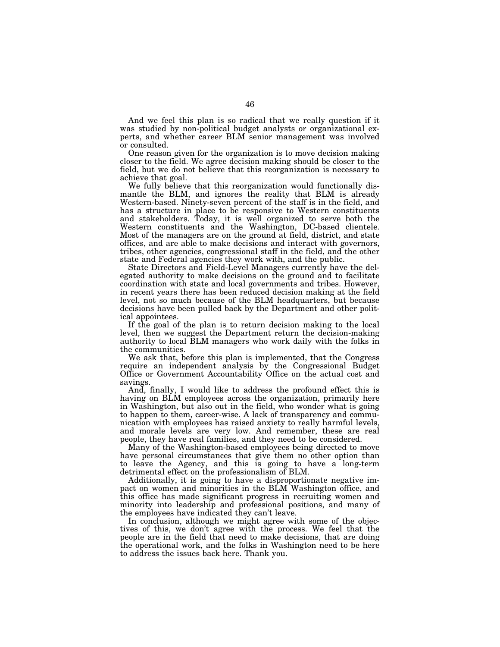And we feel this plan is so radical that we really question if it was studied by non-political budget analysts or organizational experts, and whether career BLM senior management was involved or consulted.

One reason given for the organization is to move decision making closer to the field. We agree decision making should be closer to the field, but we do not believe that this reorganization is necessary to achieve that goal.

We fully believe that this reorganization would functionally dismantle the BLM, and ignores the reality that BLM is already Western-based. Ninety-seven percent of the staff is in the field, and has a structure in place to be responsive to Western constituents and stakeholders. Today, it is well organized to serve both the Western constituents and the Washington, DC-based clientele. Most of the managers are on the ground at field, district, and state offices, and are able to make decisions and interact with governors, tribes, other agencies, congressional staff in the field, and the other state and Federal agencies they work with, and the public.

State Directors and Field-Level Managers currently have the delegated authority to make decisions on the ground and to facilitate coordination with state and local governments and tribes. However, in recent years there has been reduced decision making at the field level, not so much because of the BLM headquarters, but because decisions have been pulled back by the Department and other political appointees.

If the goal of the plan is to return decision making to the local level, then we suggest the Department return the decision-making authority to local BLM managers who work daily with the folks in the communities.

We ask that, before this plan is implemented, that the Congress require an independent analysis by the Congressional Budget Office or Government Accountability Office on the actual cost and savings.

And, finally, I would like to address the profound effect this is having on BLM employees across the organization, primarily here in Washington, but also out in the field, who wonder what is going to happen to them, career-wise. A lack of transparency and communication with employees has raised anxiety to really harmful levels, and morale levels are very low. And remember, these are real people, they have real families, and they need to be considered.

Many of the Washington-based employees being directed to move have personal circumstances that give them no other option than to leave the Agency, and this is going to have a long-term detrimental effect on the professionalism of BLM.

Additionally, it is going to have a disproportionate negative impact on women and minorities in the BLM Washington office, and this office has made significant progress in recruiting women and minority into leadership and professional positions, and many of the employees have indicated they can't leave.

In conclusion, although we might agree with some of the objectives of this, we don't agree with the process. We feel that the people are in the field that need to make decisions, that are doing the operational work, and the folks in Washington need to be here to address the issues back here. Thank you.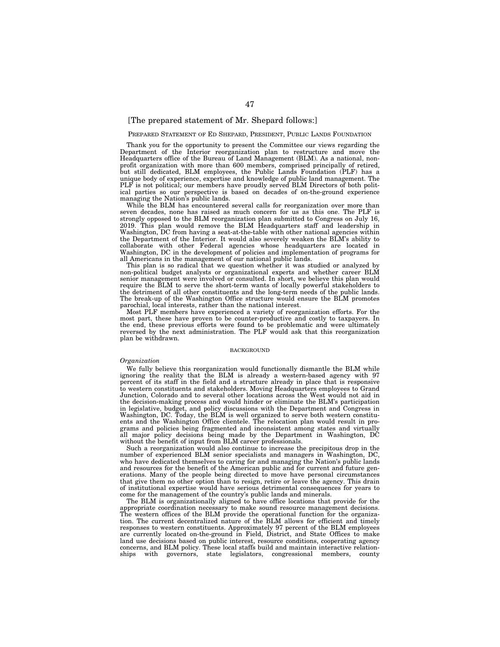# [The prepared statement of Mr. Shepard follows:]

# PREPARED STATEMENT OF ED SHEPARD, PRESIDENT, PUBLIC LANDS FOUNDATION

Thank you for the opportunity to present the Committee our views regarding the Department of the Interior reorganization plan to restructure and move the Headquarters office of the Bureau of Land Management (BLM). As a national, nonprofit organization with more than 600 members, comprised principally of retired, but still dedicated, BLM employees, the Public Lands Foundation (PLF) has a unique body of experience, expertise and knowledge of public land management. The PLF is not political; our members have proudly served BLM Directors of both political parties so our perspective is based on decades of on-the-ground experience managing the Nation's public lands.

While the BLM has encountered several calls for reorganization over more than seven decades, none has raised as much concern for us as this one. The PLF is strongly opposed to the BLM reorganization plan submitted to Congress on July 16, 2019. This plan would remove the BLM Headquarters staff and leadership in Washington, DC from having a seat-at-the-table with other national agencies within the Department of the Interior. It would also severely weaken the BLM's ability to collaborate with other Federal agencies whose headquarters are located in Washington, DC in the development of policies and implementation of programs for all Americans in the management of our national public lands.

This plan is so radical that we question whether it was studied or analyzed by non-political budget analysts or organizational experts and whether career BLM senior management were involved or consulted. In short, we believe this plan would require the BLM to serve the short-term wants of locally powerful stakeholders to the detriment of all other constituents and the long-term needs of the public lands. The break-up of the Washington Office structure would ensure the BLM promotes parochial, local interests, rather than the national interest.

Most PLF members have experienced a variety of reorganization efforts. For the most part, these have proven to be counter-productive and costly to taxpayers. In the end, these previous efforts were found to be problematic and were ultimately reversed by the next administration. The PLF would ask that this reorganization plan be withdrawn.

# **BACKGROUND**

#### *Organization*

We fully believe this reorganization would functionally dismantle the BLM while ignoring the reality that the BLM is already a western-based agency with 97 percent of its staff in the field and a structure already in place that is responsive to western constituents and stakeholders. Moving Headquarters employees to Grand Junction, Colorado and to several other locations across the West would not aid in the decision-making process and would hinder or eliminate the BLM's participation in legislative, budget, and policy discussions with the Department and Congress in Washington, DC. Today, the BLM is well organized to serve both western constituents and the Washington Office clientele. The relocation plan would result in programs and policies being fragmented and inconsistent among states and virtually all major policy decisions being made by the Department in Washington, DC without the benefit of input from BLM career professionals.

Such a reorganization would also continue to increase the precipitous drop in the number of experienced BLM senior specialists and managers in Washington, DC, who have dedicated themselves to caring for and managing the Nation's public lands and resources for the benefit of the American public and for current and future generations. Many of the people being directed to move have personal circumstances that give them no other option than to resign, retire or leave the agency. This drain of institutional expertise would have serious detrimental consequences for years to come for the management of the country's public lands and minerals.

The BLM is organizationally aligned to have office locations that provide for the appropriate coordination necessary to make sound resource management decisions. The western offices of the BLM provide the operational function for the organization. The current decentralized nature of the BLM allows for efficient and timely responses to western constituents. Approximately 97 percent of the BLM employees are currently located on-the-ground in Field, District, and State Offices to make land use decisions based on public interest, resource conditions, cooperating agency concerns, and BLM policy. These local staffs build and maintain interactive relationships with governors, state legislators, congressional members, county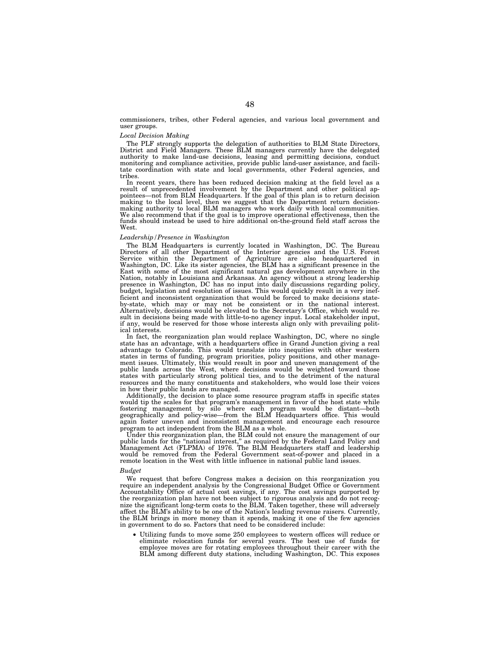commissioners, tribes, other Federal agencies, and various local government and user groups.

## *Local Decision Making*

The PLF strongly supports the delegation of authorities to BLM State Directors, District and Field Managers. These BLM managers currently have the delegated authority to make land-use decisions, leasing and permitting decisions, conduct monitoring and compliance activities, provide public land-user assistance, and facilitate coordination with state and local governments, other Federal agencies, and tribes.

In recent years, there has been reduced decision making at the field level as a result of unprecedented involvement by the Department and other political appointees—not from BLM Headquarters. If the goal of this plan is to return decision making to the local level, then we suggest that the Department return decisionmaking authority to local BLM managers who work daily with local communities. We also recommend that if the goal is to improve operational effectiveness, then the funds should instead be used to hire additional on-the-ground field staff across the West.

## *Leadership/Presence in Washington*

The BLM Headquarters is currently located in Washington, DC. The Bureau Directors of all other Department of the Interior agencies and the U.S. Forest Service within the Department of Agriculture are also headquartered in Washington, DC. Like its sister agencies, the BLM has a significant presence in the East with some of the most significant natural gas development anywhere in the Nation, notably in Louisiana and Arkansas. An agency without a strong leadership presence in Washington, DC has no input into daily discussions regarding policy, budget, legislation and resolution of issues. This would quickly result in a very inefficient and inconsistent organization that would be forced to make decisions stateby-state, which may or may not be consistent or in the national interest. Alternatively, decisions would be elevated to the Secretary's Office, which would result in decisions being made with little-to-no agency input. Local stakeholder input, if any, would be reserved for those whose interests align only with prevailing political interests.

In fact, the reorganization plan would replace Washington, DC, where no single state has an advantage, with a headquarters office in Grand Junction giving a real advantage to Colorado. This would translate into inequities with other western states in terms of funding, program priorities, policy positions, and other management issues. Ultimately, this would result in poor and uneven management of the public lands across the West, where decisions would be weighted toward those states with particularly strong political ties, and to the detriment of the natural resources and the many constituents and stakeholders, who would lose their voices in how their public lands are managed.

Additionally, the decision to place some resource program staffs in specific states would tip the scales for that program's management in favor of the host state while fostering management by silo where each program would be distant—both geographically and policy-wise—from the BLM Headquarters office. This would again foster uneven and inconsistent management and encourage each resource program to act independent from the BLM as a whole.

Under this reorganization plan, the BLM could not ensure the management of our public lands for the ''national interest,'' as required by the Federal Land Policy and Management Act (FLPMA) of 1976. The BLM Headquarters staff and leadership would be removed from the Federal Government seat-of-power and placed in a remote location in the West with little influence in national public land issues.

# *Budget*

We request that before Congress makes a decision on this reorganization you require an independent analysis by the Congressional Budget Office or Government Accountability Office of actual cost savings, if any. The cost savings purported by the reorganization plan have not been subject to rigorous analysis and do not recognize the significant long-term costs to the BLM. Taken together, these will adversely affect the BLM's ability to be one of the Nation's leading revenue raisers. Currently, the BLM brings in more money than it spends, making it one of the few agencies in government to do so. Factors that need to be considered include:

• Utilizing funds to move some 250 employees to western offices will reduce or eliminate relocation funds for several years. The best use of funds for employee moves are for rotating employees throughout their career with the BLM among different duty stations, including Washington, DC. This exposes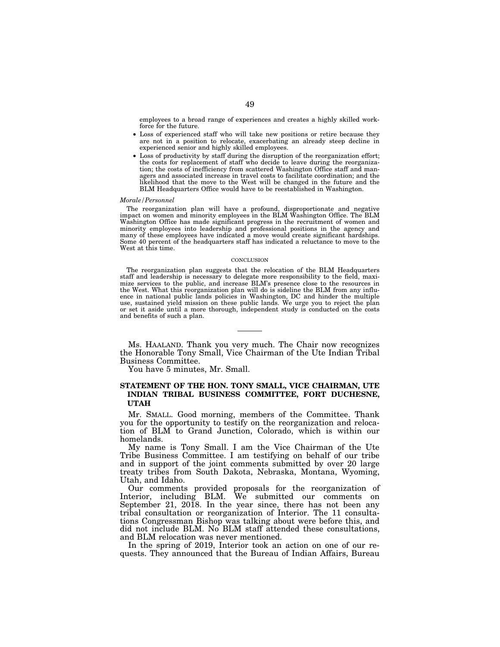employees to a broad range of experiences and creates a highly skilled workforce for the future.

- Loss of experienced staff who will take new positions or retire because they are not in a position to relocate, exacerbating an already steep decline in experienced senior and highly skilled employees.
- Loss of productivity by staff during the disruption of the reorganization effort; the costs for replacement of staff who decide to leave during the reorganization; the costs of inefficiency from scattered Washington Office staff and managers and associated increase in travel costs to facilitate coordination; and the likelihood that the move to the West will be changed in the future and the BLM Headquarters Office would have to be reestablished in Washington.

### *Morale/Personnel*

The reorganization plan will have a profound, disproportionate and negative impact on women and minority employees in the BLM Washington Office. The BLM Washington Office has made significant progress in the recruitment of women and minority employees into leadership and professional positions in the agency and many of these employees have indicated a move would create significant hardships. Some 40 percent of the headquarters staff has indicated a reluctance to move to the West at this time.

#### **CONCLUSION**

The reorganization plan suggests that the relocation of the BLM Headquarters staff and leadership is necessary to delegate more responsibility to the field, maximize services to the public, and increase BLM's presence close to the resources in the West. What this reorganization plan will do is sideline the BLM from any influence in national public lands policies in Washington, DC and hinder the multiple use, sustained yield mission on these public lands. We urge you to reject the plan or set it aside until a more thorough, independent study is conducted on the costs and benefits of such a plan.

Ms. HAALAND. Thank you very much. The Chair now recognizes the Honorable Tony Small, Vice Chairman of the Ute Indian Tribal Business Committee.

You have 5 minutes, Mr. Small.

# **STATEMENT OF THE HON. TONY SMALL, VICE CHAIRMAN, UTE INDIAN TRIBAL BUSINESS COMMITTEE, FORT DUCHESNE, UTAH**

Mr. SMALL. Good morning, members of the Committee. Thank you for the opportunity to testify on the reorganization and relocation of BLM to Grand Junction, Colorado, which is within our homelands.

My name is Tony Small. I am the Vice Chairman of the Ute Tribe Business Committee. I am testifying on behalf of our tribe and in support of the joint comments submitted by over 20 large treaty tribes from South Dakota, Nebraska, Montana, Wyoming, Utah, and Idaho.

Our comments provided proposals for the reorganization of Interior, including BLM. We submitted our comments on September 21, 2018. In the year since, there has not been any tribal consultation or reorganization of Interior. The 11 consultations Congressman Bishop was talking about were before this, and did not include BLM. No BLM staff attended these consultations, and BLM relocation was never mentioned.

In the spring of 2019, Interior took an action on one of our requests. They announced that the Bureau of Indian Affairs, Bureau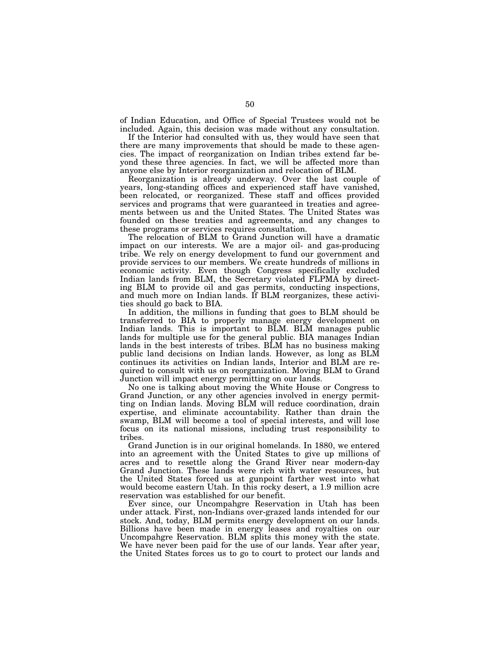of Indian Education, and Office of Special Trustees would not be included. Again, this decision was made without any consultation.

If the Interior had consulted with us, they would have seen that there are many improvements that should be made to these agencies. The impact of reorganization on Indian tribes extend far beyond these three agencies. In fact, we will be affected more than anyone else by Interior reorganization and relocation of BLM.

Reorganization is already underway. Over the last couple of years, long-standing offices and experienced staff have vanished, been relocated, or reorganized. These staff and offices provided services and programs that were guaranteed in treaties and agreements between us and the United States. The United States was founded on these treaties and agreements, and any changes to these programs or services requires consultation.

The relocation of BLM to Grand Junction will have a dramatic impact on our interests. We are a major oil- and gas-producing tribe. We rely on energy development to fund our government and provide services to our members. We create hundreds of millions in economic activity. Even though Congress specifically excluded Indian lands from BLM, the Secretary violated FLPMA by directing BLM to provide oil and gas permits, conducting inspections, and much more on Indian lands. If BLM reorganizes, these activities should go back to BIA.

In addition, the millions in funding that goes to BLM should be transferred to BIA to properly manage energy development on Indian lands. This is important to BLM. BLM manages public lands for multiple use for the general public. BIA manages Indian lands in the best interests of tribes. BLM has no business making public land decisions on Indian lands. However, as long as BLM continues its activities on Indian lands, Interior and BLM are required to consult with us on reorganization. Moving BLM to Grand Junction will impact energy permitting on our lands.

No one is talking about moving the White House or Congress to Grand Junction, or any other agencies involved in energy permitting on Indian lands. Moving BLM will reduce coordination, drain expertise, and eliminate accountability. Rather than drain the swamp, BLM will become a tool of special interests, and will lose focus on its national missions, including trust responsibility to tribes.

Grand Junction is in our original homelands. In 1880, we entered into an agreement with the United States to give up millions of acres and to resettle along the Grand River near modern-day Grand Junction. These lands were rich with water resources, but the United States forced us at gunpoint farther west into what would become eastern Utah. In this rocky desert, a 1.9 million acre reservation was established for our benefit.

Ever since, our Uncompahgre Reservation in Utah has been under attack. First, non-Indians over-grazed lands intended for our stock. And, today, BLM permits energy development on our lands. Billions have been made in energy leases and royalties on our Uncompahgre Reservation. BLM splits this money with the state. We have never been paid for the use of our lands. Year after year, the United States forces us to go to court to protect our lands and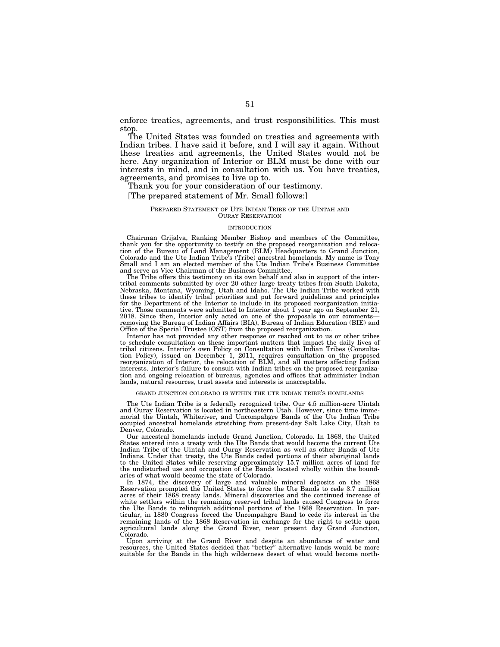enforce treaties, agreements, and trust responsibilities. This must stop.

The United States was founded on treaties and agreements with Indian tribes. I have said it before, and I will say it again. Without these treaties and agreements, the United States would not be here. Any organization of Interior or BLM must be done with our interests in mind, and in consultation with us. You have treaties, agreements, and promises to live up to.

Thank you for your consideration of our testimony.

# [The prepared statement of Mr. Small follows:]

## PREPARED STATEMENT OF UTE INDIAN TRIBE OF THE UINTAH AND OURAY RESERVATION

## INTRODUCTION

Chairman Grijalva, Ranking Member Bishop and members of the Committee, thank you for the opportunity to testify on the proposed reorganization and relocation of the Bureau of Land Management (BLM) Headquarters to Grand Junction, Colorado and the Ute Indian Tribe's (Tribe) ancestral homelands. My name is Tony Small and I am an elected member of the Ute Indian Tribe's Business Committee and serve as Vice Chairman of the Business Committee.

The Tribe offers this testimony on its own behalf and also in support of the intertribal comments submitted by over 20 other large treaty tribes from South Dakota, Nebraska, Montana, Wyoming, Utah and Idaho. The Ute Indian Tribe worked with these tribes to identify tribal priorities and put forward guidelines and principles for the Department of the Interior to include in its proposed reorganization initiative. Those comments were submitted to Interior about 1 year ago on September 21, 2018. Since then, Interior only acted on one of the proposals in our comments removing the Bureau of Indian Affairs (BIA), Bureau of Indian Education (BIE) and Office of the Special Trustee (OST) from the proposed reorganization.

Interior has not provided any other response or reached out to us or other tribes to schedule consultation on these important matters that impact the daily lives of tribal citizens. Interior's own Policy on Consultation with Indian Tribes (Consultation Policy), issued on December 1, 2011, requires consultation on the proposed reorganization of Interior, the relocation of BLM, and all matters affecting Indian interests. Interior's failure to consult with Indian tribes on the proposed reorganization and ongoing relocation of bureaus, agencies and offices that administer Indian lands, natural resources, trust assets and interests is unacceptable.

# GRAND JUNCTION COLORADO IS WITHIN THE UTE INDIAN TRIBE'S HOMELANDS

The Ute Indian Tribe is a federally recognized tribe. Our 4.5 million-acre Uintah and Ouray Reservation is located in northeastern Utah. However, since time immemorial the Uintah, Whiteriver, and Uncompahgre Bands of the Ute Indian Tribe occupied ancestral homelands stretching from present-day Salt Lake City, Utah to Denver, Colorado.

Our ancestral homelands include Grand Junction, Colorado. In 1868, the United States entered into a treaty with the Ute Bands that would become the current Ute Indian Tribe of the Uintah and Ouray Reservation as well as other Bands of Ute Indians. Under that treaty, the Ute Bands ceded portions of their aboriginal lands to the United States while reserving approximately 15.7 million acres of land for the undisturbed use and occupation of the Bands located wholly within the boundaries of what would become the state of Colorado.

In 1874, the discovery of large and valuable mineral deposits on the 1868 Reservation prompted the United States to force the Ute Bands to cede 3.7 million acres of their 1868 treaty lands. Mineral discoveries and the continued increase of white settlers within the remaining reserved tribal lands caused Congress to force the Ute Bands to relinquish additional portions of the 1868 Reservation. In particular, in 1880 Congress forced the Uncompahgre Band to cede its interest in the remaining lands of the 1868 Reservation in exchange for the right to settle upon agricultural lands along the Grand River, near present day Grand Junction, Colorado.

Upon arriving at the Grand River and despite an abundance of water and resources, the United States decided that ''better'' alternative lands would be more suitable for the Bands in the high wilderness desert of what would become north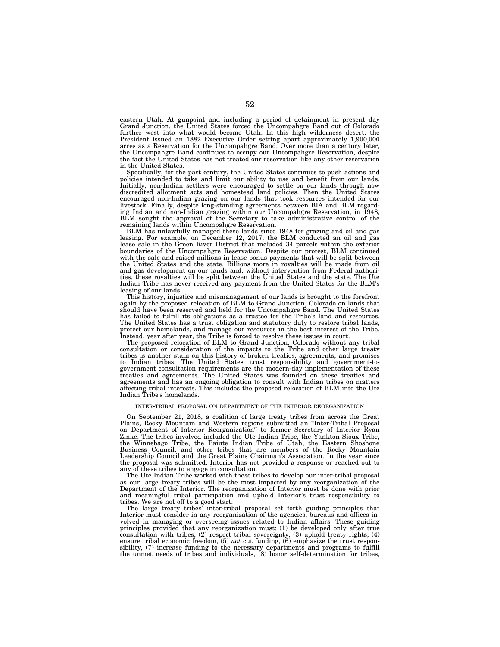eastern Utah. At gunpoint and including a period of detainment in present day Grand Junction, the United States forced the Uncompahgre Band out of Colorado further west into what would become Utah. In this high wilderness desert, the President issued an 1882 Executive Order setting apart approximately 1,900,000 acres as a Reservation for the Uncompahgre Band. Over more than a century later, the Uncompahgre Band continues to occupy our Uncompahgre Reservation, despite the fact the United States has not treated our reservation like any other reservation in the United States.

Specifically, for the past century, the United States continues to push actions and policies intended to take and limit our ability to use and benefit from our lands. Initially, non-Indian settlers were encouraged to settle on our lands through now discredited allotment acts and homestead land policies. Then the United States encouraged non-Indian grazing on our lands that took resources intended for our livestock. Finally, despite long-standing agreements between BIA and BLM regarding Indian and non-Indian grazing within our Uncompahgre Reservation, in 1948, BLM sought the approval of the Secretary to take administrative control of the remaining lands within Uncompahgre Reservation.

BLM has unlawfully managed these lands since 1948 for grazing and oil and gas leasing. For example, on December 12, 2017, the BLM conducted an oil and gas lease sale in the Green River District that included 34 parcels within the exterior boundaries of the Uncompahgre Reservation. Despite our protest, BLM continued with the sale and raised millions in lease bonus payments that will be split between the United States and the state. Billions more in royalties will be made from oil and gas development on our lands and, without intervention from Federal authorities, these royalties will be split between the United States and the state. The Ute Indian Tribe has never received any payment from the United States for the BLM's leasing of our lands.

This history, injustice and mismanagement of our lands is brought to the forefront again by the proposed relocation of BLM to Grand Junction, Colorado on lands that should have been reserved and held for the Uncompahgre Band. The United States has failed to fulfill its obligations as a trustee for the Tribe's land and resources. The United States has a trust obligation and statutory duty to restore tribal lands, protect our homelands, and manage our resources in the best interest of the Tribe. Instead, year after year, the Tribe is forced to resolve these issues in court.

The proposed relocation of BLM to Grand Junction, Colorado without any tribal consultation or consideration of the impacts to the Tribe and other large treaty tribes is another stain on this history of broken treaties, agreements, and promises to Indian tribes. The United States' trust responsibility and government-togovernment consultation requirements are the modern-day implementation of these treaties and agreements. The United States was founded on these treaties and agreements and has an ongoing obligation to consult with Indian tribes on matters affecting tribal interests. This includes the proposed relocation of BLM into the Ute Indian Tribe's homelands.

#### INTER-TRIBAL PROPOSAL ON DEPARTMENT OF THE INTERIOR REORGANIZATION

On September 21, 2018, a coalition of large treaty tribes from across the Great Plains, Rocky Mountain and Western regions submitted an ''Inter-Tribal Proposal on Department of Interior Reorganization'' to former Secretary of Interior Ryan Zinke. The tribes involved included the Ute Indian Tribe, the Yankton Sioux Tribe, the Winnebago Tribe, the Paiute Indian Tribe of Utah, the Eastern Shoshone Business Council, and other tribes that are members of the Rocky Mountain Leadership Council and the Great Plains Chairman's Association. In the year since the proposal was submitted, Interior has not provided a response or reached out to any of these tribes to engage in consultation.

The Ute Indian Tribe worked with these tribes to develop our inter-tribal proposal as our large treaty tribes will be the most impacted by any reorganization of the Department of the Interior. The reorganization of Interior must be done with prior and meaningful tribal participation and uphold Interior's trust responsibility to tribes. We are not off to a good start.

The large treaty tribes' inter-tribal proposal set forth guiding principles that Interior must consider in any reorganization of the agencies, bureaus and offices involved in managing or overseeing issues related to Indian affairs. These guiding principles provided that any reorganization must: (1) be developed only after true consultation with tribes, (2) respect tribal sovereignty, (3) uphold treaty rights, (4) ensure tribal economic freedom, (5) *not* cut funding, (6) emphasize the trust respon-<br>sibility, (7) increase funding to the necessary departments and programs to fulfill the unmet needs of tribes and individuals, (8) honor self-determination for tribes,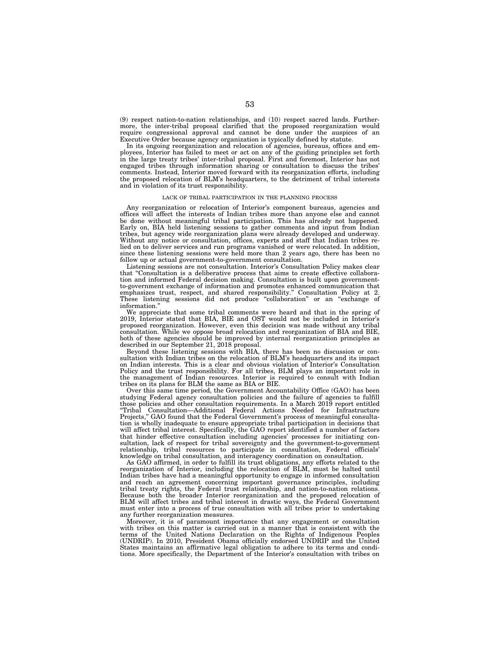(9) respect nation-to-nation relationships, and (10) respect sacred lands. Furthermore, the inter-tribal proposal clarified that the proposed reorganization would require congressional approval and cannot be done under the auspices of an Executive Order because agency organization is typically defined by statute.

In its ongoing reorganization and relocation of agencies, bureaus, offices and employees, Interior has failed to meet or act on any of the guiding principles set forth in the large treaty tribes' inter-tribal proposal. First and foremost, Interior has not engaged tribes through information sharing or consultation to discuss the tribes' comments. Instead, Interior moved forward with its reorganization efforts, including the proposed relocation of BLM's headquarters, to the detriment of tribal interests and in violation of its trust responsibility.

# LACK OF TRIBAL PARTICIPATION IN THE PLANNING PROCESS

Any reorganization or relocation of Interior's component bureaus, agencies and offices will affect the interests of Indian tribes more than anyone else and cannot be done without meaningful tribal participation. This has already not happened. Early on, BIA held listening sessions to gather comments and input from Indian tribes, but agency wide reorganization plans were already developed and underway. Without any notice or consultation, offices, experts and staff that Indian tribes relied on to deliver services and run programs vanished or were relocated. In addition, since these listening sessions were held more than 2 years ago, there has been no follow up or actual government-to-government consultation.

Listening sessions are not consultation. Interior's Consultation Policy makes clear that ''Consultation is a deliberative process that aims to create effective collaboration and informed Federal decision making. Consultation is built upon governmentto-government exchange of information and promotes enhanced communication that emphasizes trust, respect, and shared responsibility.'' Consultation Policy at 2. These listening sessions did not produce ''collaboration'' or an ''exchange of information.''

We appreciate that some tribal comments were heard and that in the spring of 2019, Interior stated that BIA, BIE and OST would not be included in Interior's proposed reorganization. However, even this decision was made without any tribal consultation. While we oppose broad relocation and reorganization of BIA and BIE, both of these agencies should be improved by internal reorganization principles as described in our September 21, 2018 proposal.

Beyond these listening sessions with BIA, there has been no discussion or consultation with Indian tribes on the relocation of BLM's headquarters and its impact on Indian interests. This is a clear and obvious violation of Interior's Consultation Policy and the trust responsibility. For all tribes, BLM plays an important role in the management of Indian resources. Interior is required to consult with Indian tribes on its plans for BLM the same as BIA or BIE.

Over this same time period, the Government Accountability Office (GAO) has been studying Federal agency consultation policies and the failure of agencies to fulfill those policies and other consultation requirements. In a March 2019 report entitled ''Tribal Consultation—Additional Federal Actions Needed for Infrastructure Projects,'' GAO found that the Federal Government's process of meaningful consultation is wholly inadequate to ensure appropriate tribal participation in decisions that will affect tribal interest. Specifically, the GAO report identified a number of factors that hinder effective consultation including agencies' processes for initiating consultation, lack of respect for tribal sovereignty and the government-to-government relationship, tribal resources to participate in consultation, Federal officials' knowledge on tribal consultation, and interagency coordination on consultation.

As GAO affirmed, in order to fulfill its trust obligations, any efforts related to the reorganization of Interior, including the relocation of BLM, must be halted until Indian tribes have had a meaningful opportunity to engage in informed consultation and reach an agreement concerning important governance principles, including tribal treaty rights, the Federal trust relationship, and nation-to-nation relations. Because both the broader Interior reorganization and the proposed relocation of BLM will affect tribes and tribal interest in drastic ways, the Federal Government must enter into a process of true consultation with all tribes prior to undertaking any further reorganization measures.

Moreover, it is of paramount importance that any engagement or consultation with tribes on this matter is carried out in a manner that is consistent with the terms of the United Nations Declaration on the Rights of Indigenous Peoples (UNDRIP). In 2010, President Obama officially endorsed UNDRIP and the United States maintains an affirmative legal obligation to adhere to its terms and conditions. More specifically, the Department of the Interior's consultation with tribes on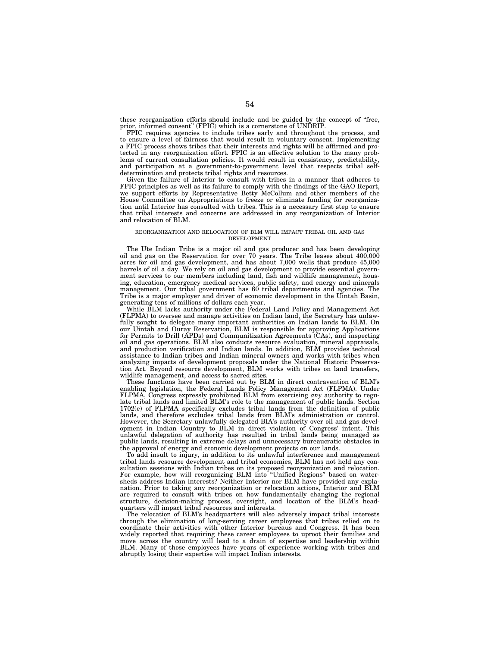these reorganization efforts should include and be guided by the concept of ''free, prior, informed consent'' (FPIC) which is a cornerstone of UNDRIP.

FPIC requires agencies to include tribes early and throughout the process, and to ensure a level of fairness that would result in voluntary consent. Implementing a FPIC process shows tribes that their interests and rights will be affirmed and protected in any reorganization effort. FPIC is an effective solution to the many problems of current consultation policies. It would result in consistency, predictability, and participation at a government-to-government level that respects tribal selfdetermination and protects tribal rights and resources.

Given the failure of Interior to consult with tribes in a manner that adheres to FPIC principles as well as its failure to comply with the findings of the GAO Report, we support efforts by Representative Betty McCollum and other members of the House Committee on Appropriations to freeze or eliminate funding for reorganization until Interior has consulted with tribes. This is a necessary first step to ensure that tribal interests and concerns are addressed in any reorganization of Interior and relocation of BLM.

#### REORGANIZATION AND RELOCATION OF BLM WILL IMPACT TRIBAL OIL AND GAS DEVELOPMENT

The Ute Indian Tribe is a major oil and gas producer and has been developing oil and gas on the Reservation for over 70 years. The Tribe leases about 400,000 acres for oil and gas development, and has about 7,000 wells that produce 45,000 barrels of oil a day. We rely on oil and gas development to provide essential government services to our members including land, fish and wildlife management, housing, education, emergency medical services, public safety, and energy and minerals management. Our tribal government has 60 tribal departments and agencies. The Tribe is a major employer and driver of economic development in the Uintah Basin, generating tens of millions of dollars each year.

While BLM lacks authority under the Federal Land Policy and Management Act (FLPMA) to oversee and manage activities on Indian land, the Secretary has unlawfully sought to delegate many important authorities on Indian lands to BLM. On our Uintah and Ouray Reservation, BLM is responsible for approving Applications for Permits to Drill (APDs) and Communitization Agreements (CAs), and inspecting oil and gas operations. BLM also conducts resource evaluation, mineral appraisals, and production verification and Indian lands. In addition, BLM provides technical assistance to Indian tribes and Indian mineral owners and works with tribes when analyzing impacts of development proposals under the National Historic Preservation Act. Beyond resource development, BLM works with tribes on land transfers, wildlife management, and access to sacred sites.

These functions have been carried out by BLM in direct contravention of BLM's enabling legislation, the Federal Lands Policy Management Act (FLPMA). Under FLPMA, Congress expressly prohibited BLM from exercising *any* authority to regulate tribal lands and limited BLM's role to the management of public lands. Section 1702(e) of FLPMA specifically excludes tribal lands from the definition of public lands, and therefore excludes tribal lands from BLM's administration or control. However, the Secretary unlawfully delegated BIA's authority over oil and gas development in Indian Country to BLM in direct violation of Congress' intent. This unlawful delegation of authority has resulted in tribal lands being managed as public lands, resulting in extreme delays and unnecessary bureaucratic obstacles in the approval of energy and economic development projects on our lands.

To add insult to injury, in addition to its unlawful interference and management tribal lands resource development and tribal economies, BLM has not held any consultation sessions with Indian tribes on its proposed reorganization and relocation. For example, how will reorganizing BLM into ''Unified Regions'' based on watersheds address Indian interests? Neither Interior nor BLM have provided any explanation. Prior to taking any reorganization or relocation actions, Interior and BLM are required to consult with tribes on how fundamentally changing the regional structure, decision-making process, oversight, and location of the BLM's headquarters will impact tribal resources and interests.

The relocation of BLM's headquarters will also adversely impact tribal interests through the elimination of long-serving career employees that tribes relied on to coordinate their activities with other Interior bureaus and Congress. It has been widely reported that requiring these career employees to uproot their families and move across the country will lead to a drain of expertise and leadership within BLM. Many of those employees have years of experience working with tribes and abruptly losing their expertise will impact Indian interests.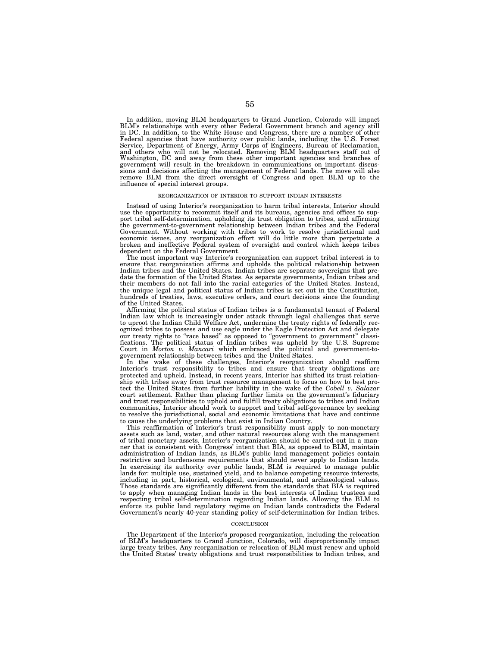In addition, moving BLM headquarters to Grand Junction, Colorado will impact BLM's relationships with every other Federal Government branch and agency still in DC. In addition, to the White House and Congress, there are a number of other Federal agencies that have authority over public lands, including the U.S. Forest<br>Service, Department of Energy, Army Corps of Engineers, Bureau of Reclamation,<br>and others who will not be relocated. Removing BLM headquarte government will result in the breakdown in communications on important discussions and decisions affecting the management of Federal lands. The move will also remove BLM from the direct oversight of Congress and open BLM up to the influence of special interest groups.

#### REORGANIZATION OF INTERIOR TO SUPPORT INDIAN INTERESTS

Instead of using Interior's reorganization to harm tribal interests, Interior should use the opportunity to recommit itself and its bureaus, agencies and offices to support tribal self-determination, upholding its trust obligation to tribes, and affirming the government-to-government relationship between Indian tribes and the Federal Government. Without working with tribes to work to resolve jurisdictional and economic issues, any reorganization effort will do little more than perpetuate a broken and ineffective Federal system of oversight and control which keeps tribes dependent on the Federal Government.

The most important way Interior's reorganization can support tribal interest is to ensure that reorganization affirms and upholds the political relationship between Indian tribes and the United States. Indian tribes are separate sovereigns that predate the formation of the United States. As separate governments, Indian tribes and their members do not fall into the racial categories of the United States. Instead, the unique legal and political status of Indian tribes is set out in the Constitution, hundreds of treaties, laws, executive orders, and court decisions since the founding of the United States.

Affirming the political status of Indian tribes is a fundamental tenant of Federal Indian law which is increasingly under attack through legal challenges that serve to uproot the Indian Child Welfare Act, undermine the treaty rights of federally recognized tribes to possess and use eagle under the Eagle Protection Act and delegate our treaty rights to ''race based'' as opposed to ''government to government'' classifications. The political status of Indian tribes was upheld by the U.S. Supreme Court in *Morton v. Mancari* which embraced the political and government-togovernment relationship between tribes and the United States.

In the wake of these challenges, Interior's reorganization should reaffirm Interior's trust responsibility to tribes and ensure that treaty obligations are protected and upheld. Instead, in recent years, Interior has shifted its trust relationship with tribes away from trust resource management to focus on how to best protect the United States from further liability in the wake of the *Cobell v. Salazar*  court settlement. Rather than placing further limits on the government's fiduciary and trust responsibilities to uphold and fulfill treaty obligations to tribes and Indian communities, Interior should work to support and tribal self-governance by seeking to resolve the jurisdictional, social and economic limitations that have and continue to cause the underlying problems that exist in Indian Country.

This reaffirmation of Interior's trust responsibility must apply to non-monetary assets such as land, water, and other natural resources along with the management of tribal monetary assets. Interior's reorganization should be carried out in a manner that is consistent with Congress' intent that BIA, as opposed to BLM, maintain administration of Indian lands, as BLM's public land management policies contain restrictive and burdensome requirements that should never apply to Indian lands. In exercising its authority over public lands, BLM is required to manage public lands for: multiple use, sustained yield, and to balance competing resource interests, including in part, historical, ecological, environmental, and archaeological values. Those standards are significantly different from the standards that BIA is required to apply when managing Indian lands in the best interests of Indian trustees and respecting tribal self-determination regarding Indian lands. Allowing the BLM to enforce its public land regulatory regime on Indian lands contradicts the Federal Government's nearly 40-year standing policy of self-determination for Indian tribes.

# **CONCLUSION**

The Department of the Interior's proposed reorganization, including the relocation of BLM's headquarters to Grand Junction, Colorado, will disproportionally impact large treaty tribes. Any reorganization or relocation of BLM must renew and uphold the United States' treaty obligations and trust responsibilities to Indian tribes, and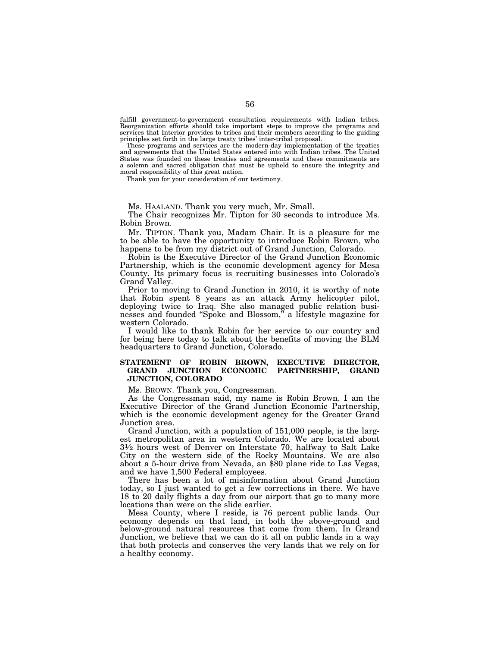fulfill government-to-government consultation requirements with Indian tribes. Reorganization efforts should take important steps to improve the programs and services that Interior provides to tribes and their members according to the guiding principles set forth in the large treaty tribes' inter-tribal proposal.

These programs and services are the modern-day implementation of the treaties and agreements that the United States entered into with Indian tribes. The United States was founded on these treaties and agreements and these commitments are a solemn and sacred obligation that must be upheld to ensure the integrity and moral responsibility of this great nation.

Thank you for your consideration of our testimony.

Ms. HAALAND. Thank you very much, Mr. Small.

The Chair recognizes Mr. Tipton for 30 seconds to introduce Ms. Robin Brown.

Mr. TIPTON. Thank you, Madam Chair. It is a pleasure for me to be able to have the opportunity to introduce Robin Brown, who happens to be from my district out of Grand Junction, Colorado.

Robin is the Executive Director of the Grand Junction Economic Partnership, which is the economic development agency for Mesa County. Its primary focus is recruiting businesses into Colorado's Grand Valley.

Prior to moving to Grand Junction in 2010, it is worthy of note that Robin spent 8 years as an attack Army helicopter pilot, deploying twice to Iraq. She also managed public relation businesses and founded ''Spoke and Blossom,'' a lifestyle magazine for western Colorado.

I would like to thank Robin for her service to our country and for being here today to talk about the benefits of moving the BLM headquarters to Grand Junction, Colorado.

# **STATEMENT OF ROBIN BROWN, EXECUTIVE DIRECTOR, GRAND JUNCTION ECONOMIC PARTNERSHIP, GRAND JUNCTION, COLORADO**

Ms. BROWN. Thank you, Congressman.

As the Congressman said, my name is Robin Brown. I am the Executive Director of the Grand Junction Economic Partnership, which is the economic development agency for the Greater Grand Junction area.

Grand Junction, with a population of 151,000 people, is the largest metropolitan area in western Colorado. We are located about 31⁄2 hours west of Denver on Interstate 70, halfway to Salt Lake City on the western side of the Rocky Mountains. We are also about a 5-hour drive from Nevada, an \$80 plane ride to Las Vegas, and we have 1,500 Federal employees.

There has been a lot of misinformation about Grand Junction today, so I just wanted to get a few corrections in there. We have 18 to 20 daily flights a day from our airport that go to many more locations than were on the slide earlier.

Mesa County, where I reside, is 76 percent public lands. Our economy depends on that land, in both the above-ground and below-ground natural resources that come from them. In Grand Junction, we believe that we can do it all on public lands in a way that both protects and conserves the very lands that we rely on for a healthy economy.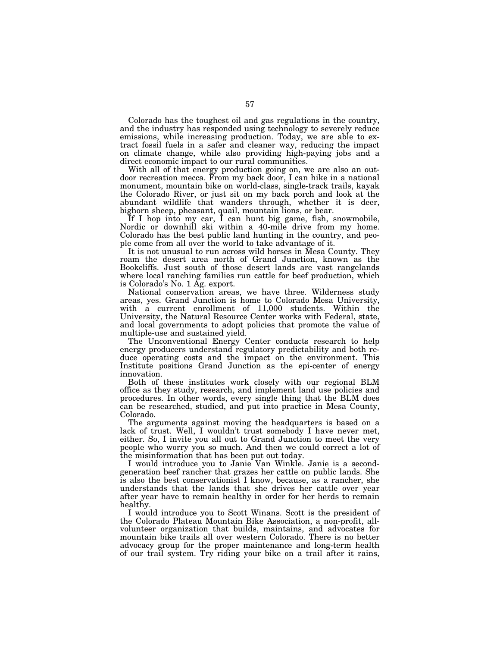Colorado has the toughest oil and gas regulations in the country, and the industry has responded using technology to severely reduce emissions, while increasing production. Today, we are able to extract fossil fuels in a safer and cleaner way, reducing the impact on climate change, while also providing high-paying jobs and a direct economic impact to our rural communities.

With all of that energy production going on, we are also an outdoor recreation mecca. From my back door, I can hike in a national monument, mountain bike on world-class, single-track trails, kayak the Colorado River, or just sit on my back porch and look at the abundant wildlife that wanders through, whether it is deer, bighorn sheep, pheasant, quail, mountain lions, or bear.

If I hop into my car, I can hunt big game, fish, snowmobile, Nordic or downhill ski within a 40-mile drive from my home. Colorado has the best public land hunting in the country, and people come from all over the world to take advantage of it.

It is not unusual to run across wild horses in Mesa County. They roam the desert area north of Grand Junction, known as the Bookcliffs. Just south of those desert lands are vast rangelands where local ranching families run cattle for beef production, which is Colorado's No. 1 Ag. export.

National conservation areas, we have three. Wilderness study areas, yes. Grand Junction is home to Colorado Mesa University, with a current enrollment of 11,000 students. Within the University, the Natural Resource Center works with Federal, state, and local governments to adopt policies that promote the value of multiple-use and sustained yield.

The Unconventional Energy Center conducts research to help energy producers understand regulatory predictability and both reduce operating costs and the impact on the environment. This Institute positions Grand Junction as the epi-center of energy innovation.

Both of these institutes work closely with our regional BLM office as they study, research, and implement land use policies and procedures. In other words, every single thing that the BLM does can be researched, studied, and put into practice in Mesa County, Colorado.

The arguments against moving the headquarters is based on a lack of trust. Well, I wouldn't trust somebody I have never met, either. So, I invite you all out to Grand Junction to meet the very people who worry you so much. And then we could correct a lot of the misinformation that has been put out today.

I would introduce you to Janie Van Winkle. Janie is a secondgeneration beef rancher that grazes her cattle on public lands. She is also the best conservationist I know, because, as a rancher, she understands that the lands that she drives her cattle over year after year have to remain healthy in order for her herds to remain healthy.

I would introduce you to Scott Winans. Scott is the president of the Colorado Plateau Mountain Bike Association, a non-profit, allvolunteer organization that builds, maintains, and advocates for mountain bike trails all over western Colorado. There is no better advocacy group for the proper maintenance and long-term health of our trail system. Try riding your bike on a trail after it rains,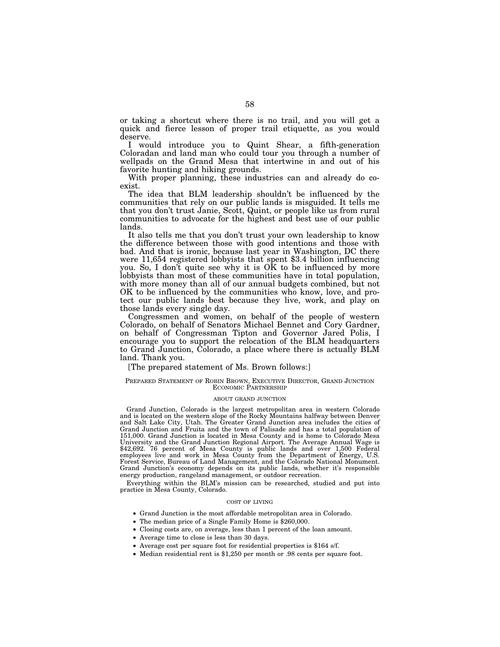or taking a shortcut where there is no trail, and you will get a quick and fierce lesson of proper trail etiquette, as you would deserve.

I would introduce you to Quint Shear, a fifth-generation Coloradan and land man who could tour you through a number of wellpads on the Grand Mesa that intertwine in and out of his favorite hunting and hiking grounds.

With proper planning, these industries can and already do coexist.

The idea that BLM leadership shouldn't be influenced by the communities that rely on our public lands is misguided. It tells me that you don't trust Janie, Scott, Quint, or people like us from rural communities to advocate for the highest and best use of our public lands.

It also tells me that you don't trust your own leadership to know the difference between those with good intentions and those with bad. And that is ironic, because last year in Washington, DC there were 11,654 registered lobbyists that spent \$3.4 billion influencing you. So, I don't quite see why it is  $\overrightarrow{OK}$  to be influenced by more lobbyists than most of these communities have in total population, with more money than all of our annual budgets combined, but not OK to be influenced by the communities who know, love, and protect our public lands best because they live, work, and play on those lands every single day.

Congressmen and women, on behalf of the people of western Colorado, on behalf of Senators Michael Bennet and Cory Gardner, on behalf of Congressman Tipton and Governor Jared Polis, I encourage you to support the relocation of the BLM headquarters to Grand Junction, Colorado, a place where there is actually BLM land. Thank you.

[The prepared statement of Ms. Brown follows:]

### PREPARED STATEMENT OF ROBIN BROWN, EXECUTIVE DIRECTOR, GRAND JUNCTION ECONOMIC PARTNERSHIP

# ABOUT GRAND JUNCTION

Grand Junction, Colorado is the largest metropolitan area in western Colorado and is located on the western slope of the Rocky Mountains halfway between Denver and Salt Lake City, Utah. The Greater Grand Junction area includes the cities of Grand Junction and Fruita and the town of Palisade and has a total population of 151,000. Grand Junction is located in Mesa County and is home to Colorado Mesa University and the Grand Junction Regional Airport. The Average Annual Wage is \$42,692. 76 percent of Mesa County is public lands and over 1,500 Federal employees live and work in Mesa County from the Department of Energy, U.S. Forest Service, Bureau of Land Management, and the Colorado National Monument. Grand Junction's economy depends on its public lands, whether it's responsible energy production, rangeland management, or outdoor recreation.

Everything within the BLM's mission can be researched, studied and put into practice in Mesa County, Colorado.

# COST OF LIVING

- Grand Junction is the most affordable metropolitan area in Colorado.
- The median price of a Single Family Home is \$260,000.
- Closing costs are, on average, less than 1 percent of the loan amount.
- Average time to close is less than 30 days.
- Average cost per square foot for residential properties is \$164 s/f.
- Median residential rent is \$1,250 per month or .98 cents per square foot.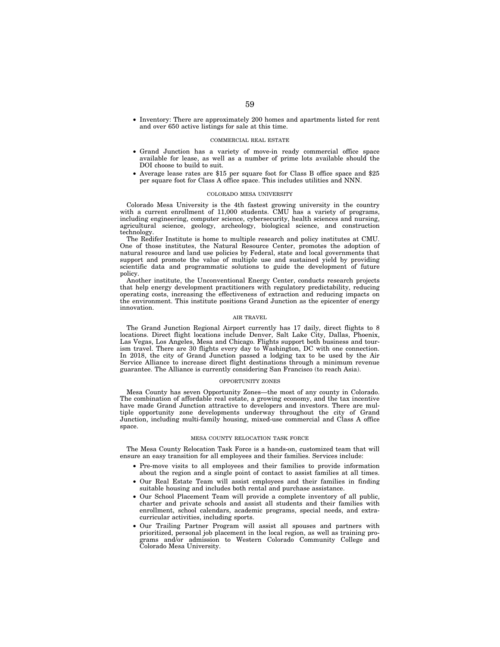• Inventory: There are approximately 200 homes and apartments listed for rent and over 650 active listings for sale at this time.

## COMMERCIAL REAL ESTATE

- Grand Junction has a variety of move-in ready commercial office space available for lease, as well as a number of prime lots available should the DOI choose to build to suit.
- Average lease rates are \$15 per square foot for Class B office space and \$25 per square foot for Class A office space. This includes utilities and NNN.

#### COLORADO MESA UNIVERSITY

Colorado Mesa University is the 4th fastest growing university in the country with a current enrollment of 11,000 students. CMU has a variety of programs, including engineering, computer science, cybersecurity, health sciences and nursing, agricultural science, geology, archeology, biological science, and construction technology.

The Redifer Institute is home to multiple research and policy institutes at CMU. One of those institutes, the Natural Resource Center, promotes the adoption of natural resource and land use policies by Federal, state and local governments that support and promote the value of multiple use and sustained yield by providing scientific data and programmatic solutions to guide the development of future policy.

Another institute, the Unconventional Energy Center, conducts research projects that help energy development practitioners with regulatory predictability, reducing operating costs, increasing the effectiveness of extraction and reducing impacts on the environment. This institute positions Grand Junction as the epicenter of energy innovation.

## AIR TRAVEL

The Grand Junction Regional Airport currently has 17 daily, direct flights to 8 locations. Direct flight locations include Denver, Salt Lake City, Dallas, Phoenix, Las Vegas, Los Angeles, Mesa and Chicago. Flights support both business and tourism travel. There are 30 flights every day to Washington, DC with one connection. In 2018, the city of Grand Junction passed a lodging tax to be used by the Air Service Alliance to increase direct flight destinations through a minimum revenue guarantee. The Alliance is currently considering San Francisco (to reach Asia).

### OPPORTUNITY ZONES

Mesa County has seven Opportunity Zones—the most of any county in Colorado. The combination of affordable real estate, a growing economy, and the tax incentive have made Grand Junction attractive to developers and investors. There are multiple opportunity zone developments underway throughout the city of Grand Junction, including multi-family housing, mixed-use commercial and Class A office space.

#### MESA COUNTY RELOCATION TASK FORCE

The Mesa County Relocation Task Force is a hands-on, customized team that will ensure an easy transition for all employees and their families. Services include:

- Pre-move visits to all employees and their families to provide information about the region and a single point of contact to assist families at all times.
- Our Real Estate Team will assist employees and their families in finding suitable housing and includes both rental and purchase assistance.
- Our School Placement Team will provide a complete inventory of all public, charter and private schools and assist all students and their families with enrollment, school calendars, academic programs, special needs, and extracurricular activities, including sports.
- Our Trailing Partner Program will assist all spouses and partners with prioritized, personal job placement in the local region, as well as training programs and/or admission to Western Colorado Community College and Colorado Mesa University.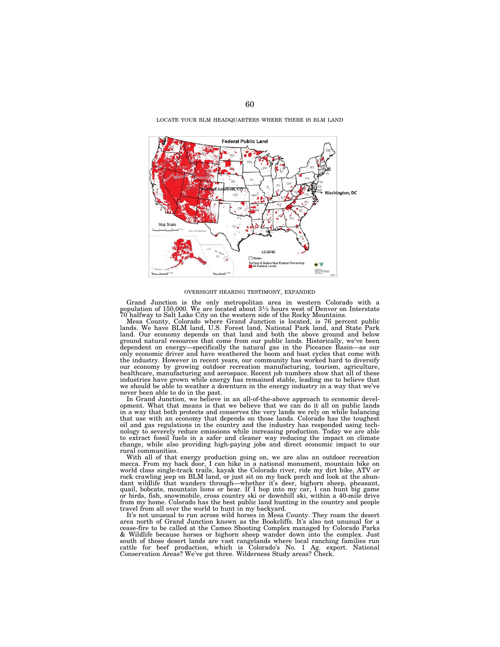LOCATE YOUR BLM HEADQUARTERS WHERE THERE IS BLM LAND



### OVERSIGHT HEARING TESTIMONY, EXPANDED

Grand Junction is the only metropolitan area in western Colorado with a population of 150,000. We are located about 31⁄2 hours west of Denver on Interstate 70 halfway to Salt Lake City on the western side of the Rocky Mountains.

Mesa County, Colorado where Grand Junction is located, is 76 percent public<br>lands. We have BLM land, U.S. Forest land, National Park land, and State Park<br>land. Our economy depends on that land and both the above ground and ground natural resources that come from our public lands. Historically, we've been dependent on energy—specifically the natural gas in the Piceance Basin—as our only economic driver and have weathered the boom and bust cycles that come with the industry. However in recent years, our community has worked hard to diversify our economy by growing outdoor recreation manufacturing, tourism, agriculture, healthcare, manufacturing and aerospace. Recent job numbers show that all of these industries have grown while energy has remained stable, leading me to believe that we should be able to weather a downturn in the energy industry in a way that we've never been able to do in the past. In Grand Junction, we believe in an all-of-the-above approach to economic devel-

opment. What that means is that we believe that we can do it all on public lands in a way that both protects and conserves the very lands we rely on while balancing that use with an economy that depends on those lands. Colorado has the toughest oil and gas regulations in the country and the industry has responded using technology to severely reduce emissions while increasing production. Today we are able to extract fossil fuels in a safer and cleaner way reducing the impact on climate change, while also providing high-paying jobs and direct economic impact to our rural communities.

With all of that energy production going on, we are also an outdoor recreation mecca. From my back door, I can hike in a national monument, mountain bike on world class single-track trails, kayak the Colorado river, ride my dirt bike, ATV or rock crawling jeep on BLM land, or just sit on my back porch and look at the abundant wildlife that wanders through—whether it's deer, bighorn sheep, pheasant,<br>quail, bobcats, mountain lions or bear. If I hop into my car, I can hunt big game<br>or birds, fish, snowmobile, cross country ski or downhill ski from my home. Colorado has the best public land hunting in the country and people travel from all over the world to hunt in my backyard.

It's not unusual to run across wild horses in Mesa County. They roam the desert area north of Grand Junction known as the Bookcliffs. It's also not unusual for a cease-fire to be called at the Cameo Shooting Complex managed by Colorado Parks & Wildlife because horses or bighorn sheep wander down into the complex. Just south of those desert lands are vast rangelands where local ranching families run cattle for beef production, which is Colorado's No. 1 Ag. export. National Conservation Areas? We've got three. Wilderness Study areas? Check.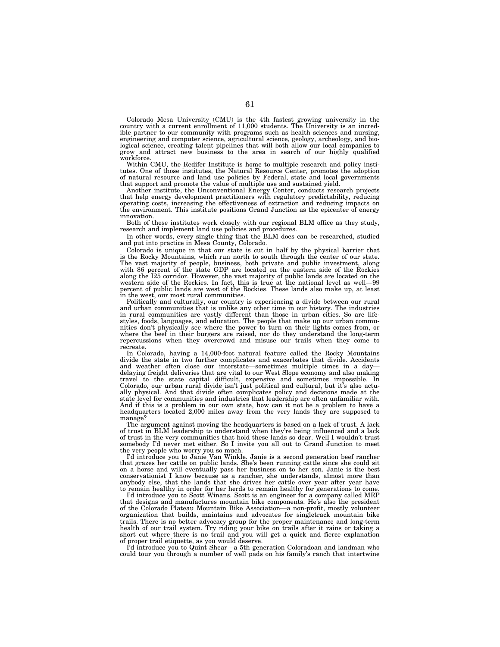Colorado Mesa University (CMU) is the 4th fastest growing university in the country with a current enrollment of 11,000 students. The University is an incredible partner to our community with programs such as health sciences and nursing, engineering and computer science, agricultural science, geology, archeology, and biological science, creating talent pipelines that will both allow our local companies to grow and attract new business to the area in search of our highly qualified workforce.

Within CMU, the Redifer Institute is home to multiple research and policy institutes. One of those institutes, the Natural Resource Center, promotes the adoption of natural resource and land use policies by Federal, state and local governments that support and promote the value of multiple use and sustained yield.

Another institute, the Unconventional Energy Center, conducts research projects that help energy development practitioners with regulatory predictability, reducing operating costs, increasing the effectiveness of extraction and reducing impacts on the environment. This institute positions Grand Junction as the epicenter of energy innovation.

Both of these institutes work closely with our regional BLM office as they study, research and implement land use policies and procedures.

In other words, every single thing that the BLM does can be researched, studied and put into practice in Mesa County, Colorado.

Colorado is unique in that our state is cut in half by the physical barrier that is the Rocky Mountains, which run north to south through the center of our state. The vast majority of people, business, both private and public investment, along with 86 percent of the state GDP are located on the eastern side of the Rockies along the I25 corridor. However, the vast majority of public lands are located on the western side of the Rockies. In fact, this is true at the national level as well—99 percent of public lands are west of the Rockies. These lands also make up, at least in the west, our most rural communities.

Politically and culturally, our country is experiencing a divide between our rural and urban communities that is unlike any other time in our history. The industries in rural communities are vastly different than those in urban cities. So are lifestyles, foods, languages, and education. The people that make up our urban communities don't physically see where the power to turn on their lights comes from, or where the beef in their burgers are raised, nor do they understand the long-term repercussions when they overcrowd and misuse our trails when they come to recreate.

In Colorado, having a 14,000-foot natural feature called the Rocky Mountains divide the state in two further complicates and exacerbates that divide. Accidents and weather often close our interstate—sometimes multiple times in a day delaying freight deliveries that are vital to our West Slope economy and also making travel to the state capital difficult, expensive and sometimes impossible. In Colorado, our urban rural divide isn't just political and cultural, but it's also actually physical. And that divide often complicates policy and decisions made at the state level for communities and industries that leadership are often unfamiliar with. And if this is a problem in our own state, how can it not be a problem to have a headquarters located 2,000 miles away from the very lands they are supposed to manage?

The argument against moving the headquarters is based on a lack of trust. A lack of trust in BLM leadership to understand when they're being influenced and a lack of trust in the very communities that hold these lands so dear. Well I wouldn't trust somebody I'd never met either. So I invite you all out to Grand Junction to meet the very people who worry you so much.

I'd introduce you to Janie Van Winkle. Janie is a second generation beef rancher that grazes her cattle on public lands. She's been running cattle since she could sit on a horse and will eventually pass her business on to her son. Janie is the best conservationist I know because as a rancher, she understands, almost more than anybody else, that the lands that she drives her cattle over year after year have to remain healthy in order for her herds to remain healthy for generations to come.

I'd introduce you to Scott Winans. Scott is an engineer for a company called MRP that designs and manufactures mountain bike components. He's also the president of the Colorado Plateau Mountain Bike Association—a non-profit, mostly volunteer organization that builds, maintains and advocates for singletrack mountain bike trails. There is no better advocacy group for the proper maintenance and long-term health of our trail system. Try riding your bike on trails after it rains or taking a short cut where there is no trail and you will get a quick and fierce explanation of proper trail etiquette, as you would deserve.

I'd introduce you to Quint Shear—a 5th generation Coloradoan and landman who could tour you through a number of well pads on his family's ranch that intertwine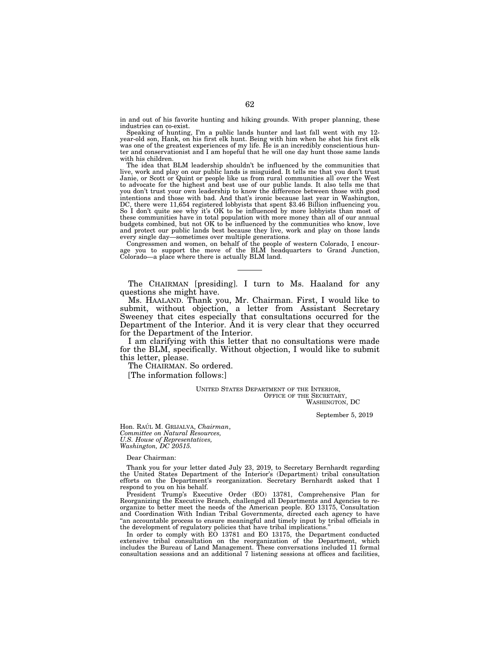in and out of his favorite hunting and hiking grounds. With proper planning, these industries can co-exist.

Speaking of hunting, I'm a public lands hunter and last fall went with my 12 year-old son, Hank, on his first elk hunt. Being with him when he shot his first elk was one of the greatest experiences of my life. He is an incredibly conscientious hunter and conservationist and I am hopeful that he will one day hunt those same lands with his children.

The idea that BLM leadership shouldn't be influenced by the communities that live, work and play on our public lands is misguided. It tells me that you don't trust Janie, or Scott or Quint or people like us from rural communities all over the West to advocate for the highest and best use of our public lands. It also tells me that you don't trust your own leadership to know the difference between those with good intentions and those with bad. And that's ironic because last year in Washington, DC, there were 11,654 registered lobbyists that spent \$3.46 Billion influencing you. So I don't quite see why it's OK to be influenced by more lobbyists than most of these communities have in total population with more money than all of our annual budgets combined, but not OK to be influenced by the communities who know, love and protect our public lands best because they live, work and play on those lands every single day—sometimes over multiple generations.

Congressmen and women, on behalf of the people of western Colorado, I encourage you to support the move of the BLM headquarters to Grand Junction, Colorado—a place where there is actually BLM land.

The CHAIRMAN [presiding]. I turn to Ms. Haaland for any questions she might have.

Ms. HAALAND. Thank you, Mr. Chairman. First, I would like to submit, without objection, a letter from Assistant Secretary Sweeney that cites especially that consultations occurred for the Department of the Interior. And it is very clear that they occurred for the Department of the Interior.

I am clarifying with this letter that no consultations were made for the BLM, specifically. Without objection, I would like to submit this letter, please.

The CHAIRMAN. So ordered.

[The information follows:]

UNITED STATES DEPARTMENT OF THE INTERIOR, OFFICE OF THE SECRETARY, WASHINGTON, DC

September 5, 2019

Hon. RAÚL M. GRIJALVA, Chairman, *Committee on Natural Resources, U.S. House of Representatives, Washington, DC 20515.* 

Dear Chairman:

Thank you for your letter dated July 23, 2019, to Secretary Bernhardt regarding the United States Department of the Interior's (Department) tribal consultation efforts on the Department's reorganization. Secretary Bernhardt asked that I respond to you on his behalf.

President Trump's Executive Order (EO) 13781, Comprehensive Plan for Reorganizing the Executive Branch, challenged all Departments and Agencies to reorganize to better meet the needs of the American people. EO 13175, Consultation and Coordination With Indian Tribal Governments, directed each agency to have ''an accountable process to ensure meaningful and timely input by tribal officials in the development of regulatory policies that have tribal implications.''

In order to comply with EO 13781 and EO 13175, the Department conducted extensive tribal consultation on the reorganization of the Department, which includes the Bureau of Land Management. These conversations included 11 formal consultation sessions and an additional 7 listening sessions at offices and facilities,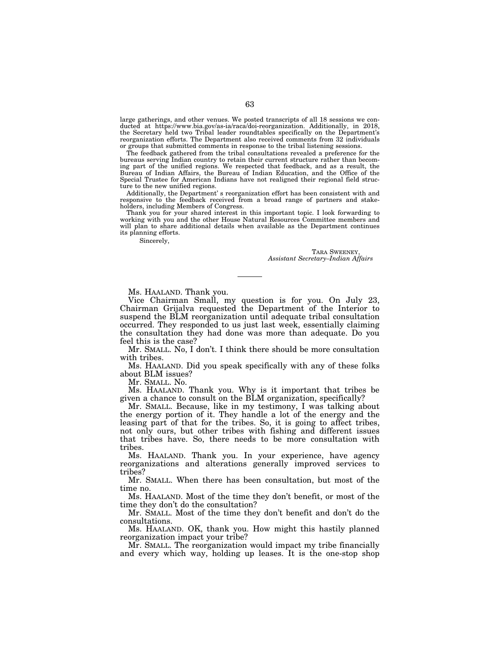large gatherings, and other venues. We posted transcripts of all 18 sessions we conducted at https://www.bia.gov/as-ia/raca/doi-reorganization. Additionally, in 2018, the Secretary held two Tribal leader roundtables specifically on the Department's reorganization efforts. The Department also received comments from 32 individuals or groups that submitted comments in response to the tribal listening sessions.

The feedback gathered from the tribal consultations revealed a preference for the bureaus serving Indian country to retain their current structure rather than becoming part of the unified regions. We respected that feedback, and as a result, the Bureau of Indian Affairs, the Bureau of Indian Education, and the Office of the Special Trustee for American Indians have not realigned their regional field structure to the new unified regions.

Additionally, the Department' s reorganization effort has been consistent with and responsive to the feedback received from a broad range of partners and stakeholders, including Members of Congress.

Thank you for your shared interest in this important topic. I look forwarding to working with you and the other House Natural Resources Committee members and will plan to share additional details when available as the Department continues its planning efforts.

Sincerely,

TARA SWEENEY, *Assistant Secretary–Indian Affairs* 

Ms. HAALAND. Thank you.

Vice Chairman Small, my question is for you. On July 23, Chairman Grijalva requested the Department of the Interior to suspend the BLM reorganization until adequate tribal consultation occurred. They responded to us just last week, essentially claiming the consultation they had done was more than adequate. Do you feel this is the case?

Mr. SMALL. No, I don't. I think there should be more consultation with tribes.

Ms. HAALAND. Did you speak specifically with any of these folks about BLM issues?

Mr. SMALL. No.

Ms. HAALAND. Thank you. Why is it important that tribes be given a chance to consult on the BLM organization, specifically?

Mr. SMALL. Because, like in my testimony, I was talking about the energy portion of it. They handle a lot of the energy and the leasing part of that for the tribes. So, it is going to affect tribes, not only ours, but other tribes with fishing and different issues that tribes have. So, there needs to be more consultation with tribes.

Ms. HAALAND. Thank you. In your experience, have agency reorganizations and alterations generally improved services to tribes?

Mr. SMALL. When there has been consultation, but most of the time no.

Ms. HAALAND. Most of the time they don't benefit, or most of the time they don't do the consultation?

Mr. SMALL. Most of the time they don't benefit and don't do the consultations.

Ms. HAALAND. OK, thank you. How might this hastily planned reorganization impact your tribe?

Mr. SMALL. The reorganization would impact my tribe financially and every which way, holding up leases. It is the one-stop shop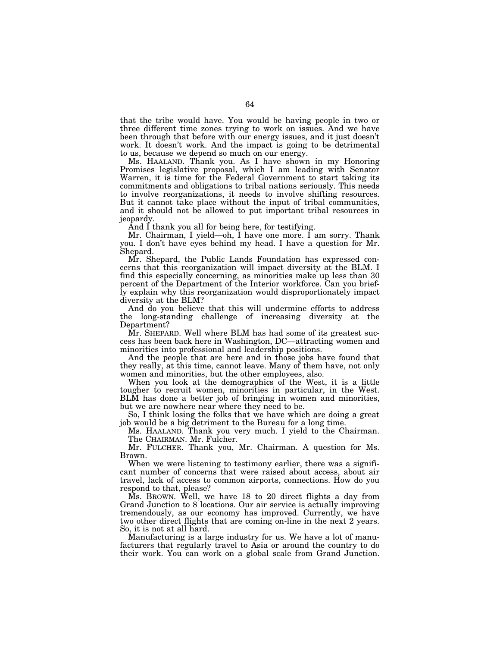that the tribe would have. You would be having people in two or three different time zones trying to work on issues. And we have been through that before with our energy issues, and it just doesn't work. It doesn't work. And the impact is going to be detrimental to us, because we depend so much on our energy.

Ms. HAALAND. Thank you. As I have shown in my Honoring Promises legislative proposal, which I am leading with Senator Warren, it is time for the Federal Government to start taking its commitments and obligations to tribal nations seriously. This needs to involve reorganizations, it needs to involve shifting resources. But it cannot take place without the input of tribal communities, and it should not be allowed to put important tribal resources in jeopardy.

And I thank you all for being here, for testifying.

Mr. Chairman, I yield—oh, I have one more. I am sorry. Thank you. I don't have eyes behind my head. I have a question for Mr. Shepard.

Mr. Shepard, the Public Lands Foundation has expressed concerns that this reorganization will impact diversity at the BLM. I find this especially concerning, as minorities make up less than 30 percent of the Department of the Interior workforce. Can you briefly explain why this reorganization would disproportionately impact diversity at the BLM?

And do you believe that this will undermine efforts to address the long-standing challenge of increasing diversity at the Department?

Mr. SHEPARD. Well where BLM has had some of its greatest success has been back here in Washington, DC—attracting women and minorities into professional and leadership positions.

And the people that are here and in those jobs have found that they really, at this time, cannot leave. Many of them have, not only women and minorities, but the other employees, also.

When you look at the demographics of the West, it is a little tougher to recruit women, minorities in particular, in the West. BLM has done a better job of bringing in women and minorities, but we are nowhere near where they need to be.

So, I think losing the folks that we have which are doing a great job would be a big detriment to the Bureau for a long time.

Ms. HAALAND. Thank you very much. I yield to the Chairman. The CHAIRMAN. Mr. Fulcher.

Mr. FULCHER. Thank you, Mr. Chairman. A question for Ms. Brown.

When we were listening to testimony earlier, there was a significant number of concerns that were raised about access, about air travel, lack of access to common airports, connections. How do you respond to that, please?

Ms. BROWN. Well, we have 18 to 20 direct flights a day from Grand Junction to 8 locations. Our air service is actually improving tremendously, as our economy has improved. Currently, we have two other direct flights that are coming on-line in the next 2 years. So, it is not at all hard.

Manufacturing is a large industry for us. We have a lot of manufacturers that regularly travel to Asia or around the country to do their work. You can work on a global scale from Grand Junction.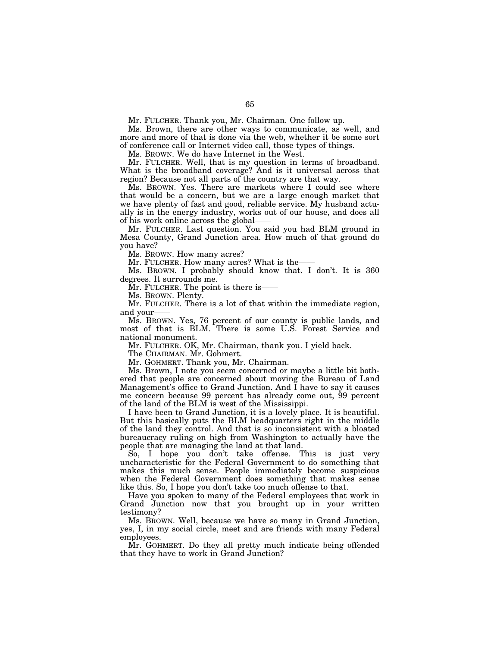Mr. FULCHER. Thank you, Mr. Chairman. One follow up.

Ms. Brown, there are other ways to communicate, as well, and more and more of that is done via the web, whether it be some sort of conference call or Internet video call, those types of things.

Ms. BROWN. We do have Internet in the West.

Mr. FULCHER. Well, that is my question in terms of broadband. What is the broadband coverage? And is it universal across that region? Because not all parts of the country are that way.

Ms. BROWN. Yes. There are markets where I could see where that would be a concern, but we are a large enough market that we have plenty of fast and good, reliable service. My husband actually is in the energy industry, works out of our house, and does all of his work online across the global——

Mr. FULCHER. Last question. You said you had BLM ground in Mesa County, Grand Junction area. How much of that ground do you have?

Ms. BROWN. How many acres?

Mr. FULCHER. How many acres? What is the-

Ms. BROWN. I probably should know that. I don't. It is 360 degrees. It surrounds me.

Mr. FULCHER. The point is there is——

Ms. BROWN. Plenty.

Mr. FULCHER. There is a lot of that within the immediate region, and your-

Ms. BROWN. Yes, 76 percent of our county is public lands, and most of that is BLM. There is some U.S. Forest Service and national monument.

Mr. FULCHER. OK, Mr. Chairman, thank you. I yield back.

The CHAIRMAN. Mr. Gohmert.

Mr. GOHMERT. Thank you, Mr. Chairman.

Ms. Brown, I note you seem concerned or maybe a little bit bothered that people are concerned about moving the Bureau of Land Management's office to Grand Junction. And I have to say it causes me concern because 99 percent has already come out, 99 percent of the land of the BLM is west of the Mississippi.

I have been to Grand Junction, it is a lovely place. It is beautiful. But this basically puts the BLM headquarters right in the middle of the land they control. And that is so inconsistent with a bloated bureaucracy ruling on high from Washington to actually have the people that are managing the land at that land.

So, I hope you don't take offense. This is just very uncharacteristic for the Federal Government to do something that makes this much sense. People immediately become suspicious when the Federal Government does something that makes sense like this. So, I hope you don't take too much offense to that.

Have you spoken to many of the Federal employees that work in Grand Junction now that you brought up in your written testimony?

Ms. BROWN. Well, because we have so many in Grand Junction, yes, I, in my social circle, meet and are friends with many Federal employees.

Mr. GOHMERT. Do they all pretty much indicate being offended that they have to work in Grand Junction?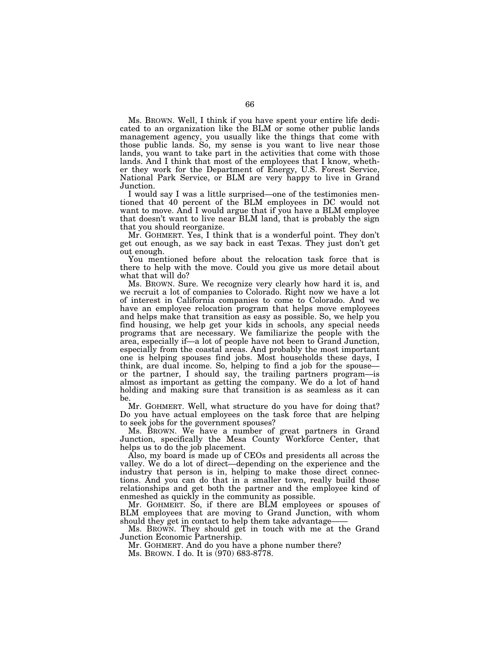Ms. BROWN. Well, I think if you have spent your entire life dedicated to an organization like the BLM or some other public lands management agency, you usually like the things that come with those public lands. So, my sense is you want to live near those lands, you want to take part in the activities that come with those lands. And I think that most of the employees that I know, whether they work for the Department of Energy, U.S. Forest Service, National Park Service, or BLM are very happy to live in Grand Junction.

I would say I was a little surprised—one of the testimonies mentioned that 40 percent of the BLM employees in DC would not want to move. And I would argue that if you have a BLM employee that doesn't want to live near BLM land, that is probably the sign that you should reorganize.

Mr. GOHMERT. Yes, I think that is a wonderful point. They don't get out enough, as we say back in east Texas. They just don't get out enough.

You mentioned before about the relocation task force that is there to help with the move. Could you give us more detail about what that will do?

Ms. BROWN. Sure. We recognize very clearly how hard it is, and we recruit a lot of companies to Colorado. Right now we have a lot of interest in California companies to come to Colorado. And we have an employee relocation program that helps move employees and helps make that transition as easy as possible. So, we help you find housing, we help get your kids in schools, any special needs programs that are necessary. We familiarize the people with the area, especially if—a lot of people have not been to Grand Junction, especially from the coastal areas. And probably the most important one is helping spouses find jobs. Most households these days, I think, are dual income. So, helping to find a job for the spouse or the partner, I should say, the trailing partners program—is almost as important as getting the company. We do a lot of hand holding and making sure that transition is as seamless as it can be.

Mr. GOHMERT. Well, what structure do you have for doing that? Do you have actual employees on the task force that are helping to seek jobs for the government spouses?

Ms. BROWN. We have a number of great partners in Grand Junction, specifically the Mesa County Workforce Center, that helps us to do the job placement.

Also, my board is made up of CEOs and presidents all across the valley. We do a lot of direct—depending on the experience and the industry that person is in, helping to make those direct connections. And you can do that in a smaller town, really build those relationships and get both the partner and the employee kind of enmeshed as quickly in the community as possible.

Mr. GOHMERT. So, if there are BLM employees or spouses of BLM employees that are moving to Grand Junction, with whom should they get in contact to help them take advantage-

Ms. BROWN. They should get in touch with me at the Grand Junction Economic Partnership.

Mr. GOHMERT. And do you have a phone number there? Ms. BROWN. I do. It is (970) 683-8778.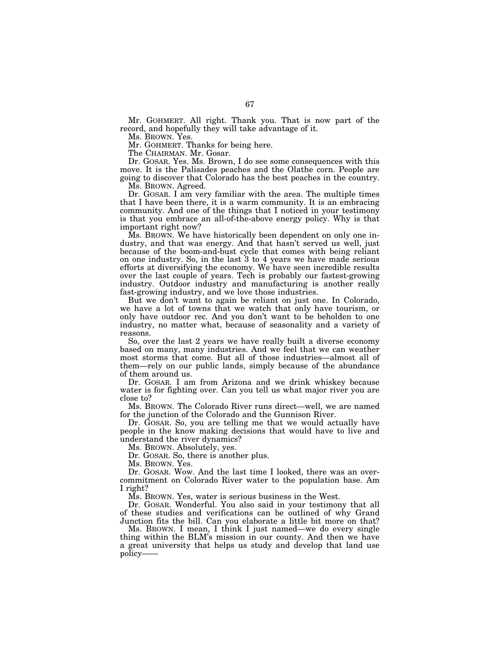Mr. GOHMERT. All right. Thank you. That is now part of the record, and hopefully they will take advantage of it.

Ms. BROWN. Yes.

Mr. GOHMERT. Thanks for being here.

The CHAIRMAN. Mr. Gosar.

Dr. GOSAR. Yes. Ms. Brown, I do see some consequences with this move. It is the Palisades peaches and the Olathe corn. People are going to discover that Colorado has the best peaches in the country.

Ms. BROWN. Agreed.

Dr. GOSAR. I am very familiar with the area. The multiple times that I have been there, it is a warm community. It is an embracing community. And one of the things that I noticed in your testimony is that you embrace an all-of-the-above energy policy. Why is that important right now?

Ms. BROWN. We have historically been dependent on only one industry, and that was energy. And that hasn't served us well, just because of the boom-and-bust cycle that comes with being reliant on one industry. So, in the last 3 to 4 years we have made serious efforts at diversifying the economy. We have seen incredible results over the last couple of years. Tech is probably our fastest-growing industry. Outdoor industry and manufacturing is another really fast-growing industry, and we love those industries.

But we don't want to again be reliant on just one. In Colorado, we have a lot of towns that we watch that only have tourism, or only have outdoor rec. And you don't want to be beholden to one industry, no matter what, because of seasonality and a variety of reasons.

So, over the last 2 years we have really built a diverse economy based on many, many industries. And we feel that we can weather most storms that come. But all of those industries—almost all of them—rely on our public lands, simply because of the abundance of them around us.

Dr. GOSAR. I am from Arizona and we drink whiskey because water is for fighting over. Can you tell us what major river you are close to?

Ms. BROWN. The Colorado River runs direct—well, we are named for the junction of the Colorado and the Gunnison River.

Dr. GOSAR. So, you are telling me that we would actually have people in the know making decisions that would have to live and understand the river dynamics?

Ms. BROWN. Absolutely, yes.

Dr. GOSAR. So, there is another plus.

Ms. BROWN. Yes.

Dr. GOSAR. Wow. And the last time I looked, there was an overcommitment on Colorado River water to the population base. Am I right?

Ms. BROWN. Yes, water is serious business in the West.

Dr. GOSAR. Wonderful. You also said in your testimony that all of these studies and verifications can be outlined of why Grand Junction fits the bill. Can you elaborate a little bit more on that?

Ms. BROWN. I mean, I think I just named—we do every single thing within the BLM's mission in our county. And then we have a great university that helps us study and develop that land use policy——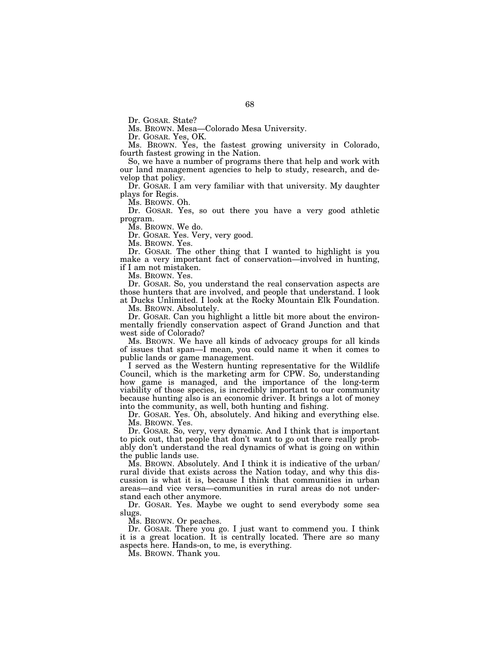Dr. GOSAR. State?

Ms. BROWN. Mesa—Colorado Mesa University.

Dr. GOSAR. Yes, OK.

Ms. BROWN. Yes, the fastest growing university in Colorado, fourth fastest growing in the Nation.

So, we have a number of programs there that help and work with our land management agencies to help to study, research, and develop that policy.

Dr. GOSAR. I am very familiar with that university. My daughter plays for Regis.

Ms. BROWN. Oh.

Dr. GOSAR. Yes, so out there you have a very good athletic program.

Ms. BROWN. We do.

Dr. GOSAR. Yes. Very, very good.

Ms. BROWN. Yes.

Dr. GOSAR. The other thing that I wanted to highlight is you make a very important fact of conservation—involved in hunting, if I am not mistaken.

Ms. BROWN. Yes.

Dr. GOSAR. So, you understand the real conservation aspects are those hunters that are involved, and people that understand. I look at Ducks Unlimited. I look at the Rocky Mountain Elk Foundation.

Ms. BROWN. Absolutely.

Dr. GOSAR. Can you highlight a little bit more about the environmentally friendly conservation aspect of Grand Junction and that west side of Colorado?

Ms. BROWN. We have all kinds of advocacy groups for all kinds of issues that span—I mean, you could name it when it comes to public lands or game management.

I served as the Western hunting representative for the Wildlife Council, which is the marketing arm for CPW. So, understanding how game is managed, and the importance of the long-term viability of those species, is incredibly important to our community because hunting also is an economic driver. It brings a lot of money into the community, as well, both hunting and fishing.

Dr. GOSAR. Yes. Oh, absolutely. And hiking and everything else. Ms. BROWN. Yes.

Dr. GOSAR. So, very, very dynamic. And I think that is important to pick out, that people that don't want to go out there really probably don't understand the real dynamics of what is going on within the public lands use.

Ms. BROWN. Absolutely. And I think it is indicative of the urban/ rural divide that exists across the Nation today, and why this discussion is what it is, because I think that communities in urban areas—and vice versa—communities in rural areas do not understand each other anymore.

Dr. GOSAR. Yes. Maybe we ought to send everybody some sea slugs.

Ms. BROWN. Or peaches.

Dr. GOSAR. There you go. I just want to commend you. I think it is a great location. It is centrally located. There are so many aspects here. Hands-on, to me, is everything.

Ms. BROWN. Thank you.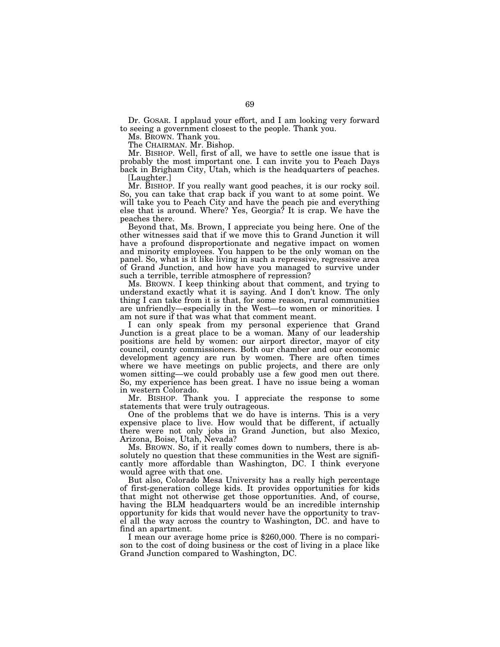Dr. GOSAR. I applaud your effort, and I am looking very forward to seeing a government closest to the people. Thank you.

Ms. BROWN. Thank you.

The CHAIRMAN. Mr. Bishop.

Mr. BISHOP. Well, first of all, we have to settle one issue that is probably the most important one. I can invite you to Peach Days back in Brigham City, Utah, which is the headquarters of peaches. [Laughter.]

Mr. BISHOP. If you really want good peaches, it is our rocky soil. So, you can take that crap back if you want to at some point. We will take you to Peach City and have the peach pie and everything else that is around. Where? Yes, Georgia? It is crap. We have the peaches there.

Beyond that, Ms. Brown, I appreciate you being here. One of the other witnesses said that if we move this to Grand Junction it will have a profound disproportionate and negative impact on women and minority employees. You happen to be the only woman on the panel. So, what is it like living in such a repressive, regressive area of Grand Junction, and how have you managed to survive under such a terrible, terrible atmosphere of repression?

Ms. BROWN. I keep thinking about that comment, and trying to understand exactly what it is saying. And I don't know. The only thing I can take from it is that, for some reason, rural communities are unfriendly—especially in the West—to women or minorities. I am not sure if that was what that comment meant.

I can only speak from my personal experience that Grand Junction is a great place to be a woman. Many of our leadership positions are held by women: our airport director, mayor of city council, county commissioners. Both our chamber and our economic development agency are run by women. There are often times where we have meetings on public projects, and there are only women sitting—we could probably use a few good men out there. So, my experience has been great. I have no issue being a woman in western Colorado.

Mr. BISHOP. Thank you. I appreciate the response to some statements that were truly outrageous.

One of the problems that we do have is interns. This is a very expensive place to live. How would that be different, if actually there were not only jobs in Grand Junction, but also Mexico, Arizona, Boise, Utah, Nevada?

Ms. BROWN. So, if it really comes down to numbers, there is absolutely no question that these communities in the West are significantly more affordable than Washington, DC. I think everyone would agree with that one.

But also, Colorado Mesa University has a really high percentage of first-generation college kids. It provides opportunities for kids that might not otherwise get those opportunities. And, of course, having the BLM headquarters would be an incredible internship opportunity for kids that would never have the opportunity to travel all the way across the country to Washington, DC. and have to

I mean our average home price is \$260,000. There is no comparison to the cost of doing business or the cost of living in a place like Grand Junction compared to Washington, DC.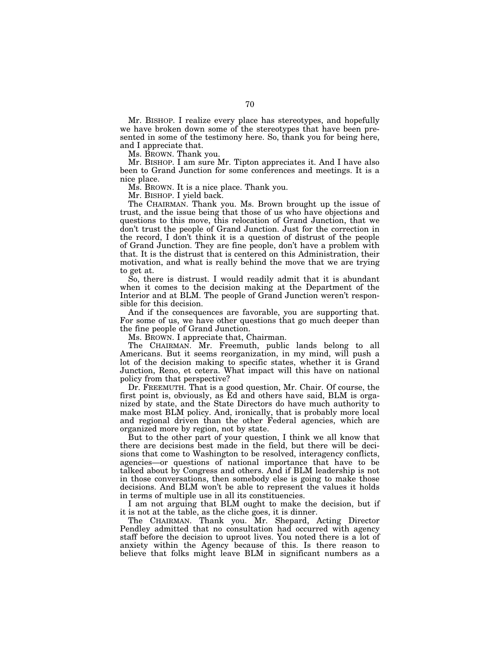Mr. BISHOP. I realize every place has stereotypes, and hopefully we have broken down some of the stereotypes that have been presented in some of the testimony here. So, thank you for being here, and I appreciate that.

Ms. BROWN. Thank you.

Mr. BISHOP. I am sure Mr. Tipton appreciates it. And I have also been to Grand Junction for some conferences and meetings. It is a nice place.

Ms. BROWN. It is a nice place. Thank you.

Mr. BISHOP. I yield back.

The CHAIRMAN. Thank you. Ms. Brown brought up the issue of trust, and the issue being that those of us who have objections and questions to this move, this relocation of Grand Junction, that we don't trust the people of Grand Junction. Just for the correction in the record, I don't think it is a question of distrust of the people of Grand Junction. They are fine people, don't have a problem with that. It is the distrust that is centered on this Administration, their motivation, and what is really behind the move that we are trying to get at.

So, there is distrust. I would readily admit that it is abundant when it comes to the decision making at the Department of the Interior and at BLM. The people of Grand Junction weren't responsible for this decision.

And if the consequences are favorable, you are supporting that. For some of us, we have other questions that go much deeper than the fine people of Grand Junction.

Ms. BROWN. I appreciate that, Chairman.

The CHAIRMAN. Mr. Freemuth, public lands belong to all Americans. But it seems reorganization, in my mind, will push a lot of the decision making to specific states, whether it is Grand Junction, Reno, et cetera. What impact will this have on national policy from that perspective?

Dr. FREEMUTH. That is a good question, Mr. Chair. Of course, the first point is, obviously, as Ed and others have said, BLM is organized by state, and the State Directors do have much authority to make most BLM policy. And, ironically, that is probably more local and regional driven than the other Federal agencies, which are organized more by region, not by state.

But to the other part of your question, I think we all know that there are decisions best made in the field, but there will be decisions that come to Washington to be resolved, interagency conflicts, agencies—or questions of national importance that have to be talked about by Congress and others. And if BLM leadership is not in those conversations, then somebody else is going to make those decisions. And BLM won't be able to represent the values it holds in terms of multiple use in all its constituencies.

I am not arguing that BLM ought to make the decision, but if it is not at the table, as the cliche goes, it is dinner.

The CHAIRMAN. Thank you. Mr. Shepard, Acting Director Pendley admitted that no consultation had occurred with agency staff before the decision to uproot lives. You noted there is a lot of anxiety within the Agency because of this. Is there reason to believe that folks might leave BLM in significant numbers as a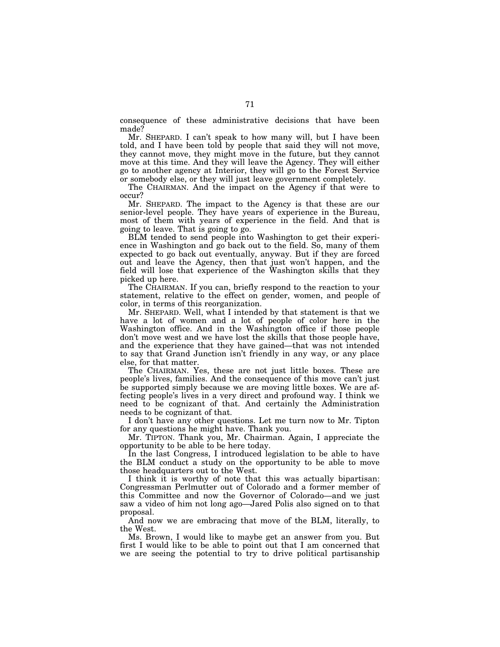consequence of these administrative decisions that have been made?

Mr. SHEPARD. I can't speak to how many will, but I have been told, and I have been told by people that said they will not move, they cannot move, they might move in the future, but they cannot move at this time. And they will leave the Agency. They will either go to another agency at Interior, they will go to the Forest Service or somebody else, or they will just leave government completely.

The CHAIRMAN. And the impact on the Agency if that were to occur?

Mr. SHEPARD. The impact to the Agency is that these are our senior-level people. They have years of experience in the Bureau, most of them with years of experience in the field. And that is going to leave. That is going to go.

BLM tended to send people into Washington to get their experience in Washington and go back out to the field. So, many of them expected to go back out eventually, anyway. But if they are forced out and leave the Agency, then that just won't happen, and the field will lose that experience of the Washington skills that they picked up here.

The CHAIRMAN. If you can, briefly respond to the reaction to your statement, relative to the effect on gender, women, and people of color, in terms of this reorganization.

Mr. SHEPARD. Well, what I intended by that statement is that we have a lot of women and a lot of people of color here in the Washington office. And in the Washington office if those people don't move west and we have lost the skills that those people have, and the experience that they have gained—that was not intended to say that Grand Junction isn't friendly in any way, or any place else, for that matter.

The CHAIRMAN. Yes, these are not just little boxes. These are people's lives, families. And the consequence of this move can't just be supported simply because we are moving little boxes. We are affecting people's lives in a very direct and profound way. I think we need to be cognizant of that. And certainly the Administration needs to be cognizant of that.

I don't have any other questions. Let me turn now to Mr. Tipton for any questions he might have. Thank you.

Mr. TIPTON. Thank you, Mr. Chairman. Again, I appreciate the opportunity to be able to be here today.

In the last Congress, I introduced legislation to be able to have the BLM conduct a study on the opportunity to be able to move those headquarters out to the West.

I think it is worthy of note that this was actually bipartisan: Congressman Perlmutter out of Colorado and a former member of this Committee and now the Governor of Colorado—and we just saw a video of him not long ago—Jared Polis also signed on to that proposal.

And now we are embracing that move of the BLM, literally, to the West.

Ms. Brown, I would like to maybe get an answer from you. But first I would like to be able to point out that I am concerned that we are seeing the potential to try to drive political partisanship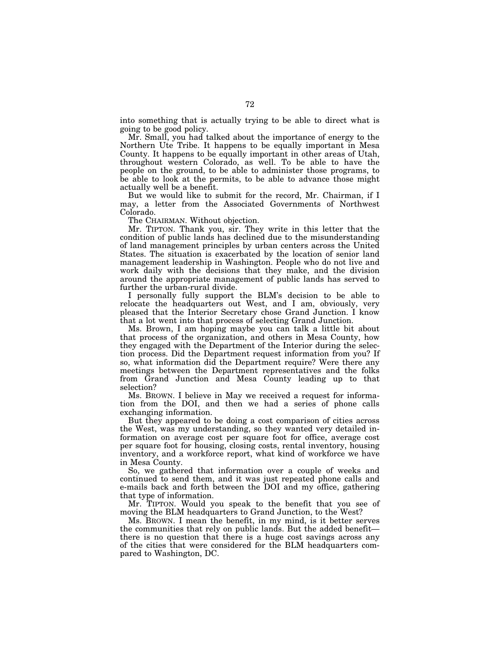into something that is actually trying to be able to direct what is going to be good policy.

Mr. Small, you had talked about the importance of energy to the Northern Ute Tribe. It happens to be equally important in Mesa County. It happens to be equally important in other areas of Utah, throughout western Colorado, as well. To be able to have the people on the ground, to be able to administer those programs, to be able to look at the permits, to be able to advance those might actually well be a benefit.

But we would like to submit for the record, Mr. Chairman, if I may, a letter from the Associated Governments of Northwest Colorado.

The CHAIRMAN. Without objection.

Mr. TIPTON. Thank you, sir. They write in this letter that the condition of public lands has declined due to the misunderstanding of land management principles by urban centers across the United States. The situation is exacerbated by the location of senior land management leadership in Washington. People who do not live and work daily with the decisions that they make, and the division around the appropriate management of public lands has served to further the urban-rural divide.

I personally fully support the BLM's decision to be able to relocate the headquarters out West, and I am, obviously, very pleased that the Interior Secretary chose Grand Junction. I know that a lot went into that process of selecting Grand Junction.

Ms. Brown, I am hoping maybe you can talk a little bit about that process of the organization, and others in Mesa County, how they engaged with the Department of the Interior during the selection process. Did the Department request information from you? If so, what information did the Department require? Were there any meetings between the Department representatives and the folks from Grand Junction and Mesa County leading up to that selection?

Ms. BROWN. I believe in May we received a request for information from the DOI, and then we had a series of phone calls exchanging information.

But they appeared to be doing a cost comparison of cities across the West, was my understanding, so they wanted very detailed information on average cost per square foot for office, average cost per square foot for housing, closing costs, rental inventory, housing inventory, and a workforce report, what kind of workforce we have in Mesa County.

So, we gathered that information over a couple of weeks and continued to send them, and it was just repeated phone calls and e-mails back and forth between the DOI and my office, gathering that type of information.

Mr. TIPTON. Would you speak to the benefit that you see of moving the BLM headquarters to Grand Junction, to the West?

Ms. BROWN. I mean the benefit, in my mind, is it better serves the communities that rely on public lands. But the added benefit there is no question that there is a huge cost savings across any of the cities that were considered for the BLM headquarters compared to Washington, DC.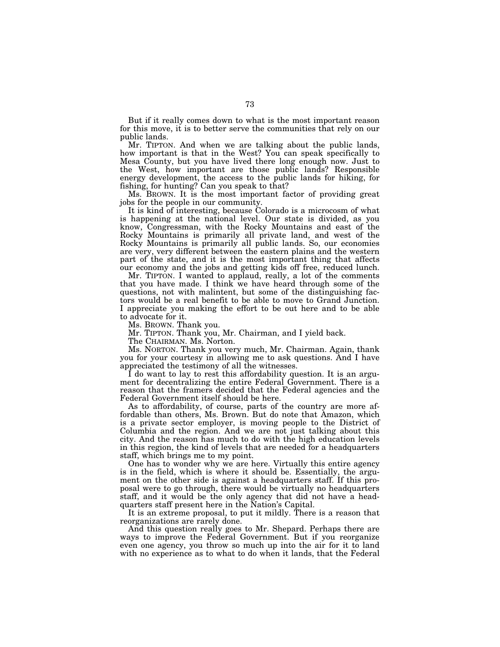But if it really comes down to what is the most important reason for this move, it is to better serve the communities that rely on our public lands.

Mr. TIPTON. And when we are talking about the public lands, how important is that in the West? You can speak specifically to Mesa County, but you have lived there long enough now. Just to the West, how important are those public lands? Responsible energy development, the access to the public lands for hiking, for fishing, for hunting? Can you speak to that?

Ms. BROWN. It is the most important factor of providing great jobs for the people in our community.

It is kind of interesting, because Colorado is a microcosm of what is happening at the national level. Our state is divided, as you know, Congressman, with the Rocky Mountains and east of the Rocky Mountains is primarily all private land, and west of the Rocky Mountains is primarily all public lands. So, our economies are very, very different between the eastern plains and the western part of the state, and it is the most important thing that affects our economy and the jobs and getting kids off free, reduced lunch.

Mr. TIPTON. I wanted to applaud, really, a lot of the comments that you have made. I think we have heard through some of the questions, not with malintent, but some of the distinguishing factors would be a real benefit to be able to move to Grand Junction. I appreciate you making the effort to be out here and to be able to advocate for it.

Ms. BROWN. Thank you.

Mr. TIPTON. Thank you, Mr. Chairman, and I yield back.

The CHAIRMAN. Ms. Norton.

Ms. NORTON. Thank you very much, Mr. Chairman. Again, thank you for your courtesy in allowing me to ask questions. And I have appreciated the testimony of all the witnesses.

I do want to lay to rest this affordability question. It is an argument for decentralizing the entire Federal Government. There is a reason that the framers decided that the Federal agencies and the Federal Government itself should be here.

As to affordability, of course, parts of the country are more affordable than others, Ms. Brown. But do note that Amazon, which is a private sector employer, is moving people to the District of Columbia and the region. And we are not just talking about this city. And the reason has much to do with the high education levels in this region, the kind of levels that are needed for a headquarters staff, which brings me to my point.

One has to wonder why we are here. Virtually this entire agency is in the field, which is where it should be. Essentially, the argument on the other side is against a headquarters staff. If this proposal were to go through, there would be virtually no headquarters staff, and it would be the only agency that did not have a headquarters staff present here in the Nation's Capital.

It is an extreme proposal, to put it mildly. There is a reason that reorganizations are rarely done.

And this question really goes to Mr. Shepard. Perhaps there are ways to improve the Federal Government. But if you reorganize even one agency, you throw so much up into the air for it to land with no experience as to what to do when it lands, that the Federal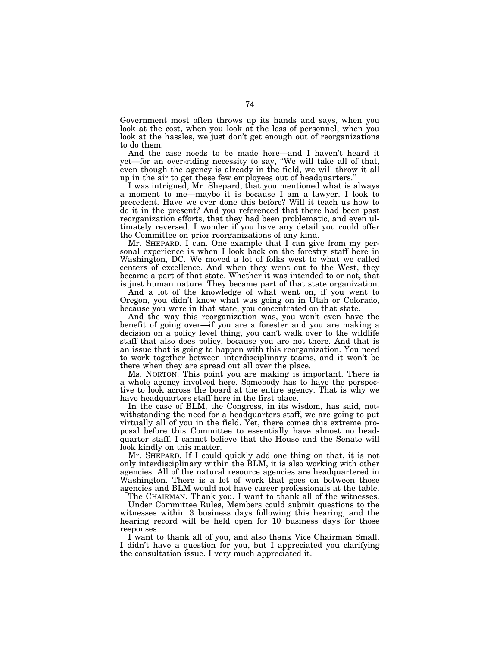Government most often throws up its hands and says, when you look at the cost, when you look at the loss of personnel, when you look at the hassles, we just don't get enough out of reorganizations to do them.

And the case needs to be made here—and I haven't heard it yet—for an over-riding necessity to say, ''We will take all of that, even though the agency is already in the field, we will throw it all up in the air to get these few employees out of headquarters.''

I was intrigued, Mr. Shepard, that you mentioned what is always a moment to me—maybe it is because I am a lawyer. I look to precedent. Have we ever done this before? Will it teach us how to do it in the present? And you referenced that there had been past reorganization efforts, that they had been problematic, and even ultimately reversed. I wonder if you have any detail you could offer the Committee on prior reorganizations of any kind.

Mr. SHEPARD. I can. One example that I can give from my personal experience is when I look back on the forestry staff here in Washington, DC. We moved a lot of folks west to what we called centers of excellence. And when they went out to the West, they became a part of that state. Whether it was intended to or not, that is just human nature. They became part of that state organization.

And a lot of the knowledge of what went on, if you went to Oregon, you didn't know what was going on in Utah or Colorado, because you were in that state, you concentrated on that state.

And the way this reorganization was, you won't even have the benefit of going over—if you are a forester and you are making a decision on a policy level thing, you can't walk over to the wildlife staff that also does policy, because you are not there. And that is an issue that is going to happen with this reorganization. You need to work together between interdisciplinary teams, and it won't be there when they are spread out all over the place.

Ms. NORTON. This point you are making is important. There is a whole agency involved here. Somebody has to have the perspective to look across the board at the entire agency. That is why we have headquarters staff here in the first place.

In the case of BLM, the Congress, in its wisdom, has said, notwithstanding the need for a headquarters staff, we are going to put virtually all of you in the field. Yet, there comes this extreme proposal before this Committee to essentially have almost no headquarter staff. I cannot believe that the House and the Senate will look kindly on this matter.

Mr. SHEPARD. If I could quickly add one thing on that, it is not only interdisciplinary within the BLM, it is also working with other agencies. All of the natural resource agencies are headquartered in Washington. There is a lot of work that goes on between those agencies and BLM would not have career professionals at the table.

The CHAIRMAN. Thank you. I want to thank all of the witnesses. Under Committee Rules, Members could submit questions to the witnesses within 3 business days following this hearing, and the hearing record will be held open for 10 business days for those responses.

I want to thank all of you, and also thank Vice Chairman Small. I didn't have a question for you, but I appreciated you clarifying the consultation issue. I very much appreciated it.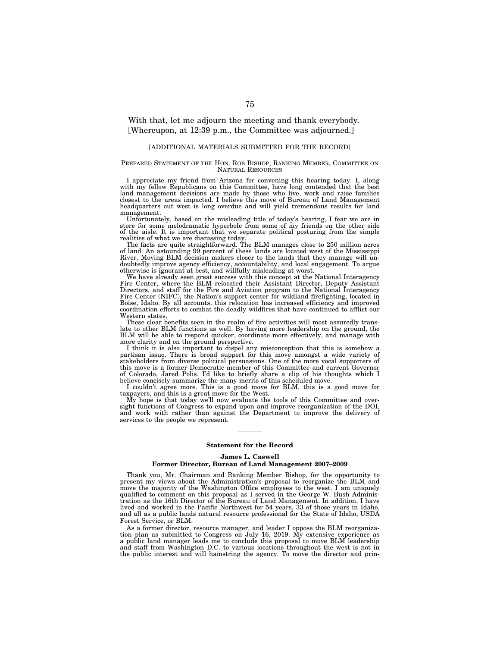# With that, let me adjourn the meeting and thank everybody. [Whereupon, at 12:39 p.m., the Committee was adjourned.]

### [ADDITIONAL MATERIALS SUBMITTED FOR THE RECORD]

#### PREPARED STATEMENT OF THE HON. ROB BISHOP, RANKING MEMBER, COMMITTEE ON NATURAL RESOURCES

I appreciate my friend from Arizona for convening this hearing today. I, along with my fellow Republicans on this Committee, have long contended that the best land management decisions are made by those who live, work and raise families closest to the areas impacted. I believe this move of Bureau of Land Management headquarters out west is long overdue and will yield tremendous results for land management.

Unfortunately, based on the misleading title of today's hearing, I fear we are in store for some melodramatic hyperbole from some of my friends on the other side of the aisle. It is important that we separate political posturing from the simple

realities of what we are discussing today. The facts are quite straightforward. The BLM manages close to 250 million acres of land. An astounding 99 percent of these lands are located west of the Mississippi River. Moving BLM decision makers closer to the lands that they manage will undoubtedly improve agency efficiency, accountability, and local engagement. To argue otherwise is ignorant at best, and willfully misleading at worst.

We have already seen great success with this concept at the National Interagency Fire Center, where the BLM relocated their Assistant Director, Deputy Assistant Directors, and staff for the Fire and Aviation program to the National Interagency Fire Center (NIFC), the Nation's support center for wildland firefighting, located in Boise, Idaho. By all accounts, this relocation has increased efficiency and improved coordination efforts to combat the deadly wildfires that have continued to afflict our Western states.

These clear benefits seen in the realm of fire activities will most assuredly translate to other BLM functions as well. By having more leadership on the ground, the BLM will be able to respond quicker, coordinate more effectively, and manage with more clarity and on the ground perspective.

I think it is also important to dispel any misconception that this is somehow a partisan issue. There is broad support for this move amongst a wide variety of stakeholders from diverse political persuasions. One of the more vocal supporters of this move is a former Democratic member of this Committee and current Governor of Colorado, Jared Polis. I'd like to briefly share a clip of his thoughts which I believe concisely summarize the many merits of this scheduled move.

I couldn't agree more. This is a good move for BLM, this is a good move for taxpayers, and this is a great move for the West.

My hope is that today we'll now evaluate the tools of this Committee and oversight functions of Congress to expand upon and improve reorganization of the DOI, and work with rather than against the Department to improve the delivery of services to the people we represent.

## **Statement for the Record James L. Caswell Former Director, Bureau of Land Management 2007–2009**

Thank you, Mr. Chairman and Ranking Member Bishop, for the opportunity to present my views about the Administration's proposal to reorganize the BLM and move the majority of the Washington Office employees to the west. I am uniquely qualified to comment on this proposal as I served in the George W. Bush Administration as the 16th Director of the Bureau of Land Management. In addition, I have lived and worked in the Pacific Northwest for 54 years, 33 of those years in Idaho, and all as a public lands natural resource professional for the State of Idaho, USDA Forest Service, or BLM.

As a former director, resource manager, and leader I oppose the BLM reorganization plan as submitted to Congress on July 16, 2019. My extensive experience as a public land manager leads me to conclude this proposal to move BLM leadership and staff from Washington D.C. to various locations throughout the west is not in the public interest and will hamstring the agency. To move the director and prin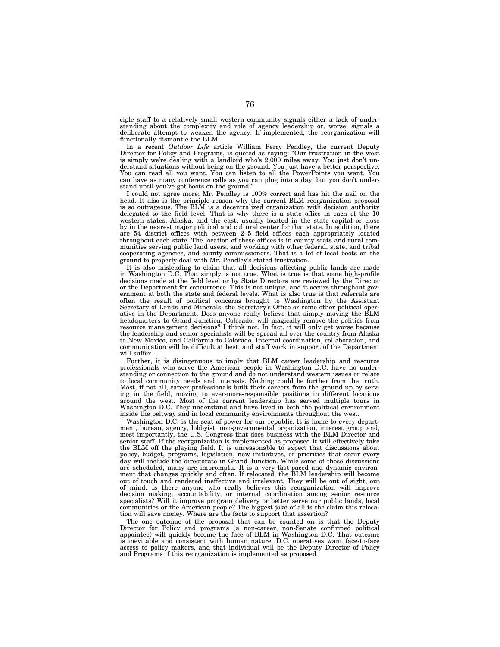ciple staff to a relatively small western community signals either a lack of understanding about the complexity and role of agency leadership or, worse, signals a deliberate attempt to weaken the agency. If implemented, the reorganization will functionally dismantle the BLM.

In a recent *Outdoor Life* article William Perry Pendley, the current Deputy Director for Policy and Programs, is quoted as saying: ''Our frustration in the west is simply we're dealing with a landlord who's 2,000 miles away. You just don't understand situations without being on the ground. You just have a better perspective. You can read all you want. You can listen to all the PowerPoints you want. You can have as many conference calls as you can plug into a day, but you don't understand until you've got boots on the ground.''

I could not agree more; Mr. Pendley is 100% correct and has hit the nail on the head. It also is the principle reason why the current BLM reorganization proposal is so outrageous. The BLM is a decentralized organization with decision authority delegated to the field level. That is why there is a state office in each of the 10 western states, Alaska, and the east, usually located in the state capital or close by in the nearest major political and cultural center for that state. In addition, there are 54 district offices with between 2–5 field offices each appropriately located throughout each state. The location of these offices is in county seats and rural communities serving public land users, and working with other federal, state, and tribal cooperating agencies, and county commissioners. That is a lot of local boots on the ground to properly deal with Mr. Pendley's stated frustration.

It is also misleading to claim that all decisions affecting public lands are made in Washington D.C. That simply is not true. What is true is that some high-profile decisions made at the field level or by State Directors are reviewed by the Director or the Department for concurrence. This is not unique, and it occurs throughout government at both the state and federal levels. What is also true is that referrals are often the result of political concerns brought to Washington by the Assistant Secretary of Lands and Minerals, the Secretary's Office or some other political operative in the Department. Does anyone really believe that simply moving the BLM headquarters to Grand Junction, Colorado, will magically remove the politics from resource management decisions? I think not. In fact, it will only get worse because the leadership and senior specialists will be spread all over the country from Alaska to New Mexico, and California to Colorado. Internal coordination, collaboration, and communication will be difficult at best, and staff work in support of the Department will suffer.

Further, it is disingenuous to imply that BLM career leadership and resource professionals who serve the American people in Washington D.C. have no understanding or connection to the ground and do not understand western issues or relate to local community needs and interests. Nothing could be further from the truth. Most, if not all, career professionals built their careers from the ground up by serving in the field, moving to ever-more-responsible positions in different locations around the west. Most of the current leadership has served multiple tours in Washington D.C. They understand and have lived in both the political environment inside the beltway and in local community environments throughout the west.

Washington D.C. is the seat of power for our republic. It is home to every department, bureau, agency, lobbyist, non-governmental organization, interest group and, most importantly, the U.S. Congress that does business with the BLM Director and senior staff. If the reorganization is implemented as proposed it will effectively take the BLM off the playing field. It is unreasonable to expect that discussions about policy, budget, programs, legislation, new initiatives, or priorities that occur every day will include the directorate in Grand Junction. While some of these discussions are scheduled, many are impromptu. It is a very fast-paced and dynamic environment that changes quickly and often. If relocated, the BLM leadership will become out of touch and rendered ineffective and irrelevant. They will be out of sight, out of mind. Is there anyone who really believes this reorganization will improve decision making, accountability, or internal coordination among senior resource specialists? Will it improve program delivery or better serve our public lands, local communities or the American people? The biggest joke of all is the claim this relocation will save money. Where are the facts to support that assertion?

The one outcome of the proposal that can be counted on is that the Deputy Director for Policy and programs (a non-career, non-Senate confirmed political appointee) will quickly become the face of BLM in Washington D.C. That outcome is inevitable and consistent with human nature. D.C. operatives want face-to-face access to policy makers, and that individual will be the Deputy Director of Policy and Programs if this reorganization is implemented as proposed.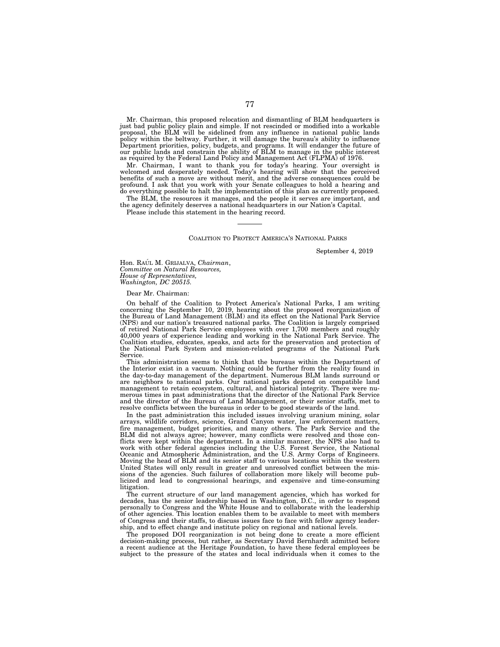Mr. Chairman, this proposed relocation and dismantling of BLM headquarters is just bad public policy plain and simple. If not rescinded or modified into a workable proposal, the BLM will be sidelined from any influence in national public lands policy within the beltway. Further, it will damage the bureau's ability to influence Department priorities, policy, budgets, and programs. It will endanger the future of our public lands and constrain the ability of BLM to manage in the public interest as required by the Federal Land Policy and Management Act (FLPMA) of 1976.

Mr. Chairman, I want to thank you for today's hearing. Your oversight is welcomed and desperately needed. Today's hearing will show that the perceived benefits of such a move are without merit, and the adverse consequences could be profound. I ask that you work with your Senate colleagues to hold a hearing and do everything possible to halt the implementation of this plan as currently proposed.

The BLM, the resources it manages, and the people it serves are important, and the agency definitely deserves a national headquarters in our Nation's Capital.

Please include this statement in the hearing record.

#### COALITION TO PROTECT AMERICA'S NATIONAL PARKS

September 4, 2019

Hon. RAÚL M. GRIJALVA, *Chairman*, *Committee on Natural Resources, House of Representatives, Washington, DC 20515.* 

#### Dear Mr. Chairman:

On behalf of the Coalition to Protect America's National Parks, I am writing concerning the September 10, 2019, hearing about the proposed reorganization of the Bureau of Land Management (BLM) and its effect on the National Park Service (NPS) and our nation's treasured national parks. The Coalition is largely comprised of retired National Park Service employees with over 1,700 members and roughly 40,000 years of experience leading and working in the National Park Service. The Coalition studies, educates, speaks, and acts for the preservation and protection of the National Park System and mission-related programs of the National Park Service.

This administration seems to think that the bureaus within the Department of the Interior exist in a vacuum. Nothing could be further from the reality found in the day-to-day management of the department. Numerous BLM lands surround or are neighbors to national parks. Our national parks depend on compatible land management to retain ecosystem, cultural, and historical integrity. There were numerous times in past administrations that the director of the National Park Service and the director of the Bureau of Land Management, or their senior staffs, met to resolve conflicts between the bureaus in order to be good stewards of the land.

In the past administration this included issues involving uranium mining, solar arrays, wildlife corridors, science, Grand Canyon water, law enforcement matters, fire management, budget priorities, and many others. The Park Service and the BLM did not always agree; however, many conflicts were resolved and those conflicts were kept within the department. In a similar manner, the NPS also had to work with other federal agencies including the U.S. Forest Service, the National Oceanic and Atmospheric Administration, and the U.S. Army Corps of Engineers. Moving the head of BLM and its senior staff to various locations within the western United States will only result in greater and unresolved conflict between the missions of the agencies. Such failures of collaboration more likely will become publicized and lead to congressional hearings, and expensive and time-consuming litigation.

The current structure of our land management agencies, which has worked for decades, has the senior leadership based in Washington, D.C., in order to respond personally to Congress and the White House and to collaborate with the leadership of other agencies. This location enables them to be available to meet with members of Congress and their staffs, to discuss issues face to face with fellow agency leadership, and to effect change and institute policy on regional and national levels.

The proposed DOI reorganization is not being done to create a more efficient decision-making process, but rather, as Secretary David Bernhardt admitted before a recent audience at the Heritage Foundation, to have these federal employees be subject to the pressure of the states and local individuals when it comes to the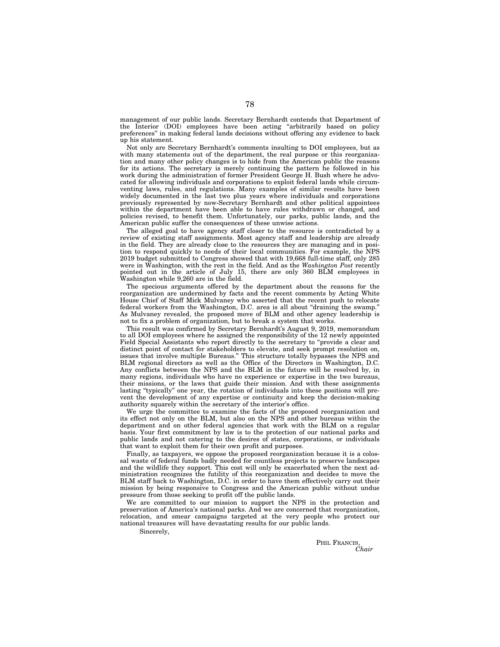management of our public lands. Secretary Bernhardt contends that Department of the Interior (DOI) employees have been acting ''arbitrarily based on policy preferences'' in making federal lands decisions without offering any evidence to back up his statement.

Not only are Secretary Bernhardt's comments insulting to DOI employees, but as with many statements out of the department, the real purpose or this reorganization and many other policy changes is to hide from the American public the reasons for its actions. The secretary is merely continuing the pattern he followed in his work during the administration of former President George H. Bush where he advocated for allowing individuals and corporations to exploit federal lands while circumventing laws, rules, and regulations. Many examples of similar results have been widely documented in the last two plus years where individuals and corporations previously represented by now-Secretary Bernhardt and other political appointees within the department have been able to have rules withdrawn or changed, and policies revised, to benefit them. Unfortunately, our parks, public lands, and the American public suffer the consequences of these unwise actions.

The alleged goal to have agency staff closer to the resource is contradicted by a review of existing staff assignments. Most agency staff and leadership are already in the field. They are already close to the resources they are managing and in position to respond quickly to needs of their local communities. For example, the NPS 2019 budget submitted to Congress showed that with 19,668 full-time staff, only 285 were in Washington, with the rest in the field. And as the *Washington Post* recently pointed out in the article of July 15, there are only 360 BLM employees in Washington while 9,260 are in the field.

The specious arguments offered by the department about the reasons for the reorganization are undermined by facts and the recent comments by Acting White House Chief of Staff Mick Mulvaney who asserted that the recent push to relocate federal workers from the Washington, D.C. area is all about "draining the swamp. As Mulvaney revealed, the proposed move of BLM and other agency leadership is not to fix a problem of organization, but to break a system that works.

This result was confirmed by Secretary Bernhardt's August 9, 2019, memorandum to all DOI employees where he assigned the responsibility of the 12 newly appointed Field Special Assistants who report directly to the secretary to ''provide a clear and distinct point of contact for stakeholders to elevate, and seek prompt resolution on, issues that involve multiple Bureaus.'' This structure totally bypasses the NPS and BLM regional directors as well as the Office of the Directors in Washington, D.C. Any conflicts between the NPS and the BLM in the future will be resolved by, in many regions, individuals who have no experience or expertise in the two bureaus, their missions, or the laws that guide their mission. And with these assignments lasting "typically" one year, the rotation of individuals into these positions will prevent the development of any expertise or continuity and keep the decision-making authority squarely within the secretary of the interior's office.

We urge the committee to examine the facts of the proposed reorganization and its effect not only on the BLM, but also on the NPS and other bureaus within the department and on other federal agencies that work with the BLM on a regular basis. Your first commitment by law is to the protection of our national parks and public lands and not catering to the desires of states, corporations, or individuals that want to exploit them for their own profit and purposes.

Finally, as taxpayers, we oppose the proposed reorganization because it is a colossal waste of federal funds badly needed for countless projects to preserve landscapes and the wildlife they support. This cost will only be exacerbated when the next administration recognizes the futility of this reorganization and decides to move the BLM staff back to Washington, D.C. in order to have them effectively carry out their mission by being responsive to Congress and the American public without undue pressure from those seeking to profit off the public lands.

We are committed to our mission to support the NPS in the protection and preservation of America's national parks. And we are concerned that reorganization, relocation, and smear campaigns targeted at the very people who protect our national treasures will have devastating results for our public lands.

Sincerely,

PHIL FRANCIS, *Chair*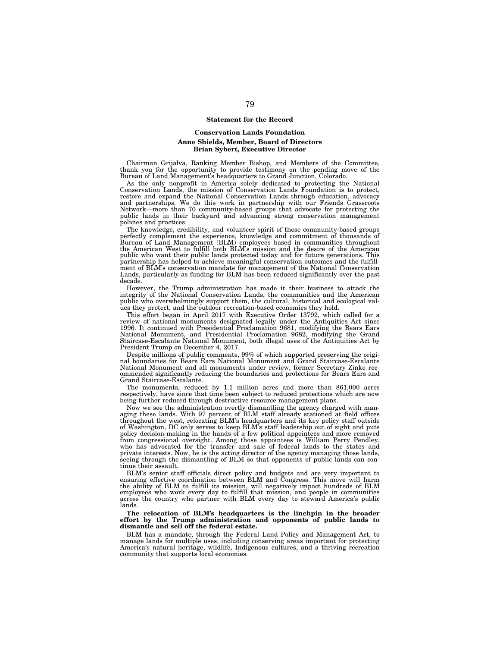### **Statement for the Record**

#### **Conservation Lands Foundation**

### **Anne Shields, Member, Board of Directors Brian Sybert, Executive Director**

Chairman Grijalva, Ranking Member Bishop, and Members of the Committee, thank you for the opportunity to provide testimony on the pending move of the Bureau of Land Management's headquarters to Grand Junction, Colorado.

As the only nonprofit in America solely dedicated to protecting the National Conservation Lands, the mission of Conservation Lands Foundation is to protect, restore and expand the National Conservation Lands through education, advocacy and partnerships. We do this work in partnership with our Friends Grassroots Network—more than 70 community-based groups that advocate for protecting the public lands in their backyard and advancing strong conservation management policies and practices.

The knowledge, credibility, and volunteer spirit of these community-based groups perfectly complement the experience, knowledge and commitment of thousands of<br>Bureau of Land Management (BLM) employees based in communities throughout<br>the American West to fulfill both BLM's mission and the desire of the public who want their public lands protected today and for future generations. This partnership has helped to achieve meaningful conservation outcomes and the fulfillment of BLM's conservation mandate for management of the National Conservation Lands, particularly as funding for BLM has been reduced significantly over the past decade.

However, the Trump administration has made it their business to attack the integrity of the National Conservation Lands, the communities and the American public who overwhelmingly support them, the cultural, historical and ecological values they protect, and the outdoor recreation-based economies they hold.

This effort began in April 2017 with Executive Order 13792, which called for a review of national monuments designated legally under the Antiquities Act since 1996. It continued with Presidential Proclamation 9681, modifying the Bears Ears National Monument, and Presidential Proclamation 9682, modifying the Grand Staircase-Escalante National Monument, both illegal uses of the Antiquities Act by President Trump on December 4, 2017.

Despite millions of public comments, 99% of which supported preserving the origi-nal boundaries for Bears Ears National Monument and Grand Staircase-Escalante National Monument and all monuments under review, former Secretary Zinke recommended significantly reducing the boundaries and protections for Bears Ears and Grand Staircase-Escalante.

The monuments, reduced by 1.1 million acres and more than 861,000 acres respectively, have since that time been subject to reduced protections which are now being further reduced through destructive resource management plans.

Now we see the administration overtly dismantling the agency charged with managing these lands. With 97 percent of BLM staff already stationed at field offices throughout the west, relocating BLM's headquarters and its key policy staff outside of Washington, DC only serves to keep BLM's staff leadership out of sight and puts policy decision-making in the hands of a few political appointees and more removed from congressional oversight. Among those appointees is William Perry Pendley, who has advocated for the transfer and sale of federal lands to the states and private interests. Now, he is the acting director of the agency managing those lands, seeing through the dismantling of BLM so that opponents of public lands can continue their assault.

BLM's senior staff officials direct policy and budgets and are very important to ensuring effective coordination between BLM and Congress. This move will harm the ability of BLM to fulfill its mission, will negatively impact hundreds of BLM<br>employees who work every day to fulfill that mission, and people in communities<br>across the country who partner with BLM every day to steward lands.

#### **The relocation of BLM's headquarters is the linchpin in the broader effort by the Trump administration and opponents of public lands to dismantle and sell off the federal estate.**

BLM has a mandate, through the Federal Land Policy and Management Act, to manage lands for multiple uses, including conserving areas important for protecting America's natural heritage, wildlife, Indigenous cultures, and a thriving recreation community that supports local economies.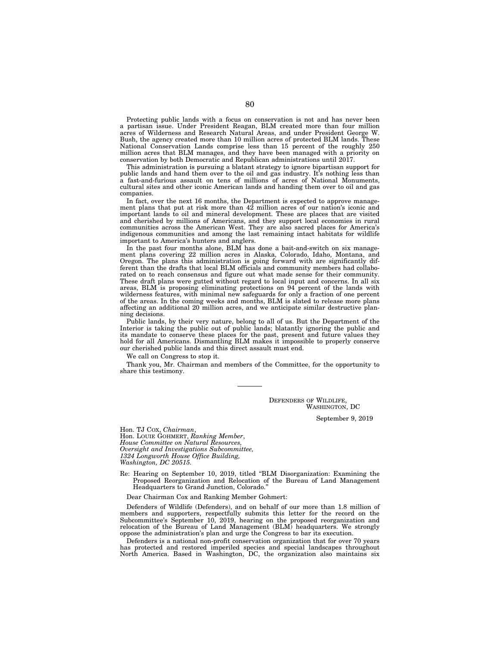Protecting public lands with a focus on conservation is not and has never been a partisan issue. Under President Reagan, BLM created more than four million acres of Wilderness and Research Natural Areas, and under President George W. Bush, the agency created more than 10 million acres of protected BLM lands. These National Conservation Lands comprise less than 15 percent of the roughly 250 million acres that BLM manages, and they have been managed with a priority on conservation by both Democratic and Republican administrations until 2017.

This administration is pursuing a blatant strategy to ignore bipartisan support for public lands and hand them over to the oil and gas industry. It's nothing less than a fast-and-furious assault on tens of millions of acres of National Monuments, cultural sites and other iconic American lands and handing them over to oil and gas companies.

In fact, over the next 16 months, the Department is expected to approve management plans that put at risk more than 42 million acres of our nation's iconic and important lands to oil and mineral development. These are places that are visited and cherished by millions of Americans, and they support local economies in rural communities across the American West. They are also sacred places for America's indigenous communities and among the last remaining intact habitats for wildlife important to America's hunters and anglers.

In the past four months alone, BLM has done a bait-and-switch on six management plans covering 22 million acres in Alaska, Colorado, Idaho, Montana, and Oregon. The plans this administration is going forward with are significantly different than the drafts that local BLM officials and community members had collaborated on to reach consensus and figure out what made sense for their community. These draft plans were gutted without regard to local input and concerns. In all six areas, BLM is proposing eliminating protections on 94 percent of the lands with wilderness features, with minimal new safeguards for only a fraction of one percent of the areas. In the coming weeks and months, BLM is slated to release more plans affecting an additional 20 million acres, and we anticipate similar destructive planning decisions.

Public lands, by their very nature, belong to all of us. But the Department of the Interior is taking the public out of public lands; blatantly ignoring the public and its mandate to conserve these places for the past, present and future values they hold for all Americans. Dismantling BLM makes it impossible to properly conserve our cherished public lands and this direct assault must end.

We call on Congress to stop it.

Thank you, Mr. Chairman and members of the Committee, for the opportunity to share this testimony.

> DEFENDERS OF WILDLIFE, WASHINGTON, DC

> > September 9, 2019

Hon. TJ COX, *Chairman*, Hon. LOUIE GOHMERT, *Ranking Member*, *House Committee on Natural Resources, Oversight and Investigations Subcommittee, 1324 Longworth House Office Building, Washington, DC 20515.* 

Re: Hearing on September 10, 2019, titled ''BLM Disorganization: Examining the Proposed Reorganization and Relocation of the Bureau of Land Management Headquarters to Grand Junction, Colorado.''

Dear Chairman Cox and Ranking Member Gohmert:

Defenders of Wildlife (Defenders), and on behalf of our more than 1.8 million of members and supporters, respectfully submits this letter for the record on the Subcommittee's September 10, 2019, hearing on the proposed reorganization and relocation of the Bureau of Land Management (BLM) headquarters. We strongly oppose the administration's plan and urge the Congress to bar its execution.

Defenders is a national non-profit conservation organization that for over 70 years has protected and restored imperiled species and special landscapes throughout North America. Based in Washington, DC, the organization also maintains six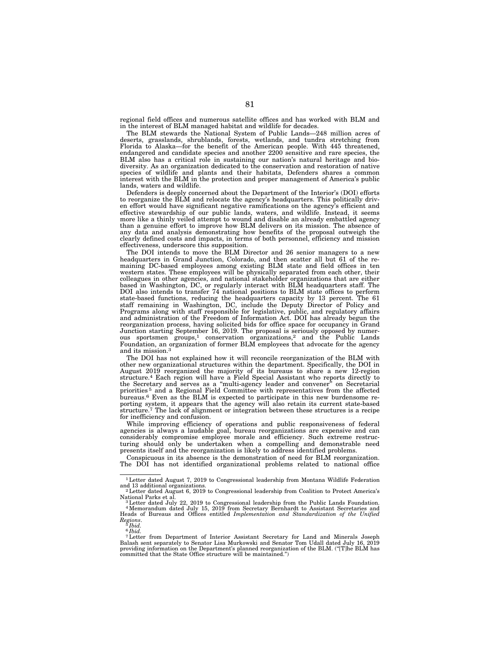regional field offices and numerous satellite offices and has worked with BLM and in the interest of BLM managed habitat and wildlife for decades.

The BLM stewards the National System of Public Lands—248 million acres of deserts, grasslands, shrublands, forests, wetlands, and tundra stretching from Florida to Alaska—for the benefit of the American people. With 445 threatened, endangered and candidate species and another 2200 sensitive and rare species, the BLM also has a critical role in sustaining our nation's natural heritage and biodiversity. As an organization dedicated to the conservation and restoration of native species of wildlife and plants and their habitats, Defenders shares a common interest with the BLM in the protection and proper management of America's public lands, waters and wildlife.

Defenders is deeply concerned about the Department of the Interior's (DOI) efforts to reorganize the BLM and relocate the agency's headquarters. This politically driven effort would have significant negative ramifications on the agency's efficient and effective stewardship of our public lands, waters, and wildlife. Instead, it seems more like a thinly veiled attempt to wound and disable an already embattled agency than a genuine effort to improve how BLM delivers on its mission. The absence of any data and analysis demonstrating how benefits of the proposal outweigh the clearly defined costs and impacts, in terms of both personnel, efficiency and mission effectiveness, underscore this supposition.

The DOI intends to move the BLM Director and 26 senior managers to a new headquarters in Grand Junction, Colorado, and then scatter all but 61 of the remaining DC-based employees among existing BLM state and field offices in ten western states. These employees will be physically separated from each other, their colleagues in other agencies, and national stakeholder organizations that are either based in Washington, DC, or regularly interact with BLM headquarters staff. The DOI also intends to transfer 74 national positions to BLM state offices to perform state-based functions, reducing the headquarters capacity by 13 percent. The 61 staff remaining in Washington, DC, include the Deputy Director of Policy and Programs along with staff responsible for legislative, public, and regulatory affairs and administration of the Freedom of Information Act. DOI has already begun the reorganization process, having solicited bids for office space for occupancy in Grand Junction starting September 16, 2019. The proposal is seriously opposed by numerous sportsmen groups,<sup>1</sup> conservation organizations,<sup>2</sup> and the Public Lands Foundation, an organization of former BLM employees that advocate for the agency and its mission.3

The DOI has not explained how it will reconcile reorganization of the BLM with other new organizational structures within the department. Specifically, the DOI in August 2019 reorganized the majority of its bureaus to share a new 12-region structure.4 Each region will have a Field Special Assistant who reports directly to the Secretary and serves as a "multi-agency leader and convener" on Secretarial priorities <sup>5</sup> and a Regional Field Committee with representatives from the affected bureaus.<sup>6</sup> Even as the BLM is expected to participate in this new burdensome reporting system, it appears that the agency will also retain its current state-based structure.<sup>7</sup> The lack of alignment or integration between for inefficiency and confusion.

While improving efficiency of operations and public responsiveness of federal agencies is always a laudable goal, bureau reorganizations are expensive and can considerably compromise employee morale and efficiency. Such extreme restructuring should only be undertaken when a compelling and demonstrable need presents itself and the reorganization is likely to address identified problems.

Conspicuous in its absence is the demonstration of need for BLM reorganization. The DOI has not identified organizational problems related to national office

<sup>1</sup>Letter dated August 7, 2019 to Congressional leadership from Montana Wildlife Federation and 13 additional organizations. 2Letter dated August 6, 2019 to Congressional leadership from Coalition to Protect America's

National Parks et al.<br><sup>3</sup> Letter dated July 22, 2019 to Congressional leadership from the Public Lands Foundation.<br><sup>4</sup> Memorandum dated July 15, 2019 from Secretary Bernhardt to Assistant Secretaries and Heads of Bureaus and Offices entitled *Implementation and Standardization of the Unified Regions*. 5 *Ibid.* 

<sup>6</sup> *Ibid.* 

<sup>7</sup>Letter from Department of Interior Assistant Secretary for Land and Minerals Joseph Balash sent separately to Senator Lisa Murkowski and Senator Tom Udall dated July 16, 2019 providing information on the Department's planned reorganization of the BLM. (''[T]he BLM has committed that the State Office structure will be maintained.'')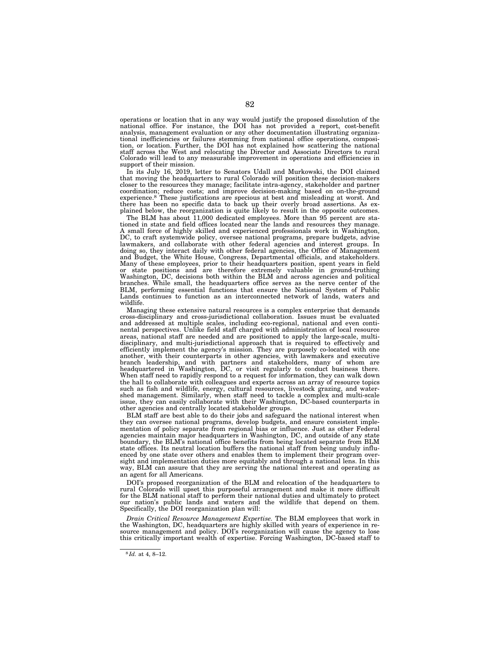operations or location that in any way would justify the proposed dissolution of the national office. For instance, the DOI has not provided a report, cost-benefit analysis, management evaluation or any other documentation illustrating organizational inefficiencies or failures stemming from national office operations, composition, or location. Further, the DOI has not explained how scattering the national staff across the West and relocating the Director and Associate Directors to rural Colorado will lead to any measurable improvement in operations and efficiencies in support of their mission.

In its July 16, 2019, letter to Senators Udall and Murkowski, the DOI claimed that moving the headquarters to rural Colorado will position these decision-makers closer to the resources they manage; facilitate intra-agency, stakeholder and partner coordination; reduce costs; and improve decision-making based on on-the-ground experience.8 These justifications are specious at best and misleading at worst. And there has been no specific data to back up their overly broad assertions. As explained below, the reorganization is quite likely to result in the opposite outcomes.

The BLM has about 11,000 dedicated employees. More than 95 percent are stationed in state and field offices located near the lands and resources they manage. A small force of highly skilled and experienced professionals work in Washington, DC, to craft systemwide policy, oversee national programs, prepare budgets, advise lawmakers, and collaborate with other federal agencies and interest groups. In doing so, they interact daily with other federal agencies, the Office of Management and Budget, the White House, Congress, Departmental officials, and stakeholders. Many of these employees, prior to their headquarters position, spent years in field or state positions and are therefore extremely valuable in ground-truthing Washington, DC, decisions both within the BLM and across agencies and political branches. While small, the headquarters office serves as the nerve center of the BLM, performing essential functions that ensure the National System of Public Lands continues to function as an interconnected network of lands, waters and wildlife.

Managing these extensive natural resources is a complex enterprise that demands cross-disciplinary and cross-jurisdictional collaboration. Issues must be evaluated and addressed at multiple scales, including eco-regional, national and even continental perspectives. Unlike field staff charged with administration of local resource areas, national staff are needed and are positioned to apply the large-scale, multidisciplinary, and multi-jurisdictional approach that is required to effectively and efficiently implement the agency's mission. They are purposely co-located with one another, with their counterparts in other agencies, with lawmakers and executive branch leadership, and with partners and stakeholders, many of whom are headquartered in Washington, DC, or visit regularly to conduct business there. When staff need to rapidly respond to a request for information, they can walk down the hall to collaborate with colleagues and experts across an array of resource topics such as fish and wildlife, energy, cultural resources, livestock grazing, and watershed management. Similarly, when staff need to tackle a complex and multi-scale issue, they can easily collaborate with their Washington, DC-based counterparts in other agencies and centrally located stakeholder groups.

BLM staff are best able to do their jobs and safeguard the national interest when they can oversee national programs, develop budgets, and ensure consistent implementation of policy separate from regional bias or influence. Just as other Federal agencies maintain major headquarters in Washington, DC, and outside of any state boundary, the BLM's national office benefits from being located separate from BLM state offices. Its neutral location buffers the national staff from being unduly influenced by one state over others and enables them to implement their program oversight and implementation duties more equitably and through a national lens. In this way, BLM can assure that they are serving the national interest and operating as an agent for all Americans.

DOI's proposed reorganization of the BLM and relocation of the headquarters to rural Colorado will upset this purposeful arrangement and make it more difficult for the BLM national staff to perform their national duties and ultimately to protect our nation's public lands and waters and the wildlife that depend on them. Specifically, the DOI reorganization plan will:

*Drain Critical Resource Management Expertise.* The BLM employees that work in the Washington, DC, headquarters are highly skilled with years of experience in resource management and policy. DOI's reorganization will cause the agency to lose this critically important wealth of expertise. Forcing Washington, DC-based staff to

<sup>8</sup> *Id.* at 4, 8–12.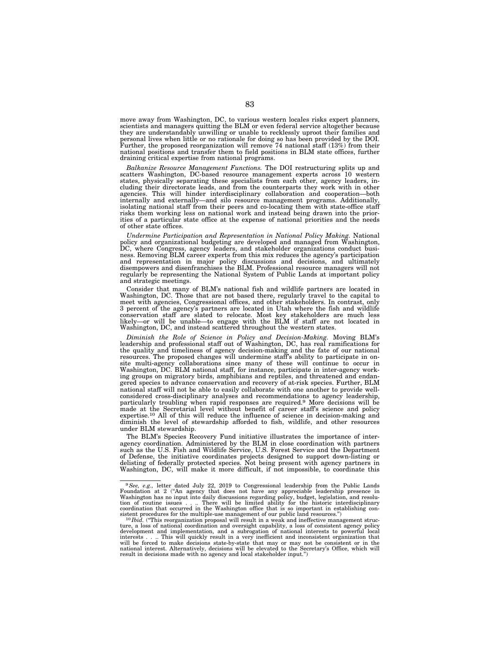move away from Washington, DC, to various western locales risks expert planners, scientists and managers quitting the BLM or even federal service altogether because they are understandably unwilling or unable to recklessly uproot their families and personal lives when little or no rationale for doing so has been provided by the DOI. Further, the proposed reorganization will remove 74 national staff (13%) from their national positions and transfer them to field positions in BLM state offices, further draining critical expertise from national programs.

*Balkanize Resource Management Functions.* The DOI restructuring splits up and scatters Washington, DC-based resource management experts across 10 western states, physically separating these specialists from each other, agency leaders, including their directorate leads, and from the counterparts they work with in other agencies. This will hinder interdisciplinary collaboration and cooperation—both internally and externally—and silo resource management programs. Additionally, isolating national staff from their peers and co-locating them with state-office staff risks them working less on national work and instead being drawn into the priorities of a particular state office at the expense of national priorities and the needs of other state offices.

*Undermine Participation and Representation in National Policy Making.* National policy and organizational budgeting are developed and managed from Washington, DC, where Congress, agency leaders, and stakeholder organizations conduct business. Removing BLM career experts from this mix reduces the agency's participation and representation in major policy discussions and decisions, and ultimately disempowers and disenfranchises the BLM. Professional resource managers will not regularly be representing the National System of Public Lands at important policy and strategic meetings.

Consider that many of BLM's national fish and wildlife partners are located in Washington, DC. Those that are not based there, regularly travel to the capital to meet with agencies, Congressional offices, and other stakeholders. In contrast, only 3 percent of the agency's partners are located in Utah where the fish and wildlife<br>conservation staff are slated to relocate. Most key stakeholders are much less<br>likely—or will be unable—to engage with the BLM if staff are Washington, DC, and instead scattered throughout the western states.

*Diminish the Role of Science in Policy and Decision-Making.* Moving BLM's leadership and professional staff out of Washington, DC, has real ramifications for the quality and timeliness of agency decision-making and the fate of our national resources. The proposed changes will undermine staff's ability to participate in onsite multi-agency collaborations since many of these will continue to occur in Washington, DC. BLM national staff, for instance, participate in inter-agency working groups on migratory birds, amphibians and reptiles, and threatened and endangered species to advance conservation and recovery of at-risk species. Further, BLM national staff will not be able to easily collaborate with one another to provide wellconsidered cross-disciplinary analyses and recommendations to agency leadership, particularly troubling when rapid responses are required.9 More decisions will be made at the Secretarial level without benefit of career staff's science and policy expertise.<sup>10</sup> All of this will reduce the influence of science in decision-making and diminish the level of stewardship afforded to fish, wildlife, and other resources under BLM stewardship.

The BLM's Species Recovery Fund initiative illustrates the importance of interagency coordination. Administered by the BLM in close coordination with partners such as the U.S. Fish and Wildlife Service, U.S. Forest Service and the Department of Defense, the initiative coordinates projects designed to support down-listing or delisting of federally protected species. Not being present with agency partners in Washington, DC, will make it more difficult, if not impossible, to coordinate this

<sup>&</sup>lt;sup>9</sup> See, e.g., letter dated July 22, 2019 to Congressional leadership from the Public Lands Foundation at 2 ("An agency that does not have any appreciable leadership presence in Washington has no input into daily discussions regarding policy, budget, legislation, and resolu-<br>tion of routine issues . .. There will be limited ability for the historic interdisciplinary<br>coordination that sistent procedures for the multiple-use management of our public land resources.")<br><sup>10</sup>*Ibid.* ("This reorganization proposal will result in a weak and ineffective management struc-

ture, a loss of national coordination and oversight capability, a loss of consistent agency policy development and implementation, and a subrogation of national interests to powerful local<br>interests . . . This will quickly result in a very inefficient and inconsistent organization that<br>will be forced to make decisions s national interest. Alternatively, decisions will be elevated to the Secretary's Office, which will result in decisions made with no agency and local stakeholder input.'')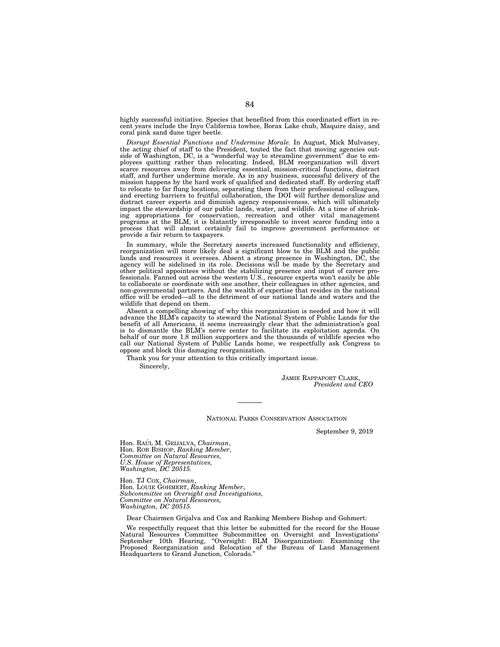highly successful initiative. Species that benefited from this coordinated effort in recent years include the Inyo California towhee, Borax Lake chub, Maquire daisy, and coral pink sand dune tiger beetle.

*Disrupt Essential Functions and Undermine Morale.* In August, Mick Mulvaney, the acting chief of staff to the President, touted the fact that moving agencies outside of Washington, DC, is a ''wonderful way to streamline government'' due to employees quitting rather than relocating. Indeed, BLM reorganization will divert scarce resources away from delivering essential, mission-critical functions, distract staff, and further undermine morale. As in any business, successful delivery of the mission happens by the hard work of qualified and dedicated staff. By ordering staff to relocate to far flung locations, separating them from their professional colleagues, and erecting barriers to fruitful collaboration, the DOI will further demoralize and distract career experts and diminish agency responsiveness, which will ultimately impact the stewardship of our public lands, water, and wildlife. At a time of shrinking appropriations for conservation, recreation and other vital management programs at the BLM, it is blatantly irresponsible to invest scarce funding into a process that will almost certainly fail to improve government performance or provide a fair return to taxpayers.

In summary, while the Secretary asserts increased functionality and efficiency, reorganization will more likely deal a significant blow to the BLM and the public lands and resources it oversees. Absent a strong presence in Washington, DC, the agency will be sidelined in its role. Decisions will be made by the Secretary and other political appointees without the stabilizing presence and input of career professionals. Fanned out across the western U.S., resource experts won't easily be able to collaborate or coordinate with one another, their colleagues in other agencies, and non-governmental partners. And the wealth of expertise that resides in the national office will be eroded—all to the detriment of our national lands and waters and the wildlife that depend on them.

Absent a compelling showing of why this reorganization is needed and how it will advance the BLM's capacity to steward the National System of Public Lands for the benefit of all Americans, it seems increasingly clear that the administration's goal is to dismantle the BLM's nerve center to facilitate its exploitation agenda. On behalf of our more 1.8 million supporters and the thousands of wildlife species who call our National System of Public Lands home, we respectfully ask Congress to oppose and block this damaging reorganization.

Thank you for your attention to this critically important issue. Sincerely,

> JAMIE RAPPAPORT CLARK, *President and CEO*

NATIONAL PARKS CONSERVATION ASSOCIATION

September 9, 2019

Hon. RAÚL M. GRIJALVA, Chairman, Hon. ROB BISHOP, *Ranking Member*, *Committee on Natural Resources, U.S. House of Representatives, Washington, DC 20515.* 

Hon. TJ COX, *Chairman*, Hon. LOUIE GOHMERT, *Ranking Member*, *Subcommittee on Oversight and Investigations, Committee on Natural Resources, Washington, DC 20515.* 

Dear Chairmen Grijalva and Cox and Ranking Members Bishop and Gohmert:

We respectfully request that this letter be submitted for the record for the House Natural Resources Committee Subcommittee on Oversight and Investigations' September 10th Hearing, ''Oversight: BLM Disorganization: Examining the Proposed Reorganization and Relocation of the Bureau of Land Management Headquarters to Grand Junction, Colorado.''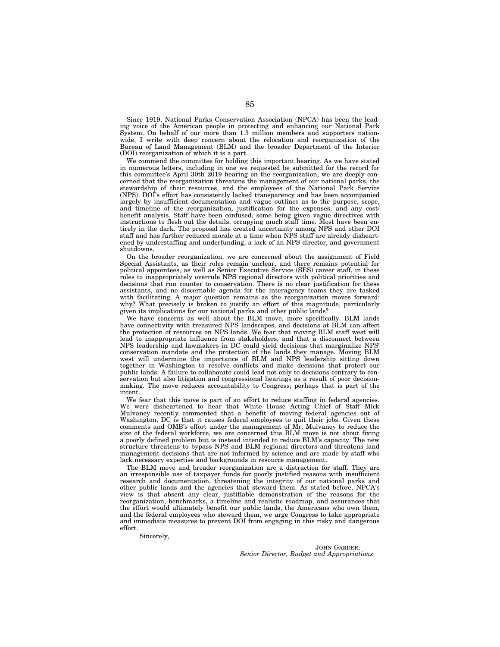Since 1919, National Parks Conservation Association (NPCA) has been the leading voice of the American people in protecting and enhancing our National Park System. On behalf of our more than 1.3 million members and supporters nationwide, I write with deep concern about the relocation and reorganization of the Bureau of Land Management (BLM) and the broader Department of the Interior (DOI) reorganization of which it is a part.

We commend the committee for holding this important hearing. As we have stated in numerous letters, including in one we requested be submitted for the record for this committee's April 30th 2019 hearing on the reorganization, we are deeply concerned that the reorganization threatens the management of our national parks, the stewardship of their resources, and the employees of the National Park Service (NPS). DOI's effort has consistently lacked transparency and has been accompanied largely by insufficient documentation and vague outlines as to the purpose, scope, and timeline of the reorganization, justification for the expenses, and any cost/ benefit analysis. Staff have been confused, some being given vague directives with instructions to flesh out the details, occupying much staff time. Most have been entirely in the dark. The proposal has created uncertainty among NPS and other DOI staff and has further reduced morale at a time when NPS staff are already disheartened by understaffing and underfunding, a lack of an NPS director, and government shutdowns.

On the broader reorganization, we are concerned about the assignment of Field Special Assistants, as their roles remain unclear, and there remains potential for political appointees, as well as Senior Executive Service (SES) career staff, in these roles to inappropriately overrule NPS regional directors with political priorities and decisions that run counter to conservation. There is no clear justification for these assistants, and no discernable agenda for the interagency teams they are tasked with facilitating. A major question remains as the reorganization moves forward: why? What precisely is broken to justify an effort of this magnitude, particularly given its implications for our national parks and other public lands?

We have concerns as well about the BLM move, more specifically. BLM lands have connectivity with treasured NPS landscapes, and decisions at BLM can affect the protection of resources on NPS lands. We fear that moving BLM staff west will lead to inappropriate influence from stakeholders, and that a disconnect between NPS leadership and lawmakers in DC could yield decisions that marginalize NPS' conservation mandate and the protection of the lands they manage. Moving BLM west will undermine the importance of BLM and NPS leadership sitting down together in Washington to resolve conflicts and make decisions that protect our public lands. A failure to collaborate could lead not only to decisions contrary to conservation but also litigation and congressional hearings as a result of poor decisionmaking. The move reduces accountability to Congress; perhaps that is part of the intent.

We fear that this move is part of an effort to reduce staffing in federal agencies. We were disheartened to hear that White House Acting Chief of Staff Mick Mulvaney recently commented that a benefit of moving federal agencies out of Washington, DC is that it causes federal employees to quit their jobs. Given these comments and OMB's effort under the management of Mr. Mulvaney to reduce the size of the federal workforce, we are concerned this BLM move is not about fixing a poorly defined problem but is instead intended to reduce BLM's capacity. The new structure threatens to bypass NPS and BLM regional directors and threatens land management decisions that are not informed by science and are made by staff who lack necessary expertise and backgrounds in resource management.

The BLM move and broader reorganization are a distraction for staff. They are an irresponsible use of taxpayer funds for poorly justified reasons with insufficient research and documentation, threatening the integrity of our national parks and other public lands and the agencies that steward them. As stated before, NPCA's view is that absent any clear, justifiable demonstration of the reasons for the reorganization, benchmarks, a timeline and realistic roadmap, and assurances that the effort would ultimately benefit our public lands, the Americans who own them, and the federal employees who steward them, we urge Congress to take appropriate and immediate measures to prevent DOI from engaging in this risky and dangerous effort.

Sincerely,

JOHN GARDER, *Senior Director, Budget and Appropriations*